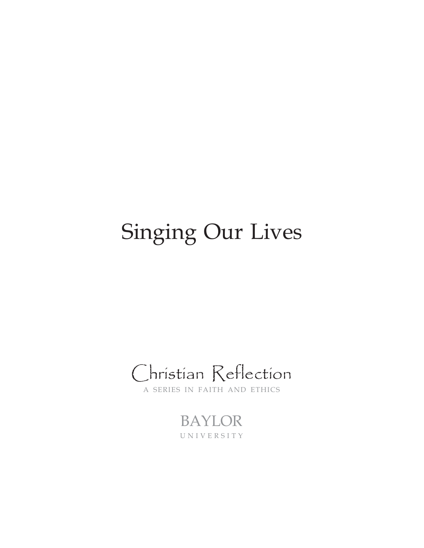# Singing Our Lives

Christian Reflection

A SERIES IN FAITH AND ETHICS

BAYLOR UNIVERSITY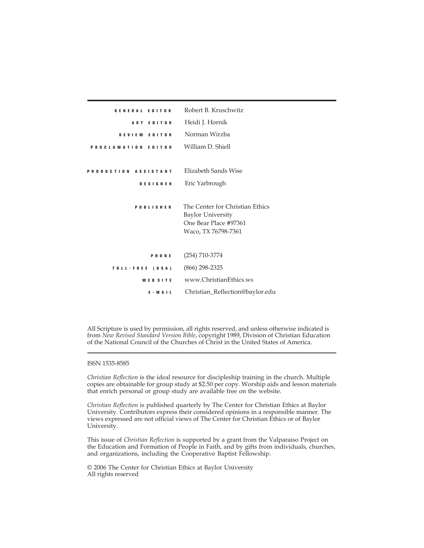| GENERAL EDITOR                  | Robert B. Kruschwitz            |
|---------------------------------|---------------------------------|
| ART EDITOR                      | Heidi J. Hornik                 |
| <b>REVIEW</b><br>EDITOR         | Norman Wirzba                   |
| PROCLAMATION EDITOR             | William D. Shiell               |
|                                 |                                 |
| PRODUCTION ASSISTANT            | Elizabeth Sands Wise            |
| <b>DESIGNER</b>                 | Eric Yarbrough                  |
|                                 |                                 |
| <b>PUBLISHER</b>                | The Center for Christian Ethics |
|                                 | <b>Baylor University</b>        |
|                                 | One Bear Place #97361           |
|                                 | Waco, TX 76798-7361             |
|                                 |                                 |
| PHONE                           | $(254) 710 - 3774$              |
| TOLL - FREE<br>[ <b>U S A</b> ] | $(866)$ 298-2325                |
| <b>WEBSITE</b>                  | www.ChristianEthics.ws          |
| $E - M A L$                     | Christian_Reflection@baylor.edu |

All Scripture is used by permission, all rights reserved, and unless otherwise indicated is from *New Revised Standard Version Bible*, copyright 1989, Division of Christian Education of the National Council of the Churches of Christ in the United States of America.

### ISSN 1535-8585

*Christian Reflection* is the ideal resource for discipleship training in the church. Multiple copies are obtainable for group study at \$2.50 per copy. Worship aids and lesson materials that enrich personal or group study are available free on the website.

*Christian Reflection* is published quarterly by The Center for Christian Ethics at Baylor University. Contributors express their considered opinions in a responsible manner. The views expressed are not official views of The Center for Christian Ethics or of Baylor University.

This issue of *Christian Reflection* is supported by a grant from the Valparaiso Project on the Education and Formation of People in Faith, and by gifts from individuals, churches, and organizations, including the Cooperative Baptist Fellowship.

© 2006 The Center for Christian Ethics at Baylor University All rights reserved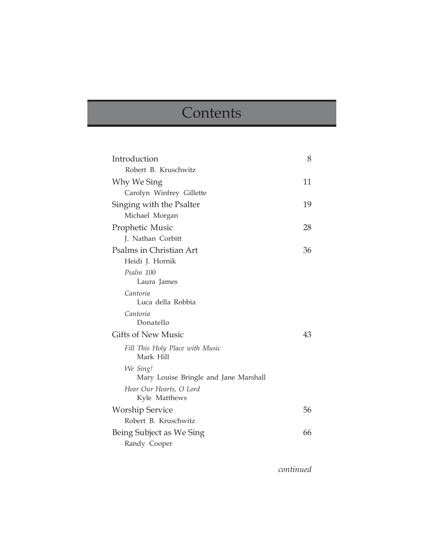## **Contents**

| Introduction                                 |    |
|----------------------------------------------|----|
| Robert B. Kruschwitz                         |    |
| Why We Sing                                  | 11 |
| Carolyn Winfrey Gillette                     |    |
| Singing with the Psalter                     | 19 |
| Michael Morgan                               |    |
| Prophetic Music                              | 28 |
| J. Nathan Corbitt                            |    |
| Psalms in Christian Art                      | 36 |
| Heidi J. Hornik                              |    |
| Psalm 100                                    |    |
| Laura James                                  |    |
| Cantoria                                     |    |
| Luca della Robbia                            |    |
| Cantoria                                     |    |
| Donatello                                    |    |
| Gifts of New Music                           | 43 |
| Fill This Holy Place with Music<br>Mark Hill |    |
| We Sing!                                     |    |
| Mary Louise Bringle and Jane Marshall        |    |
| Hear Our Hearts, O Lord                      |    |
| Kyle Matthews                                |    |
| <b>Worship Service</b>                       | 56 |
| Robert B. Kruschwitz                         |    |
| Being Subject as We Sing                     | 66 |
| Randy Cooper                                 |    |

*continued*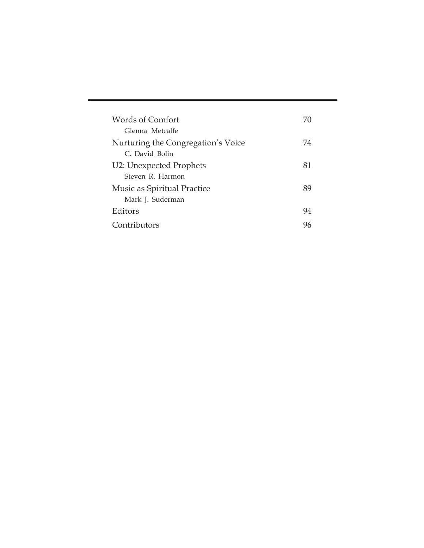| Words of Comfort                   | 70 |
|------------------------------------|----|
| Glenna Metcalfe                    |    |
| Nurturing the Congregation's Voice | 74 |
| C. David Bolin                     |    |
| U2: Unexpected Prophets            | 81 |
| Steven R. Harmon                   |    |
| Music as Spiritual Practice        | 89 |
| Mark J. Suderman                   |    |
| Editors                            | 94 |
| Contributors                       | 96 |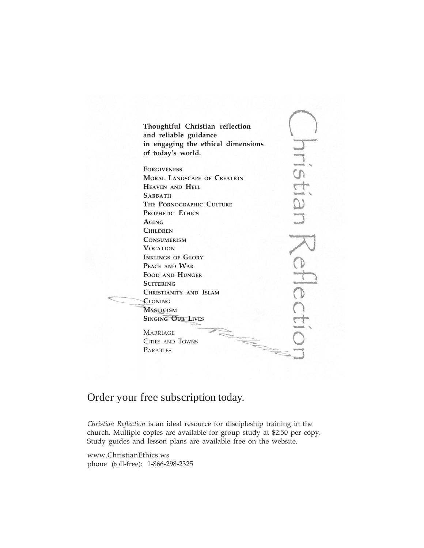

### Order your free subscription today.

*Christian Reflection* is an ideal resource for discipleship training in the church. Multiple copies are available for group study at \$2.50 per copy. Study guides and lesson plans are available free on the website.

www.ChristianEthics.ws phone (toll-free): 1-866-298-2325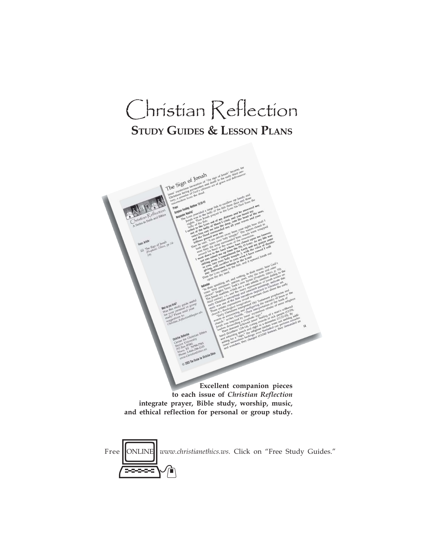# Christian Reflection **STUDY GUIDES & LESSON PLANS**

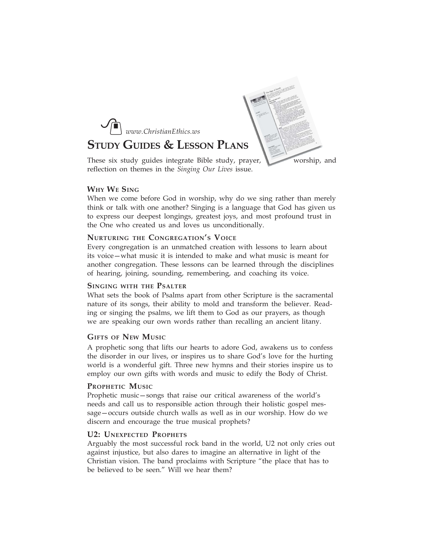

### **STUDY GUIDES & LESSON PLANS**



These six study guides integrate Bible study, prayer, worship, and reflection on themes in the *Singing Our Lives* issue.

### **WHY WE SING**

When we come before God in worship, why do we sing rather than merely think or talk with one another? Singing is a language that God has given us to express our deepest longings, greatest joys, and most profound trust in the One who created us and loves us unconditionally.

### **NURTURING THE CONGREGATION'S VOICE**

Every congregation is an unmatched creation with lessons to learn about its voice—what music it is intended to make and what music is meant for another congregation. These lessons can be learned through the disciplines of hearing, joining, sounding, remembering, and coaching its voice.

### **SINGING WITH THE PSALTER**

What sets the book of Psalms apart from other Scripture is the sacramental nature of its songs, their ability to mold and transform the believer. Reading or singing the psalms, we lift them to God as our prayers, as though we are speaking our own words rather than recalling an ancient litany.

### **GIFTS OF NEW MUSIC**

A prophetic song that lifts our hearts to adore God, awakens us to confess the disorder in our lives, or inspires us to share God's love for the hurting world is a wonderful gift. Three new hymns and their stories inspire us to employ our own gifts with words and music to edify the Body of Christ.

### **PROPHETIC MUSIC**

Prophetic music—songs that raise our critical awareness of the world's needs and call us to responsible action through their holistic gospel message—occurs outside church walls as well as in our worship. How do we discern and encourage the true musical prophets?

### **U2: UNEXPECTED PROPHETS**

Arguably the most successful rock band in the world, U2 not only cries out against injustice, but also dares to imagine an alternative in light of the Christian vision. The band proclaims with Scripture "the place that has to be believed to be seen." Will we hear them?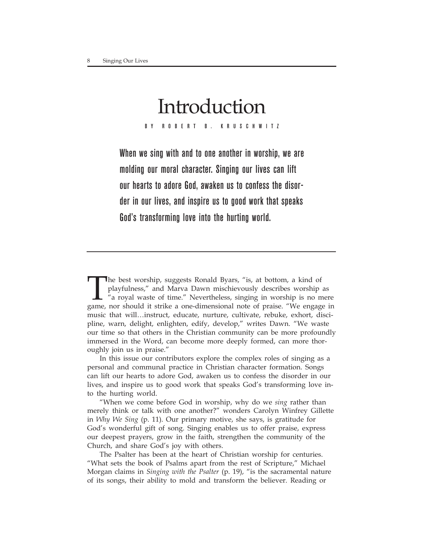## Introduction

BY ROBERT B. KRUSCHWITZ

When we sing with and to one another in worship, we are molding our moral character. Singing our lives can lift our hearts to adore God, awaken us to confess the disorder in our lives, and inspire us to good work that speaks God's transforming love into the hurting world.

The best worship, suggests Ronald Byars, "is, at bottom, a kind of playfulness," and Marva Dawn mischievously describes worship "a royal waste of time." Nevertheless, singing in worship is no norme, nor should it strike a playfulness," and Marva Dawn mischievously describes worship as "a royal waste of time." Nevertheless, singing in worship is no mere game, nor should it strike a one-dimensional note of praise. "We engage in music that will…instruct, educate, nurture, cultivate, rebuke, exhort, discipline, warn, delight, enlighten, edify, develop," writes Dawn. "We waste our time so that others in the Christian community can be more profoundly immersed in the Word, can become more deeply formed, can more thoroughly join us in praise."

In this issue our contributors explore the complex roles of singing as a personal and communal practice in Christian character formation. Songs can lift our hearts to adore God, awaken us to confess the disorder in our lives, and inspire us to good work that speaks God's transforming love into the hurting world.

"When we come before God in worship, why do we *sing* rather than merely think or talk with one another?" wonders Carolyn Winfrey Gillette in *Why We Sing* (p. 11). Our primary motive, she says, is gratitude for God's wonderful gift of song. Singing enables us to offer praise, express our deepest prayers, grow in the faith, strengthen the community of the Church, and share God's joy with others.

The Psalter has been at the heart of Christian worship for centuries. "What sets the book of Psalms apart from the rest of Scripture," Michael Morgan claims in *Singing with the Psalter* (p. 19), "is the sacramental nature of its songs, their ability to mold and transform the believer. Reading or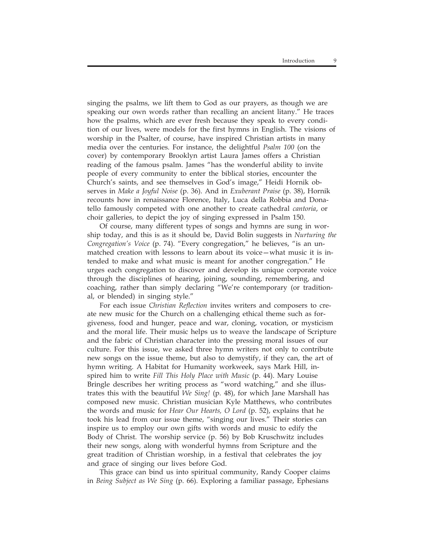singing the psalms, we lift them to God as our prayers, as though we are speaking our own words rather than recalling an ancient litany." He traces how the psalms, which are ever fresh because they speak to every condition of our lives, were models for the first hymns in English. The visions of worship in the Psalter, of course, have inspired Christian artists in many media over the centuries. For instance, the delightful *Psalm 100* (on the cover) by contemporary Brooklyn artist Laura James offers a Christian reading of the famous psalm. James "has the wonderful ability to invite people of every community to enter the biblical stories, encounter the Church's saints, and see themselves in God's image," Heidi Hornik observes in *Make a Joyful Noise* (p. 36). And in *Exuberant Praise* (p. 38), Hornik recounts how in renaissance Florence, Italy, Luca della Robbia and Donatello famously competed with one another to create cathedral *cantoria*, or choir galleries, to depict the joy of singing expressed in Psalm 150.

Of course, many different types of songs and hymns are sung in worship today, and this is as it should be, David Bolin suggests in *Nurturing the Congregation's Voice* (p. 74). "Every congregation," he believes, "is an unmatched creation with lessons to learn about its voice—what music it is intended to make and what music is meant for another congregation." He urges each congregation to discover and develop its unique corporate voice through the disciplines of hearing, joining, sounding, remembering, and coaching, rather than simply declaring "We're contemporary (or traditional, or blended) in singing style."

For each issue *Christian Reflection* invites writers and composers to create new music for the Church on a challenging ethical theme such as forgiveness, food and hunger, peace and war, cloning, vocation, or mysticism and the moral life. Their music helps us to weave the landscape of Scripture and the fabric of Christian character into the pressing moral issues of our culture. For this issue, we asked three hymn writers not only to contribute new songs on the issue theme, but also to demystify, if they can, the art of hymn writing. A Habitat for Humanity workweek, says Mark Hill, inspired him to write *Fill This Holy Place with Music* (p. 44). Mary Louise Bringle describes her writing process as "word watching," and she illustrates this with the beautiful *We Sing!* (p. 48), for which Jane Marshall has composed new music. Christian musician Kyle Matthews, who contributes the words and music for *Hear Our Hearts, O Lord* (p. 52), explains that he took his lead from our issue theme, "singing our lives." Their stories can inspire us to employ our own gifts with words and music to edify the Body of Christ. The worship service (p. 56) by Bob Kruschwitz includes their new songs, along with wonderful hymns from Scripture and the great tradition of Christian worship, in a festival that celebrates the joy and grace of singing our lives before God.

This grace can bind us into spiritual community, Randy Cooper claims in *Being Subject as We Sing* (p. 66). Exploring a familiar passage, Ephesians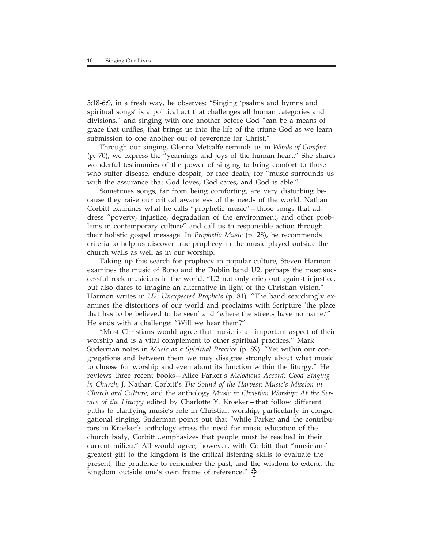5:18-6:9, in a fresh way, he observes: "Singing 'psalms and hymns and spiritual songs' is a political act that challenges all human categories and divisions," and singing with one another before God "can be a means of grace that unifies, that brings us into the life of the triune God as we learn submission to one another out of reverence for Christ."

Through our singing, Glenna Metcalfe reminds us in *Words of Comfort* (p. 70), we express the "yearnings and joys of the human heart." She shares wonderful testimonies of the power of singing to bring comfort to those who suffer disease, endure despair, or face death, for "music surrounds us with the assurance that God loves, God cares, and God is able."

Sometimes songs, far from being comforting, are very disturbing because they raise our critical awareness of the needs of the world. Nathan Corbitt examines what he calls "prophetic music"—those songs that address "poverty, injustice, degradation of the environment, and other problems in contemporary culture" and call us to responsible action through their holistic gospel message. In *Prophetic Music* (p. 28), he recommends criteria to help us discover true prophecy in the music played outside the church walls as well as in our worship.

Taking up this search for prophecy in popular culture, Steven Harmon examines the music of Bono and the Dublin band U2, perhaps the most successful rock musicians in the world. "U2 not only cries out against injustice, but also dares to imagine an alternative in light of the Christian vision," Harmon writes in *U2: Unexpected Prophets* (p. 81). "The band searchingly examines the distortions of our world and proclaims with Scripture 'the place that has to be believed to be seen' and 'where the streets have no name.'" He ends with a challenge: "Will we hear them?"

"Most Christians would agree that music is an important aspect of their worship and is a vital complement to other spiritual practices," Mark Suderman notes in *Music as a Spiritual Practice* (p. 89). "Yet within our congregations and between them we may disagree strongly about what music to choose for worship and even about its function within the liturgy." He reviews three recent books—Alice Parker's *Melodious Accord: Good Singing in Church*, J. Nathan Corbitt's *The Sound of the Harvest: Music's Mission in Church and Culture*, and the anthology *Music in Christian Worship: At the Service of the Liturgy* edited by Charlotte Y. Kroeker—that follow different paths to clarifying music's role in Christian worship, particularly in congregational singing. Suderman points out that "while Parker and the contributors in Kroeker's anthology stress the need for music education of the church body, Corbitt…emphasizes that people must be reached in their current milieu." All would agree, however, with Corbitt that "musicians' greatest gift to the kingdom is the critical listening skills to evaluate the present, the prudence to remember the past, and the wisdom to extend the kingdom outside one's own frame of reference."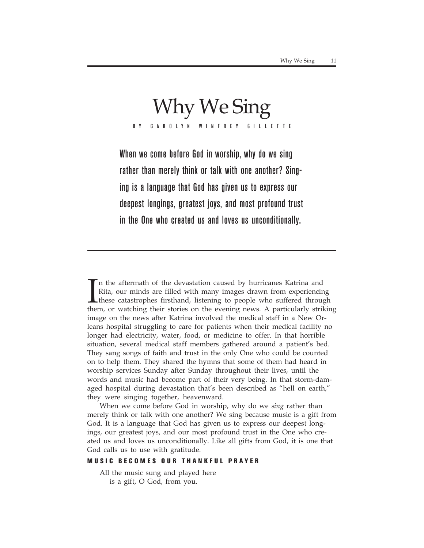## Why We Sing BY CAROLYN WI NFREY GI LLETTE

When we come before God in worship, why do we sing rather than merely think or talk with one another? Singing is a language that God has given us to express our deepest longings, greatest joys, and most profound trust in the One who created us and loves us unconditionally.

 $\prod_{\text{the$ n the aftermath of the devastation caused by hurricanes Katrina and Rita, our minds are filled with many images drawn from experiencing these catastrophes firsthand, listening to people who suffered through them, or watching their stories on the evening news. A particularly striking image on the news after Katrina involved the medical staff in a New Orleans hospital struggling to care for patients when their medical facility no longer had electricity, water, food, or medicine to offer. In that horrible situation, several medical staff members gathered around a patient's bed. They sang songs of faith and trust in the only One who could be counted on to help them. They shared the hymns that some of them had heard in worship services Sunday after Sunday throughout their lives, until the words and music had become part of their very being. In that storm-damaged hospital during devastation that's been described as "hell on earth," they were singing together, heavenward.

When we come before God in worship, why do we *sing* rather than merely think or talk with one another? We sing because music is a gift from God. It is a language that God has given us to express our deepest longings, our greatest joys, and our most profound trust in the One who created us and loves us unconditionally. Like all gifts from God, it is one that God calls us to use with gratitude.

### **MUSIC BECOMES OUR THANKFUL PRAYER**

All the music sung and played here is a gift, O God, from you.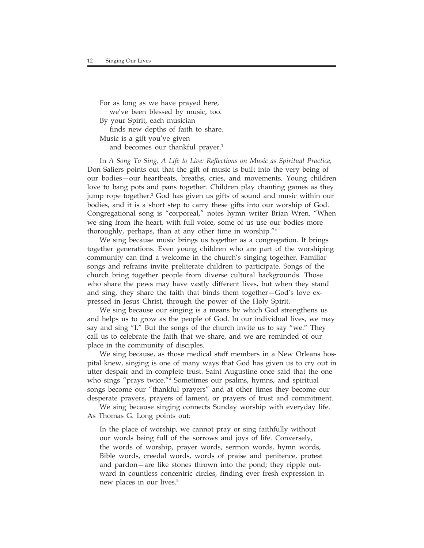For as long as we have prayed here, we've been blessed by music, too.

By your Spirit, each musician

finds new depths of faith to share.

Music is a gift you've given

and becomes our thankful prayer.<sup>1</sup>

In *A Song To Sing, A Life to Live: Reflections on Music as Spiritual Practice,* Don Saliers points out that the gift of music is built into the very being of our bodies—our heartbeats, breaths, cries, and movements. Young children love to bang pots and pans together. Children play chanting games as they jump rope together.<sup>2</sup> God has given us gifts of sound and music within our bodies, and it is a short step to carry these gifts into our worship of God. Congregational song is "corporeal," notes hymn writer Brian Wren. "When we sing from the heart, with full voice, some of us use our bodies more thoroughly, perhaps, than at any other time in worship."3

We sing because music brings us together as a congregation. It brings together generations. Even young children who are part of the worshiping community can find a welcome in the church's singing together. Familiar songs and refrains invite preliterate children to participate. Songs of the church bring together people from diverse cultural backgrounds. Those who share the pews may have vastly different lives, but when they stand and sing, they share the faith that binds them together—God's love expressed in Jesus Christ, through the power of the Holy Spirit.

We sing because our singing is a means by which God strengthens us and helps us to grow as the people of God. In our individual lives, we may say and sing "I." But the songs of the church invite us to say "we." They call us to celebrate the faith that we share, and we are reminded of our place in the community of disciples.

We sing because, as those medical staff members in a New Orleans hospital knew, singing is one of many ways that God has given us to cry out in utter despair and in complete trust. Saint Augustine once said that the one who sings "prays twice."4 Sometimes our psalms, hymns, and spiritual songs become our "thankful prayers" and at other times they become our desperate prayers, prayers of lament, or prayers of trust and commitment.

We sing because singing connects Sunday worship with everyday life. As Thomas G. Long points out:

In the place of worship, we cannot pray or sing faithfully without our words being full of the sorrows and joys of life. Conversely, the words of worship, prayer words, sermon words, hymn words, Bible words, creedal words, words of praise and penitence, protest and pardon—are like stones thrown into the pond; they ripple outward in countless concentric circles, finding ever fresh expression in new places in our lives.<sup>5</sup>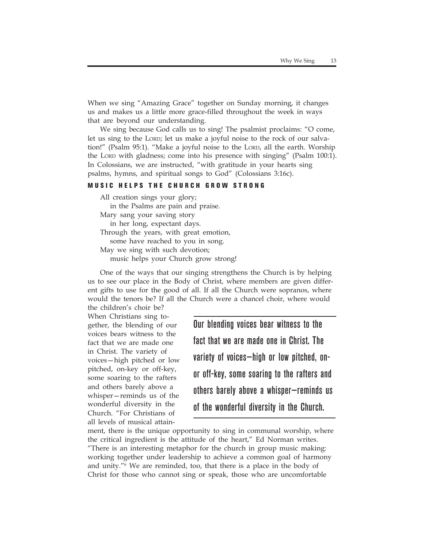When we sing "Amazing Grace" together on Sunday morning, it changes us and makes us a little more grace-filled throughout the week in ways that are beyond our understanding.

We sing because God calls us to sing! The psalmist proclaims: "O come, let us sing to the LORD; let us make a joyful noise to the rock of our salvation!" (Psalm 95:1). "Make a joyful noise to the LORD, all the earth. Worship the LORD with gladness; come into his presence with singing" (Psalm 100:1). In Colossians, we are instructed, "with gratitude in your hearts sing psalms, hymns, and spiritual songs to God" (Colossians 3:16c).

### **MUSIC HELPS THE CHURCH GROW STRONG**

All creation sings your glory;

in the Psalms are pain and praise.

Mary sang your saving story

in her long, expectant days.

Through the years, with great emotion,

some have reached to you in song.

May we sing with such devotion;

music helps your Church grow strong!

One of the ways that our singing strengthens the Church is by helping us to see our place in the Body of Christ, where members are given different gifts to use for the good of all. If all the Church were sopranos, where would the tenors be? If all the Church were a chancel choir, where would the children's choir be?

When Christians sing together, the blending of our voices bears witness to the fact that we are made one in Christ. The variety of voices—high pitched or low pitched, on-key or off-key, some soaring to the rafters and others barely above a whisper—reminds us of the wonderful diversity in the Church. "For Christians of all levels of musical attain-

Our blending voices bear witness to the fact that we are made one in Christ. The variety of voices—high or low pitched, onor off-key, some soaring to the rafters and others barely above a whisper—reminds us of the wonderful diversity in the Church.

ment, there is the unique opportunity to sing in communal worship, where the critical ingredient is the attitude of the heart," Ed Norman writes. "There is an interesting metaphor for the church in group music making: working together under leadership to achieve a common goal of harmony and unity."6 We are reminded, too, that there is a place in the body of Christ for those who cannot sing or speak, those who are uncomfortable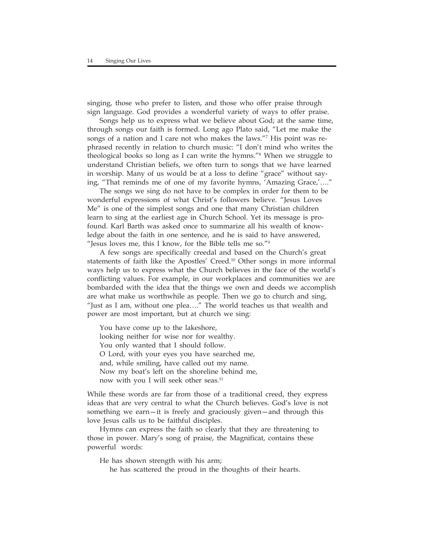singing, those who prefer to listen, and those who offer praise through sign language. God provides a wonderful variety of ways to offer praise.

Songs help us to express what we believe about God; at the same time, through songs our faith is formed. Long ago Plato said, "Let me make the songs of a nation and I care not who makes the laws."7 His point was rephrased recently in relation to church music: "I don't mind who writes the theological books so long as I can write the hymns."8 When we struggle to understand Christian beliefs, we often turn to songs that we have learned in worship. Many of us would be at a loss to define "grace" without saying, "That reminds me of one of my favorite hymns, 'Amazing Grace,'....'

The songs we sing do not have to be complex in order for them to be wonderful expressions of what Christ's followers believe. "Jesus Loves Me" is one of the simplest songs and one that many Christian children learn to sing at the earliest age in Church School. Yet its message is profound. Karl Barth was asked once to summarize all his wealth of knowledge about the faith in one sentence, and he is said to have answered, "Jesus loves me, this I know, for the Bible tells me so."9

A few songs are specifically creedal and based on the Church's great statements of faith like the Apostles' Creed.10 Other songs in more informal ways help us to express what the Church believes in the face of the world's conflicting values. For example, in our workplaces and communities we are bombarded with the idea that the things we own and deeds we accomplish are what make us worthwhile as people. Then we go to church and sing, "Just as I am, without one plea…." The world teaches us that wealth and power are most important, but at church we sing:

You have come up to the lakeshore, looking neither for wise nor for wealthy. You only wanted that I should follow. O Lord, with your eyes you have searched me, and, while smiling, have called out my name. Now my boat's left on the shoreline behind me, now with you I will seek other seas.<sup>11</sup>

While these words are far from those of a traditional creed, they express ideas that are very central to what the Church believes. God's love is not something we earn—it is freely and graciously given—and through this love Jesus calls us to be faithful disciples.

Hymns can express the faith so clearly that they are threatening to those in power. Mary's song of praise, the Magnificat, contains these powerful words:

He has shown strength with his arm;

he has scattered the proud in the thoughts of their hearts.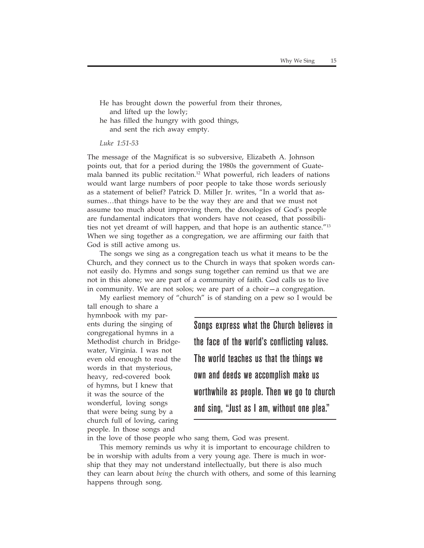He has brought down the powerful from their thrones, and lifted up the lowly;

he has filled the hungry with good things, and sent the rich away empty.

*Luke 1:51-53*

The message of the Magnificat is so subversive, Elizabeth A. Johnson points out, that for a period during the 1980s the government of Guatemala banned its public recitation.<sup>12</sup> What powerful, rich leaders of nations would want large numbers of poor people to take those words seriously as a statement of belief? Patrick D. Miller Jr. writes, "In a world that assumes…that things have to be the way they are and that we must not assume too much about improving them, the doxologies of God's people are fundamental indicators that wonders have not ceased, that possibilities not yet dreamt of will happen, and that hope is an authentic stance."13 When we sing together as a congregation, we are affirming our faith that God is still active among us.

The songs we sing as a congregation teach us what it means to be the Church, and they connect us to the Church in ways that spoken words cannot easily do. Hymns and songs sung together can remind us that we are not in this alone; we are part of a community of faith. God calls us to live in community. We are not solos; we are part of a choir—a congregation.

My earliest memory of "church" is of standing on a pew so I would be

tall enough to share a hymnbook with my parents during the singing of congregational hymns in a Methodist church in Bridgewater, Virginia. I was not even old enough to read the words in that mysterious, heavy, red-covered book of hymns, but I knew that it was the source of the wonderful, loving songs that were being sung by a church full of loving, caring people. In those songs and

Songs express what the Church believes in the face of the world's conflicting values. The world teaches us that the things we own and deeds we accomplish make us worthwhile as people. Then we go to church and sing, "Just as I am, without one plea."

in the love of those people who sang them, God was present.

This memory reminds us why it is important to encourage children to be in worship with adults from a very young age. There is much in worship that they may not understand intellectually, but there is also much they can learn about *being* the church with others, and some of this learning happens through song.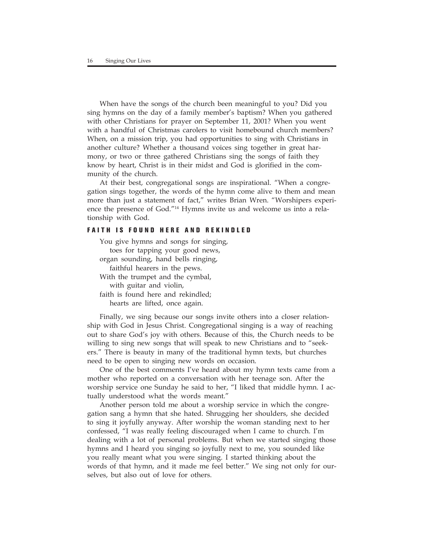When have the songs of the church been meaningful to you? Did you sing hymns on the day of a family member's baptism? When you gathered with other Christians for prayer on September 11, 2001? When you went with a handful of Christmas carolers to visit homebound church members? When, on a mission trip, you had opportunities to sing with Christians in another culture? Whether a thousand voices sing together in great harmony, or two or three gathered Christians sing the songs of faith they know by heart, Christ is in their midst and God is glorified in the community of the church.

At their best, congregational songs are inspirational. "When a congregation sings together, the words of the hymn come alive to them and mean more than just a statement of fact," writes Brian Wren. "Worshipers experience the presence of God."14 Hymns invite us and welcome us into a relationship with God.

### **FAITH IS FOUND HERE AND REKINDLED**

You give hymns and songs for singing, toes for tapping your good news, organ sounding, hand bells ringing, faithful hearers in the pews. With the trumpet and the cymbal, with guitar and violin, faith is found here and rekindled; hearts are lifted, once again.

Finally, we sing because our songs invite others into a closer relationship with God in Jesus Christ. Congregational singing is a way of reaching out to share God's joy with others. Because of this, the Church needs to be willing to sing new songs that will speak to new Christians and to "seekers." There is beauty in many of the traditional hymn texts, but churches need to be open to singing new words on occasion.

One of the best comments I've heard about my hymn texts came from a mother who reported on a conversation with her teenage son. After the worship service one Sunday he said to her, "I liked that middle hymn. I actually understood what the words meant."

Another person told me about a worship service in which the congregation sang a hymn that she hated. Shrugging her shoulders, she decided to sing it joyfully anyway. After worship the woman standing next to her confessed, "I was really feeling discouraged when I came to church. I'm dealing with a lot of personal problems. But when we started singing those hymns and I heard you singing so joyfully next to me, you sounded like you really meant what you were singing. I started thinking about the words of that hymn, and it made me feel better." We sing not only for ourselves, but also out of love for others.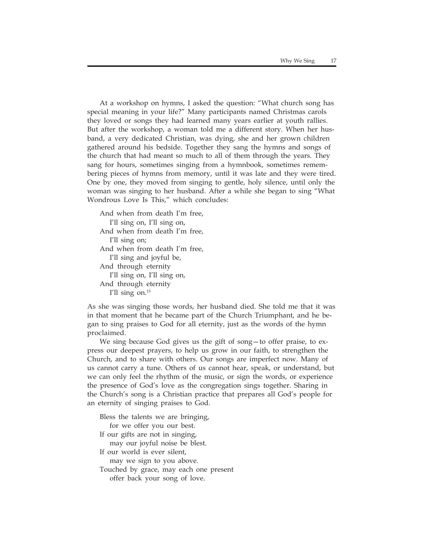At a workshop on hymns, I asked the question: "What church song has special meaning in your life?" Many participants named Christmas carols they loved or songs they had learned many years earlier at youth rallies. But after the workshop, a woman told me a different story. When her husband, a very dedicated Christian, was dying, she and her grown children gathered around his bedside. Together they sang the hymns and songs of the church that had meant so much to all of them through the years. They sang for hours, sometimes singing from a hymnbook, sometimes remembering pieces of hymns from memory, until it was late and they were tired. One by one, they moved from singing to gentle, holy silence, until only the woman was singing to her husband. After a while she began to sing "What Wondrous Love Is This," which concludes:

And when from death I'm free, I'll sing on, I'll sing on, And when from death I'm free, I'll sing on; And when from death I'm free, I'll sing and joyful be, And through eternity I'll sing on, I'll sing on, And through eternity I'll sing on.15

As she was singing those words, her husband died. She told me that it was in that moment that he became part of the Church Triumphant, and he began to sing praises to God for all eternity, just as the words of the hymn proclaimed.

We sing because God gives us the gift of song—to offer praise, to express our deepest prayers, to help us grow in our faith, to strengthen the Church, and to share with others. Our songs are imperfect now. Many of us cannot carry a tune. Others of us cannot hear, speak, or understand, but we can only feel the rhythm of the music, or sign the words, or experience the presence of God's love as the congregation sings together. Sharing in the Church's song is a Christian practice that prepares all God's people for an eternity of singing praises to God.

Bless the talents we are bringing, for we offer you our best. If our gifts are not in singing, may our joyful noise be blest. If our world is ever silent, may we sign to you above. Touched by grace, may each one present

offer back your song of love.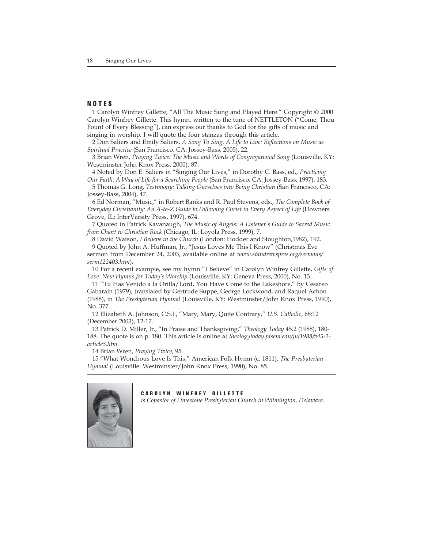### **NOTES**

1 Carolyn Winfrey Gillette, "All The Music Sung and Played Here." Copyright © 2000 Carolyn Winfrey Gillette. This hymn, written to the tune of NETTLETON ("Come, Thou Fount of Every Blessing"), can express our thanks to God for the gifts of music and singing in worship. I will quote the four stanzas through this article.

2 Don Saliers and Emily Saliers, *A Song To Sing, A Life to Live: Reflections on Music as Spiritual Practice* (San Francisco, CA: Jossey-Bass, 2005), 22.

3 Brian Wren, *Praying Twice: The Music and Words of Congregational Song* (Louisville, KY: Westminster John Knox Press, 2000), 87.

4 Noted by Don E. Saliers in "Singing Our Lives," in Dorothy C. Bass, ed., *Practicing Our Faith: A Way of Life for a Searching People* (San Francisco, CA: Jossey-Bass, 1997), 183.

5 Thomas G. Long, *Testimony: Talking Ourselves into Being Christian* (San Francisco, CA: Jossey-Bass, 2004), 47.

6 Ed Norman, "Music," in Robert Banks and R. Paul Stevens, eds., *The Complete Book of Everyday Christianity: An A-to-Z Guide to Following Christ in Every Aspect of Life* (Downers Grove, IL: InterVarsity Press, 1997), 674.

7 Quoted in Patrick Kavanaugh, *The Music of Angels: A Listener's Guide to Sacred Music from Chant to Christian Rock* (Chicago, IL: Loyola Press, 1999), 7.

8 David Watson, *I Believe in the Church* (London: Hodder and Stoughton,1982), 192.

9 Quoted by John A. Huffman, Jr., "Jesus Loves Me This I Know" (Christmas Eve sermon from December 24, 2003, available online at *www.standrewspres.org/sermons/ serm122403.htm*).

10 For a recent example, see my hymn "I Believe" in Carolyn Winfrey Gillette, *Gifts of Love: New Hymns for Today's Worship* (Louisville, KY: Geneva Press, 2000), No. 13.

11 "Tu Has Venido a la Orilla/Lord, You Have Come to the Lakeshore," by Cesareo Gabarain (1979), translated by Gertrude Suppe, George Lockwood, and Raquel Achon (1988), in *The Presbyterian Hymnal* (Louisville, KY: Westminster/John Knox Press, 1990), No. 377.

12 Elizabeth A. Johnson, C.S.J., "Mary, Mary, Quite Contrary," *U.S. Catholic*, 68:12 (December 2003), 12-17.

13 Patrick D. Miller, Jr., "In Praise and Thanksgiving," *Theology Today* 45.2 (1988), 180- 188. The quote is on p. 180. This article is online at *theologytoday.ptsem.edu/jul1988/v45-2 article3.htm*.

14 Brian Wren, *Praying Twice*, 95.

15 "What Wondrous Love Is This," American Folk Hymn (c. 1811), *The Presbyterian Hymnal* (Louisville: Westminster/John Knox Press, 1990), No. 85.



### **CAROLYN WINFREY GILLETTE**

*is Copastor of Limestone Presbyterian Church in Wilmington, Delaware.*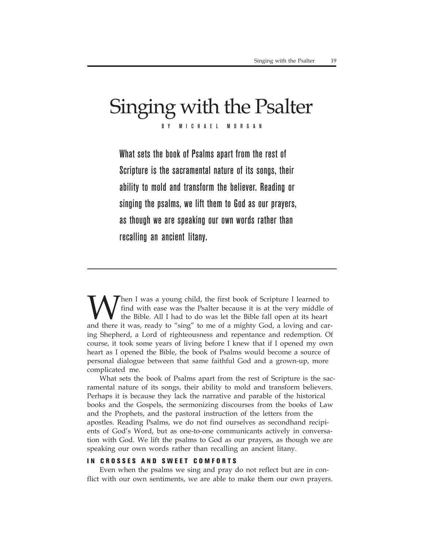# Singing with the Psalter

BY MICHAEL MORGAN

What sets the book of Psalms apart from the rest of Scripture is the sacramental nature of its songs, their ability to mold and transform the believer. Reading or singing the psalms, we lift them to God as our prayers, as though we are speaking our own words rather than recalling an ancient litany.

When I was a young child, the first book of Scripture I learned to find with ease was the Psalter because it is at the very middle of the Bible. All I had to do was let the Bible fall open at its heart and there it was rea find with ease was the Psalter because it is at the very middle of the Bible. All I had to do was let the Bible fall open at its heart and there it was, ready to "sing" to me of a mighty God, a loving and caring Shepherd, a Lord of righteousness and repentance and redemption. Of course, it took some years of living before I knew that if I opened my own heart as I opened the Bible, the book of Psalms would become a source of personal dialogue between that same faithful God and a grown-up, more complicated me.

What sets the book of Psalms apart from the rest of Scripture is the sacramental nature of its songs, their ability to mold and transform believers. Perhaps it is because they lack the narrative and parable of the historical books and the Gospels, the sermonizing discourses from the books of Law and the Prophets, and the pastoral instruction of the letters from the apostles. Reading Psalms, we do not find ourselves as secondhand recipients of God's Word, but as one-to-one communicants actively in conversation with God. We lift the psalms to God as our prayers, as though we are speaking our own words rather than recalling an ancient litany.

### **IN CROSSES AND SWEET COMFORTS**

Even when the psalms we sing and pray do not reflect but are in conflict with our own sentiments, we are able to make them our own prayers.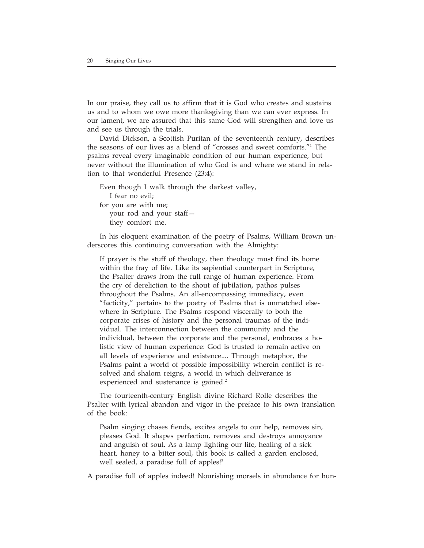In our praise, they call us to affirm that it is God who creates and sustains us and to whom we owe more thanksgiving than we can ever express. In our lament, we are assured that this same God will strengthen and love us and see us through the trials.

David Dickson, a Scottish Puritan of the seventeenth century, describes the seasons of our lives as a blend of "crosses and sweet comforts."1 The psalms reveal every imaginable condition of our human experience, but never without the illumination of who God is and where we stand in relation to that wonderful Presence (23:4):

Even though I walk through the darkest valley, I fear no evil; for you are with me; your rod and your staff they comfort me.

In his eloquent examination of the poetry of Psalms, William Brown underscores this continuing conversation with the Almighty:

If prayer is the stuff of theology, then theology must find its home within the fray of life. Like its sapiential counterpart in Scripture, the Psalter draws from the full range of human experience. From the cry of dereliction to the shout of jubilation, pathos pulses throughout the Psalms. An all-encompassing immediacy, even "facticity," pertains to the poetry of Psalms that is unmatched elsewhere in Scripture. The Psalms respond viscerally to both the corporate crises of history and the personal traumas of the individual. The interconnection between the community and the individual, between the corporate and the personal, embraces a holistic view of human experience: God is trusted to remain active on all levels of experience and existence.... Through metaphor, the Psalms paint a world of possible impossibility wherein conflict is resolved and shalom reigns, a world in which deliverance is experienced and sustenance is gained.<sup>2</sup>

The fourteenth-century English divine Richard Rolle describes the Psalter with lyrical abandon and vigor in the preface to his own translation of the book:

Psalm singing chases fiends, excites angels to our help, removes sin, pleases God. It shapes perfection, removes and destroys annoyance and anguish of soul. As a lamp lighting our life, healing of a sick heart, honey to a bitter soul, this book is called a garden enclosed, well sealed, a paradise full of apples!<sup>3</sup>

A paradise full of apples indeed! Nourishing morsels in abundance for hun-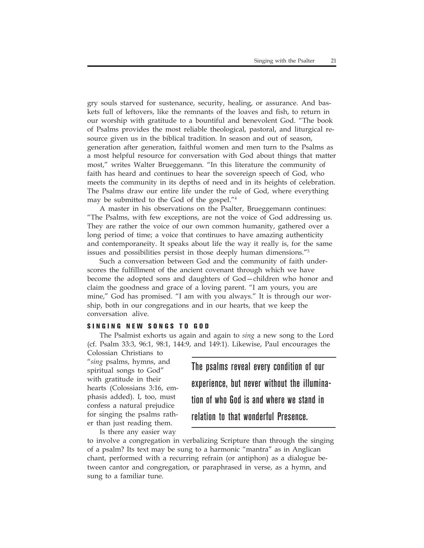gry souls starved for sustenance, security, healing, or assurance. And baskets full of leftovers, like the remnants of the loaves and fish, to return in our worship with gratitude to a bountiful and benevolent God. "The book of Psalms provides the most reliable theological, pastoral, and liturgical resource given us in the biblical tradition. In season and out of season, generation after generation, faithful women and men turn to the Psalms as a most helpful resource for conversation with God about things that matter most," writes Walter Brueggemann. "In this literature the community of faith has heard and continues to hear the sovereign speech of God, who meets the community in its depths of need and in its heights of celebration. The Psalms draw our entire life under the rule of God, where everything may be submitted to the God of the gospel."4

A master in his observations on the Psalter, Brueggemann continues: "The Psalms, with few exceptions, are not the voice of God addressing us. They are rather the voice of our own common humanity, gathered over a long period of time; a voice that continues to have amazing authenticity and contemporaneity. It speaks about life the way it really is, for the same issues and possibilities persist in those deeply human dimensions."5

Such a conversation between God and the community of faith underscores the fulfillment of the ancient covenant through which we have become the adopted sons and daughters of God—children who honor and claim the goodness and grace of a loving parent. "I am yours, you are mine," God has promised. "I am with you always." It is through our worship, both in our congregations and in our hearts, that we keep the conversation alive.

### **SINGING NEW SONGS TO GOD**

The Psalmist exhorts us again and again to *sing* a new song to the Lord (cf. Psalm 33:3, 96:1, 98:1, 144:9, and 149:1). Likewise, Paul encourages the

Colossian Christians to "*sing* psalms, hymns, and spiritual songs to God" with gratitude in their hearts (Colossians 3:16, emphasis added). I, too, must confess a natural prejudice for singing the psalms rather than just reading them.

Is there any easier way

The psalms reveal every condition of our experience, but never without the illumination of who God is and where we stand in relation to that wonderful Presence.

to involve a congregation in verbalizing Scripture than through the singing of a psalm? Its text may be sung to a harmonic "mantra" as in Anglican chant, performed with a recurring refrain (or antiphon) as a dialogue between cantor and congregation, or paraphrased in verse, as a hymn, and sung to a familiar tune.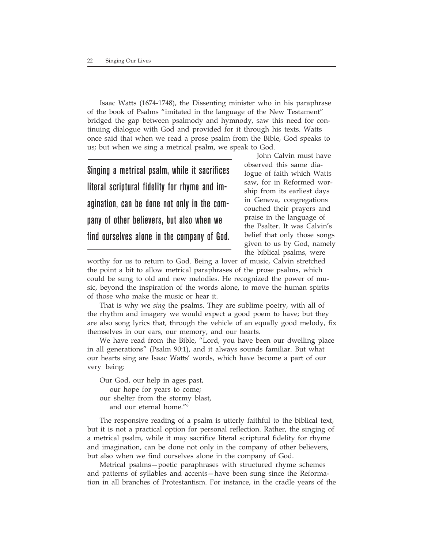Isaac Watts (1674-1748), the Dissenting minister who in his paraphrase of the book of Psalms "imitated in the language of the New Testament" bridged the gap between psalmody and hymnody, saw this need for continuing dialogue with God and provided for it through his texts. Watts once said that when we read a prose psalm from the Bible, God speaks to us; but when we sing a metrical psalm, we speak to God.

Singing a metrical psalm, while it sacrifices literal scriptural fidelity for rhyme and imagination, can be done not only in the company of other believers, but also when we find ourselves alone in the company of God.

John Calvin must have observed this same dialogue of faith which Watts saw, for in Reformed worship from its earliest days in Geneva, congregations couched their prayers and praise in the language of the Psalter. It was Calvin's belief that only those songs given to us by God, namely the biblical psalms, were

worthy for us to return to God. Being a lover of music, Calvin stretched the point a bit to allow metrical paraphrases of the prose psalms, which could be sung to old and new melodies. He recognized the power of music, beyond the inspiration of the words alone, to move the human spirits of those who make the music or hear it.

That is why we *sing* the psalms. They are sublime poetry, with all of the rhythm and imagery we would expect a good poem to have; but they are also song lyrics that, through the vehicle of an equally good melody, fix themselves in our ears, our memory, and our hearts.

We have read from the Bible, "Lord, you have been our dwelling place in all generations" (Psalm 90:1), and it always sounds familiar. But what our hearts sing are Isaac Watts' words, which have become a part of our very being:

Our God, our help in ages past, our hope for years to come; our shelter from the stormy blast, and our eternal home."6

The responsive reading of a psalm is utterly faithful to the biblical text, but it is not a practical option for personal reflection. Rather, the singing of a metrical psalm, while it may sacrifice literal scriptural fidelity for rhyme and imagination, can be done not only in the company of other believers, but also when we find ourselves alone in the company of God.

Metrical psalms—poetic paraphrases with structured rhyme schemes and patterns of syllables and accents—have been sung since the Reformation in all branches of Protestantism. For instance, in the cradle years of the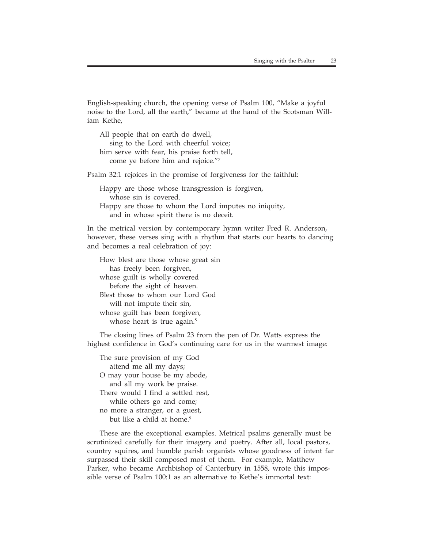English-speaking church, the opening verse of Psalm 100, "Make a joyful noise to the Lord, all the earth," became at the hand of the Scotsman William Kethe,

All people that on earth do dwell, sing to the Lord with cheerful voice; him serve with fear, his praise forth tell, come ye before him and rejoice."7

Psalm 32:1 rejoices in the promise of forgiveness for the faithful:

Happy are those whose transgression is forgiven, whose sin is covered. Happy are those to whom the Lord imputes no iniquity, and in whose spirit there is no deceit.

In the metrical version by contemporary hymn writer Fred R. Anderson, however, these verses sing with a rhythm that starts our hearts to dancing and becomes a real celebration of joy:

How blest are those whose great sin has freely been forgiven, whose guilt is wholly covered before the sight of heaven. Blest those to whom our Lord God will not impute their sin, whose guilt has been forgiven, whose heart is true again.<sup>8</sup>

The closing lines of Psalm 23 from the pen of Dr. Watts express the highest confidence in God's continuing care for us in the warmest image:

The sure provision of my God attend me all my days; O may your house be my abode, and all my work be praise. There would I find a settled rest, while others go and come; no more a stranger, or a guest, but like a child at home.<sup>9</sup>

These are the exceptional examples. Metrical psalms generally must be scrutinized carefully for their imagery and poetry. After all, local pastors, country squires, and humble parish organists whose goodness of intent far surpassed their skill composed most of them. For example, Matthew Parker, who became Archbishop of Canterbury in 1558, wrote this impossible verse of Psalm 100:1 as an alternative to Kethe's immortal text: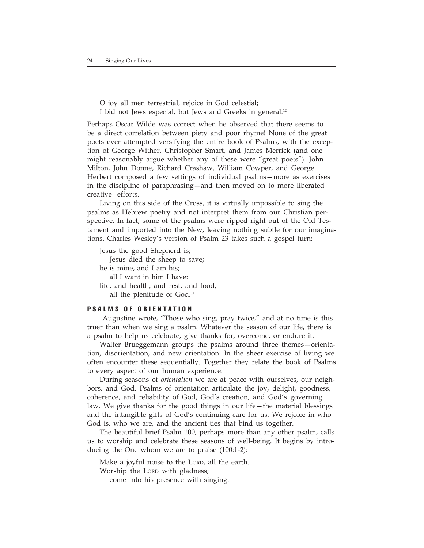O joy all men terrestrial, rejoice in God celestial; I bid not Jews especial, but Jews and Greeks in general.10

Perhaps Oscar Wilde was correct when he observed that there seems to be a direct correlation between piety and poor rhyme! None of the great poets ever attempted versifying the entire book of Psalms, with the exception of George Wither, Christopher Smart, and James Merrick (and one might reasonably argue whether any of these were "great poets"). John Milton, John Donne, Richard Crashaw, William Cowper, and George Herbert composed a few settings of individual psalms—more as exercises in the discipline of paraphrasing—and then moved on to more liberated creative efforts.

Living on this side of the Cross, it is virtually impossible to sing the psalms as Hebrew poetry and not interpret them from our Christian perspective. In fact, some of the psalms were ripped right out of the Old Testament and imported into the New, leaving nothing subtle for our imaginations. Charles Wesley's version of Psalm 23 takes such a gospel turn:

Jesus the good Shepherd is; Jesus died the sheep to save; he is mine, and I am his; all I want in him I have: life, and health, and rest, and food, all the plenitude of God.<sup>11</sup>

### **PSALMS OF ORIENTATION**

 Augustine wrote, "Those who sing, pray twice," and at no time is this truer than when we sing a psalm. Whatever the season of our life, there is a psalm to help us celebrate, give thanks for, overcome, or endure it.

Walter Brueggemann groups the psalms around three themes—orientation, disorientation, and new orientation. In the sheer exercise of living we often encounter these sequentially. Together they relate the book of Psalms to every aspect of our human experience.

During seasons of *orientation* we are at peace with ourselves, our neighbors, and God. Psalms of orientation articulate the joy, delight, goodness, coherence, and reliability of God, God's creation, and God's governing law. We give thanks for the good things in our life—the material blessings and the intangible gifts of God's continuing care for us. We rejoice in who God is, who we are, and the ancient ties that bind us together.

The beautiful brief Psalm 100, perhaps more than any other psalm, calls us to worship and celebrate these seasons of well-being. It begins by introducing the One whom we are to praise (100:1-2):

Make a joyful noise to the LORD, all the earth.

Worship the LORD with gladness;

come into his presence with singing.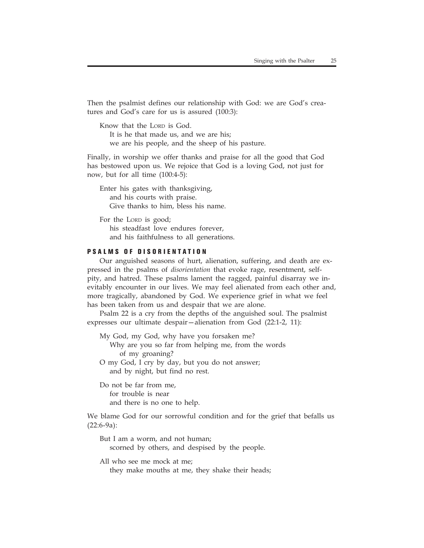Then the psalmist defines our relationship with God: we are God's creatures and God's care for us is assured (100:3):

Know that the LORD is God. It is he that made us, and we are his; we are his people, and the sheep of his pasture.

Finally, in worship we offer thanks and praise for all the good that God has bestowed upon us. We rejoice that God is a loving God, not just for now, but for all time (100:4-5):

Enter his gates with thanksgiving, and his courts with praise. Give thanks to him, bless his name.

For the LORD is good; his steadfast love endures forever, and his faithfulness to all generations.

### **PSALMS OF DISORIENTATION**

Our anguished seasons of hurt, alienation, suffering, and death are expressed in the psalms of *disorientation* that evoke rage, resentment, selfpity, and hatred. These psalms lament the ragged, painful disarray we inevitably encounter in our lives. We may feel alienated from each other and, more tragically, abandoned by God. We experience grief in what we feel has been taken from us and despair that we are alone.

Psalm 22 is a cry from the depths of the anguished soul. The psalmist expresses our ultimate despair—alienation from God (22:1-2, 11):

My God, my God, why have you forsaken me?

Why are you so far from helping me, from the words of my groaning?

O my God, I cry by day, but you do not answer; and by night, but find no rest.

Do not be far from me, for trouble is near and there is no one to help.

We blame God for our sorrowful condition and for the grief that befalls us (22:6-9a):

But I am a worm, and not human; scorned by others, and despised by the people.

All who see me mock at me;

they make mouths at me, they shake their heads;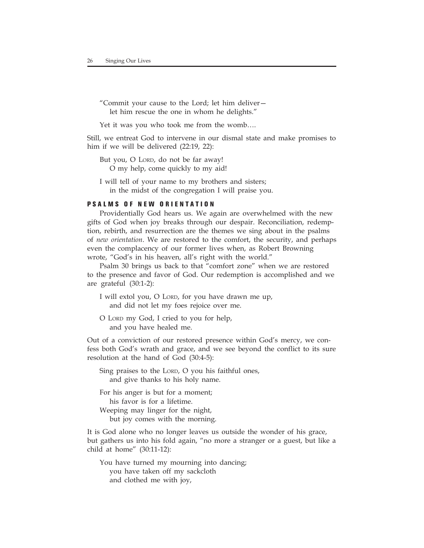"Commit your cause to the Lord; let him deliver let him rescue the one in whom he delights."

Yet it was you who took me from the womb….

Still, we entreat God to intervene in our dismal state and make promises to him if we will be delivered (22:19, 22):

But you, O LORD, do not be far away! O my help, come quickly to my aid!

I will tell of your name to my brothers and sisters; in the midst of the congregation I will praise you.

### **PSALMS OF NEW ORIENTATION**

Providentially God hears us. We again are overwhelmed with the new gifts of God when joy breaks through our despair. Reconciliation, redemption, rebirth, and resurrection are the themes we sing about in the psalms of *new orientation*. We are restored to the comfort, the security, and perhaps even the complacency of our former lives when, as Robert Browning wrote, "God's in his heaven, all's right with the world."

Psalm 30 brings us back to that "comfort zone" when we are restored to the presence and favor of God. Our redemption is accomplished and we are grateful (30:1-2):

I will extol you, O LORD, for you have drawn me up, and did not let my foes rejoice over me.

O LORD my God, I cried to you for help, and you have healed me.

Out of a conviction of our restored presence within God's mercy, we confess both God's wrath and grace, and we see beyond the conflict to its sure resolution at the hand of God (30:4-5):

Sing praises to the LORD, O you his faithful ones, and give thanks to his holy name. For his anger is but for a moment; his favor is for a lifetime. Weeping may linger for the night, but joy comes with the morning.

It is God alone who no longer leaves us outside the wonder of his grace, but gathers us into his fold again, "no more a stranger or a guest, but like a child at home" (30:11-12):

You have turned my mourning into dancing; you have taken off my sackcloth and clothed me with joy,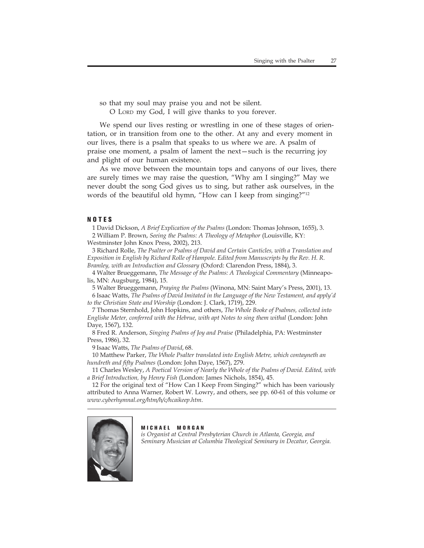so that my soul may praise you and not be silent.

O LORD my God, I will give thanks to you forever.

We spend our lives resting or wrestling in one of these stages of orientation, or in transition from one to the other. At any and every moment in our lives, there is a psalm that speaks to us where we are. A psalm of praise one moment, a psalm of lament the next—such is the recurring joy and plight of our human existence.

As we move between the mountain tops and canyons of our lives, there are surely times we may raise the question, "Why am I singing?" May we never doubt the song God gives us to sing, but rather ask ourselves, in the words of the beautiful old hymn, "How can I keep from singing?"<sup>12</sup>

### **NOTES**

1 David Dickson, *A Brief Explication of the Psalms* (London: Thomas Johnson, 1655), 3. 2 William P. Brown, *Seeing the Psalms: A Theology of Metaphor* (Louisville, KY:

Westminster John Knox Press, 2002), 213.

3 Richard Rolle, *The Psalter or Psalms of David and Certain Canticles, with a Translation and Exposition in English by Richard Rolle of Hampole. Edited from Manuscripts by the Rev. H. R. Bramley, with an Introduction and Glossary* (Oxford: Clarendon Press, 1884), 3.

4 Walter Brueggemann, *The Message of the Psalms: A Theological Commentary* (Minneapolis, MN: Augsburg, 1984), 15.

5 Walter Brueggemann, *Praying the Psalms* (Winona, MN: Saint Mary's Press, 2001), 13. 6 Isaac Watts, *The Psalms of David Imitated in the Language of the New Testament, and apply'd to the Christian State and Worship* (London: J. Clark, 1719), 229.

7 Thomas Sternhold, John Hopkins, and others, *The Whole Booke of Psalmes, collected into Englishe Meter, conferred with the Hebrue, with apt Notes to sing them withal* (London: John Daye, 1567), 132.

8 Fred R. Anderson, *Singing Psalms of Joy and Praise* (Philadelphia, PA: Westminster Press, 1986), 32.

9 Isaac Watts, *The Psalms of David*, 68.

10 Matthew Parker, *The Whole Psalter translated into English Metre, which contayneth an hundreth and fifty Psalmes* (London: John Daye, 1567), 279.

11 Charles Wesley, *A Poetical Version of Nearly the Whole of the Psalms of David. Edited, with a Brief Introduction, by Henry Fish* (London: James Nichols, 1854), 45.

12 For the original text of "How Can I Keep From Singing?" which has been variously attributed to Anna Warner, Robert W. Lowry, and others, see pp. 60-61 of this volume or *www.cyberhymnal.org/htm/h/c/hcaikeep.htm*.



#### **MICHAEL MORGAN**

*is Organist at Central Presbyterian Church in Atlanta, Georgia, and Seminary Musician at Columbia Theological Seminary in Decatur, Georgia.*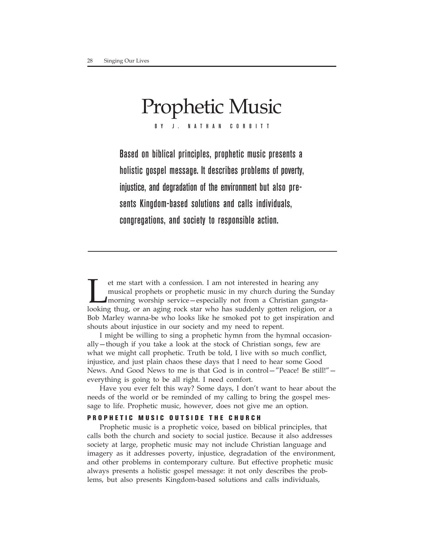## Prophetic Music BY J. NATHAN CORBITT

Based on biblical principles, prophetic music presents a holistic gospel message. It describes problems of poverty, injustice, and degradation of the environment but also presents Kingdom-based solutions and calls individuals, congregations, and society to responsible action.

et me start with a confession. I am not interested in hearing any musical prophets or prophetic music in my church during the Sumorning worship service—especially not from a Christian ganger looking thug or an aging rock s musical prophets or prophetic music in my church during the Sunday morning worship service—especially not from a Christian gangstalooking thug, or an aging rock star who has suddenly gotten religion, or a Bob Marley wanna-be who looks like he smoked pot to get inspiration and shouts about injustice in our society and my need to repent.

I might be willing to sing a prophetic hymn from the hymnal occasionally—though if you take a look at the stock of Christian songs, few are what we might call prophetic. Truth be told, I live with so much conflict, injustice, and just plain chaos these days that I need to hear some Good News. And Good News to me is that God is in control—"Peace! Be still!" everything is going to be all right. I need comfort.

Have you ever felt this way? Some days, I don't want to hear about the needs of the world or be reminded of my calling to bring the gospel message to life. Prophetic music, however, does not give me an option.

### **PROPHETIC MUSIC OUTSIDE THE CHURCH**

Prophetic music is a prophetic voice, based on biblical principles, that calls both the church and society to social justice. Because it also addresses society at large, prophetic music may not include Christian language and imagery as it addresses poverty, injustice, degradation of the environment, and other problems in contemporary culture. But effective prophetic music always presents a holistic gospel message: it not only describes the problems, but also presents Kingdom-based solutions and calls individuals,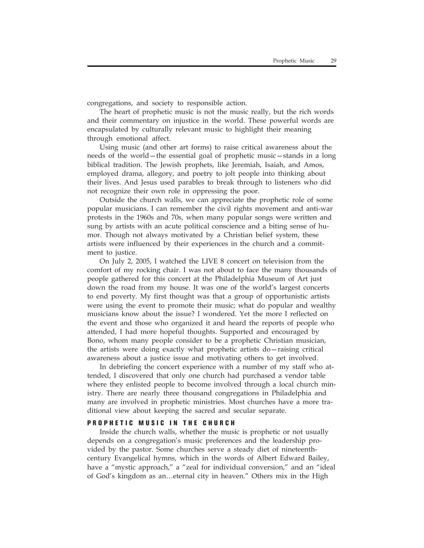congregations, and society to responsible action.

The heart of prophetic music is not the music really, but the rich words and their commentary on injustice in the world. These powerful words are encapsulated by culturally relevant music to highlight their meaning through emotional affect.

Using music (and other art forms) to raise critical awareness about the needs of the world—the essential goal of prophetic music—stands in a long biblical tradition. The Jewish prophets, like Jeremiah, Isaiah, and Amos, employed drama, allegory, and poetry to jolt people into thinking about their lives. And Jesus used parables to break through to listeners who did not recognize their own role in oppressing the poor.

Outside the church walls, we can appreciate the prophetic role of some popular musicians. I can remember the civil rights movement and anti-war protests in the 1960s and 70s, when many popular songs were written and sung by artists with an acute political conscience and a biting sense of humor. Though not always motivated by a Christian belief system, these artists were influenced by their experiences in the church and a commitment to justice.

On July 2, 2005, I watched the LIVE 8 concert on television from the comfort of my rocking chair. I was not about to face the many thousands of people gathered for this concert at the Philadelphia Museum of Art just down the road from my house. It was one of the world's largest concerts to end poverty. My first thought was that a group of opportunistic artists were using the event to promote their music; what do popular and wealthy musicians know about the issue? I wondered. Yet the more I reflected on the event and those who organized it and heard the reports of people who attended, I had more hopeful thoughts. Supported and encouraged by Bono, whom many people consider to be a prophetic Christian musician, the artists were doing exactly what prophetic artists do—raising critical awareness about a justice issue and motivating others to get involved.

In debriefing the concert experience with a number of my staff who attended, I discovered that only one church had purchased a vendor table where they enlisted people to become involved through a local church ministry. There are nearly three thousand congregations in Philadelphia and many are involved in prophetic ministries. Most churches have a more traditional view about keeping the sacred and secular separate.

### **PROPHETIC MUSIC IN THE CHURCH**

Inside the church walls, whether the music is prophetic or not usually depends on a congregation's music preferences and the leadership provided by the pastor. Some churches serve a steady diet of nineteenthcentury Evangelical hymns, which in the words of Albert Edward Bailey, have a "mystic approach," a "zeal for individual conversion," and an "ideal of God's kingdom as an…eternal city in heaven." Others mix in the High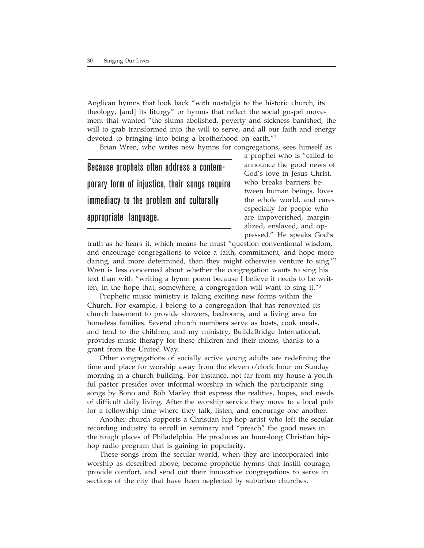Anglican hymns that look back "with nostalgia to the historic church, its theology, [and] its liturgy" or hymns that reflect the social gospel movement that wanted "the slums abolished, poverty and sickness banished, the will to grab transformed into the will to serve, and all our faith and energy devoted to bringing into being a brotherhood on earth."1

Brian Wren, who writes new hymns for congregations, sees himself as

Because prophets often address a contemporary form of injustice, their songs require immediacy to the problem and culturally appropriate language.

a prophet who is "called to announce the good news of God's love in Jesus Christ, who breaks barriers between human beings, loves the whole world, and cares especially for people who are impoverished, marginalized, enslaved, and oppressed." He speaks God's

truth as he hears it, which means he must "question conventional wisdom, and encourage congregations to voice a faith, commitment, and hope more daring, and more determined, than they might otherwise venture to sing."<sup>2</sup> Wren is less concerned about whether the congregation wants to sing his text than with "writing a hymn poem because I believe it needs to be written, in the hope that, somewhere, a congregation will want to sing it."3

Prophetic music ministry is taking exciting new forms within the Church. For example, I belong to a congregation that has renovated its church basement to provide showers, bedrooms, and a living area for homeless families. Several church members serve as hosts, cook meals, and tend to the children, and my ministry, BuildaBridge International, provides music therapy for these children and their moms, thanks to a grant from the United Way.

Other congregations of socially active young adults are redefining the time and place for worship away from the eleven o'clock hour on Sunday morning in a church building. For instance, not far from my house a youthful pastor presides over informal worship in which the participants sing songs by Bono and Bob Marley that express the realities, hopes, and needs of difficult daily living. After the worship service they move to a local pub for a fellowship time where they talk, listen, and encourage one another.

Another church supports a Christian hip-hop artist who left the secular recording industry to enroll in seminary and "preach" the good news in the tough places of Philadelphia. He produces an hour-long Christian hiphop radio program that is gaining in popularity.

These songs from the secular world, when they are incorporated into worship as described above, become prophetic hymns that instill courage, provide comfort, and send out their innovative congregations to serve in sections of the city that have been neglected by suburban churches.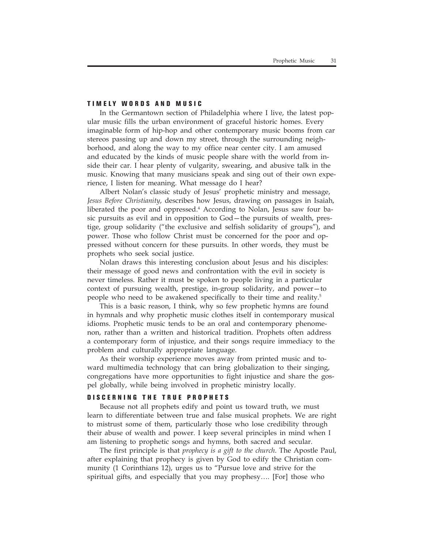### **TIMELY WORDS AND MUSIC**

In the Germantown section of Philadelphia where I live, the latest popular music fills the urban environment of graceful historic homes. Every imaginable form of hip-hop and other contemporary music booms from car stereos passing up and down my street, through the surrounding neighborhood, and along the way to my office near center city. I am amused and educated by the kinds of music people share with the world from inside their car. I hear plenty of vulgarity, swearing, and abusive talk in the music. Knowing that many musicians speak and sing out of their own experience, I listen for meaning. What message do I hear?

Albert Nolan's classic study of Jesus' prophetic ministry and message, *Jesus Before Christianity*, describes how Jesus, drawing on passages in Isaiah, liberated the poor and oppressed.<sup>4</sup> According to Nolan, Jesus saw four basic pursuits as evil and in opposition to God—the pursuits of wealth, prestige, group solidarity ("the exclusive and selfish solidarity of groups"), and power. Those who follow Christ must be concerned for the poor and oppressed without concern for these pursuits. In other words, they must be prophets who seek social justice.

Nolan draws this interesting conclusion about Jesus and his disciples: their message of good news and confrontation with the evil in society is never timeless. Rather it must be spoken to people living in a particular context of pursuing wealth, prestige, in-group solidarity, and power—to people who need to be awakened specifically to their time and reality.5

This is a basic reason, I think, why so few prophetic hymns are found in hymnals and why prophetic music clothes itself in contemporary musical idioms. Prophetic music tends to be an oral and contemporary phenomenon, rather than a written and historical tradition. Prophets often address a contemporary form of injustice, and their songs require immediacy to the problem and culturally appropriate language.

As their worship experience moves away from printed music and toward multimedia technology that can bring globalization to their singing, congregations have more opportunities to fight injustice and share the gospel globally, while being involved in prophetic ministry locally.

### **DISCERNING THE TRUE PROPHETS**

Because not all prophets edify and point us toward truth, we must learn to differentiate between true and false musical prophets. We are right to mistrust some of them, particularly those who lose credibility through their abuse of wealth and power. I keep several principles in mind when I am listening to prophetic songs and hymns, both sacred and secular.

The first principle is that *prophecy is a gift to the church*. The Apostle Paul, after explaining that prophecy is given by God to edify the Christian community (1 Corinthians 12), urges us to "Pursue love and strive for the spiritual gifts, and especially that you may prophesy…. [For] those who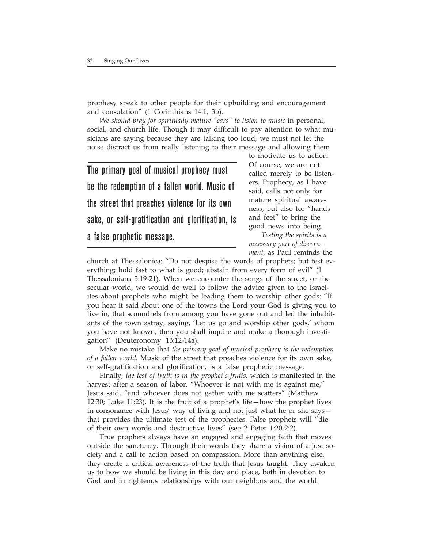prophesy speak to other people for their upbuilding and encouragement and consolation" (1 Corinthians 14:1, 3b).

*We should pray for spiritually mature "ears" to listen to music* in personal, social, and church life. Though it may difficult to pay attention to what musicians are saying because they are talking too loud, we must not let the noise distract us from really listening to their message and allowing them

The primary goal of musical prophecy must be the redemption of a fallen world. Music of the street that preaches violence for its own sake, or self-gratification and glorification, is a false prophetic message.

to motivate us to action. Of course, we are not called merely to be listeners. Prophecy, as I have said, calls not only for mature spiritual awareness, but also for "hands and feet" to bring the good news into being. *Testing the spirits is a*

*necessary part of discernment*, as Paul reminds the

church at Thessalonica: "Do not despise the words of prophets; but test everything; hold fast to what is good; abstain from every form of evil" (1 Thessalonians 5:19-21). When we encounter the songs of the street, or the secular world, we would do well to follow the advice given to the Israelites about prophets who might be leading them to worship other gods: "If you hear it said about one of the towns the Lord your God is giving you to live in, that scoundrels from among you have gone out and led the inhabitants of the town astray, saying, 'Let us go and worship other gods,' whom you have not known, then you shall inquire and make a thorough investigation" (Deuteronomy 13:12-14a).

Make no mistake that *the primary goal of musical prophecy is the redemption of a fallen world*. Music of the street that preaches violence for its own sake, or self-gratification and glorification, is a false prophetic message.

Finally, *the test of truth is in the prophet's fruits*, which is manifested in the harvest after a season of labor. "Whoever is not with me is against me," Jesus said, "and whoever does not gather with me scatters" (Matthew 12:30; Luke 11:23). It is the fruit of a prophet's life—how the prophet lives in consonance with Jesus' way of living and not just what he or she says that provides the ultimate test of the prophecies. False prophets will "die of their own words and destructive lives" (see 2 Peter 1:20-2:2).

True prophets always have an engaged and engaging faith that moves outside the sanctuary. Through their words they share a vision of a just society and a call to action based on compassion. More than anything else, they create a critical awareness of the truth that Jesus taught. They awaken us to how we should be living in this day and place, both in devotion to God and in righteous relationships with our neighbors and the world.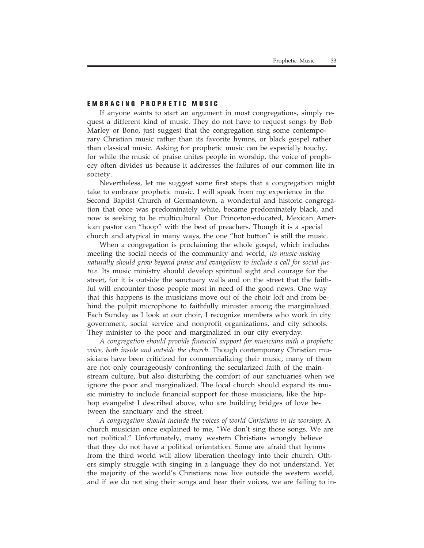### **EMBRACING PROPHETIC MUSIC**

If anyone wants to start an argument in most congregations, simply request a different kind of music. They do not have to request songs by Bob Marley or Bono, just suggest that the congregation sing some contemporary Christian music rather than its favorite hymns, or black gospel rather than classical music. Asking for prophetic music can be especially touchy, for while the music of praise unites people in worship, the voice of prophecy often divides us because it addresses the failures of our common life in society.

Nevertheless, let me suggest some first steps that a congregation might take to embrace prophetic music. I will speak from my experience in the Second Baptist Church of Germantown, a wonderful and historic congregation that once was predominately white, became predominately black, and now is seeking to be multicultural. Our Princeton-educated, Mexican American pastor can "hoop" with the best of preachers. Though it is a special church and atypical in many ways, the one "hot button" is still the music.

When a congregation is proclaiming the whole gospel, which includes meeting the social needs of the community and world, *its music-making naturally should grow beyond praise and evangelism to include a call for social justice*. Its music ministry should develop spiritual sight and courage for the street, for it is outside the sanctuary walls and on the street that the faithful will encounter those people most in need of the good news. One way that this happens is the musicians move out of the choir loft and from behind the pulpit microphone to faithfully minister among the marginalized. Each Sunday as I look at our choir, I recognize members who work in city government, social service and nonprofit organizations, and city schools. They minister to the poor and marginalized in our city everyday.

*A congregation should provide financial support for musicians with a prophetic voice, both inside and outside the church.* Though contemporary Christian musicians have been criticized for commercializing their music, many of them are not only courageously confronting the secularized faith of the mainstream culture, but also disturbing the comfort of our sanctuaries when we ignore the poor and marginalized. The local church should expand its music ministry to include financial support for those musicians, like the hiphop evangelist I described above, who are building bridges of love between the sanctuary and the street.

*A congregation should include the voices of world Christians in its worship.* A church musician once explained to me, "We don't sing those songs. We are not political." Unfortunately, many western Christians wrongly believe that they do not have a political orientation. Some are afraid that hymns from the third world will allow liberation theology into their church. Others simply struggle with singing in a language they do not understand. Yet the majority of the world's Christians now live outside the western world, and if we do not sing their songs and hear their voices, we are failing to in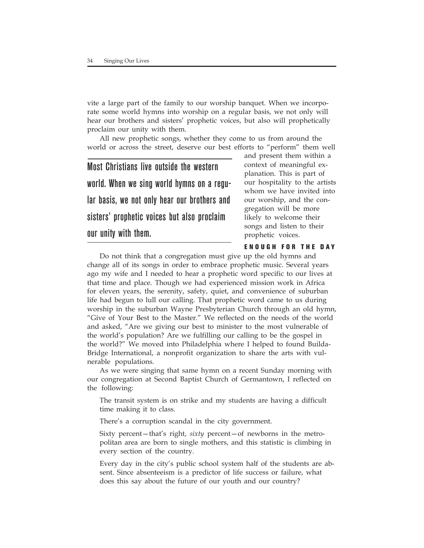vite a large part of the family to our worship banquet. When we incorporate some world hymns into worship on a regular basis, we not only will hear our brothers and sisters' prophetic voices, but also will prophetically proclaim our unity with them.

All new prophetic songs, whether they come to us from around the world or across the street, deserve our best efforts to "perform" them well

Most Christians live outside the western world. When we sing world hymns on a regular basis, we not only hear our brothers and sisters' prophetic voices but also proclaim our unity with them.

and present them within a context of meaningful explanation. This is part of our hospitality to the artists whom we have invited into our worship, and the congregation will be more likely to welcome their songs and listen to their prophetic voices.

### **ENOUGH FOR THE DAY**

Do not think that a congregation must give up the old hymns and change all of its songs in order to embrace prophetic music. Several years ago my wife and I needed to hear a prophetic word specific to our lives at that time and place. Though we had experienced mission work in Africa for eleven years, the serenity, safety, quiet, and convenience of suburban life had begun to lull our calling. That prophetic word came to us during worship in the suburban Wayne Presbyterian Church through an old hymn, "Give of Your Best to the Master." We reflected on the needs of the world and asked, "Are we giving our best to minister to the most vulnerable of the world's population? Are we fulfilling our calling to be the gospel in the world?" We moved into Philadelphia where I helped to found Builda-Bridge International, a nonprofit organization to share the arts with vulnerable populations.

As we were singing that same hymn on a recent Sunday morning with our congregation at Second Baptist Church of Germantown, I reflected on the following:

The transit system is on strike and my students are having a difficult time making it to class.

There's a corruption scandal in the city government.

Sixty percent—that's right, *sixty* percent—of newborns in the metropolitan area are born to single mothers, and this statistic is climbing in every section of the country.

Every day in the city's public school system half of the students are absent. Since absenteeism is a predictor of life success or failure, what does this say about the future of our youth and our country?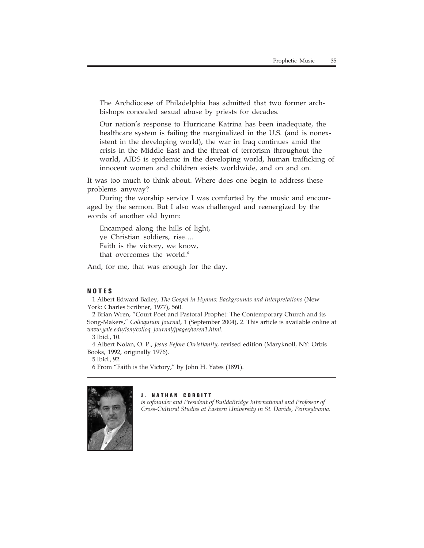The Archdiocese of Philadelphia has admitted that two former archbishops concealed sexual abuse by priests for decades.

Our nation's response to Hurricane Katrina has been inadequate, the healthcare system is failing the marginalized in the U.S. (and is nonexistent in the developing world), the war in Iraq continues amid the crisis in the Middle East and the threat of terrorism throughout the world, AIDS is epidemic in the developing world, human trafficking of innocent women and children exists worldwide, and on and on.

It was too much to think about. Where does one begin to address these problems anyway?

During the worship service I was comforted by the music and encouraged by the sermon. But I also was challenged and reenergized by the words of another old hymn:

Encamped along the hills of light, ye Christian soldiers, rise…. Faith is the victory, we know, that overcomes the world.<sup>6</sup>

And, for me, that was enough for the day.

### **NOTES**

1 Albert Edward Bailey, *The Gospel in Hymns: Backgrounds and Interpretations* (New York: Charles Scribner, 1977), 560.

2 Brian Wren, "Court Poet and Pastoral Prophet: The Contemporary Church and its Song-Makers," *Colloquium Journal*, 1 (September 2004), 2. This article is available online at *www.yale.edu/ism/colloq\_journal/jpages/wren1.html*.

3 Ibid., 10.

4 Albert Nolan, O. P., *Jesus Before Christianity*, revised edition (Maryknoll, NY: Orbis Books, 1992, originally 1976).

5 Ibid., 92.

6 From "Faith is the Victory," by John H. Yates (1891).



#### **J. NATHAN CORBITT**

*is cofounder and President of BuildaBridge International and Professor of Cross-Cultural Studies at Eastern University in St. Davids, Pennsylvania.*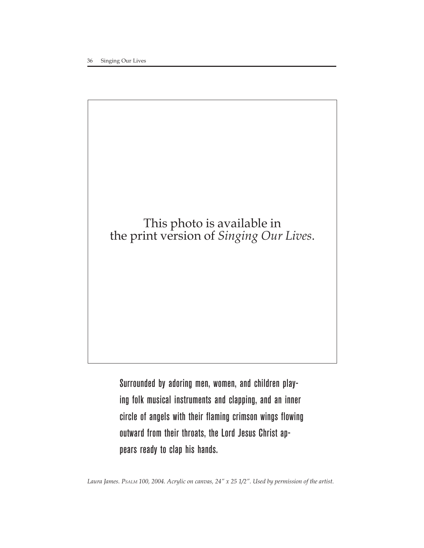

Surrounded by adoring men, women, and children playing folk musical instruments and clapping, and an inner circle of angels with their flaming crimson wings flowing outward from their throats, the Lord Jesus Christ appears ready to clap his hands.

*Laura James. PSALM 100, 2004. Acrylic on canvas, 24" x 25 1/2". Used by permission of the artist.*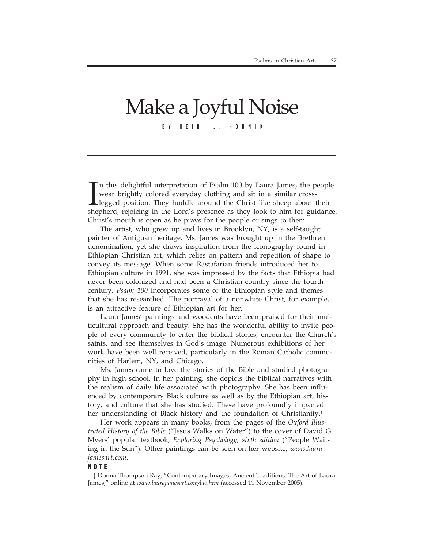### Make a Joyful Noise BY HEIDI J. HORNIK

 $\prod_{\text{shear}}$ n this delightful interpretation of Psalm 100 by Laura James, the people wear brightly colored everyday clothing and sit in a similar crosslegged position. They huddle around the Christ like sheep about their shepherd, rejoicing in the Lord's presence as they look to him for guidance. Christ's mouth is open as he prays for the people or sings to them.

The artist, who grew up and lives in Brooklyn, NY, is a self-taught painter of Antiguan heritage. Ms. James was brought up in the Brethren denomination, yet she draws inspiration from the iconography found in Ethiopian Christian art, which relies on pattern and repetition of shape to convey its message. When some Rastafarian friends introduced her to Ethiopian culture in 1991, she was impressed by the facts that Ethiopia had never been colonized and had been a Christian country since the fourth century. *Psalm 100* incorporates some of the Ethiopian style and themes that she has researched. The portrayal of a nonwhite Christ, for example, is an attractive feature of Ethiopian art for her.

Laura James' paintings and woodcuts have been praised for their multicultural approach and beauty. She has the wonderful ability to invite people of every community to enter the biblical stories, encounter the Church's saints, and see themselves in God's image. Numerous exhibitions of her work have been well received, particularly in the Roman Catholic communities of Harlem, NY, and Chicago.

Ms. James came to love the stories of the Bible and studied photography in high school. In her painting, she depicts the biblical narratives with the realism of daily life associated with photography. She has been influenced by contemporary Black culture as well as by the Ethiopian art, history, and culture that she has studied. These have profoundly impacted her understanding of Black history and the foundation of Christianity.†

Her work appears in many books, from the pages of the *Oxford Illustrated History of the Bible* ("Jesus Walks on Water") to the cover of David G. Myers' popular textbook, *Exploring Psychology, sixth edition* ("People Waiting in the Sun"). Other paintings can be seen on her website, *www.laurajamesart.com*.

#### **NOTE**

† Donna Thompson Ray, "Contemporary Images, Ancient Traditions: The Art of Laura James," online at *www.laurajamesart.com/bio.htm* (accessed 11 November 2005).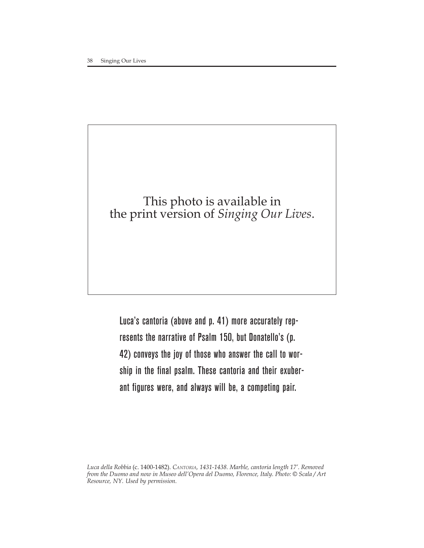### This photo is available in the print version of *Singing Our Lives*.

Luca's cantoria (above and p. 41) more accurately represents the narrative of Psalm 150, but Donatello's (p. 42) conveys the joy of those who answer the call to worship in the final psalm. These cantoria and their exuberant figures were, and always will be, a competing pair.

*Luca della Robbia* (c. 1400-1482). *CANTORIA, 1431-1438. Marble, cantoria length 17'. Removed from the Duomo and now in Museo dell'Opera del Duomo, Florence, Italy. Photo: © Scala / Art Resource, NY. Used by permission.*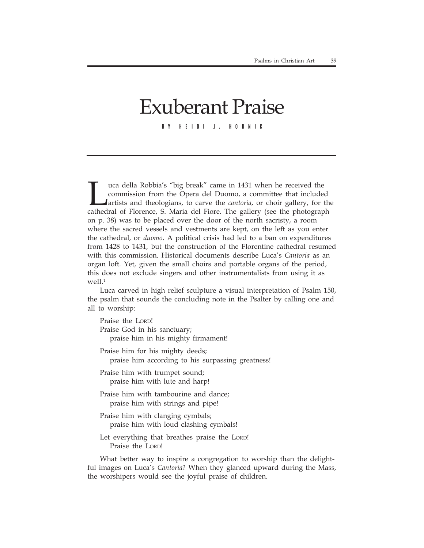### Exuberant Praise

BY HEIDI J. HORNIK

I uca della Robbia's "big break" came in 1431 when he received the commission from the Opera del Duomo, a committee that include<br>I artists and theologians, to carve the *cantoria*, or choir gallery, for cathedral of Floren commission from the Opera del Duomo, a committee that included artists and theologians, to carve the *cantoria*, or choir gallery, for the cathedral of Florence, S. Maria del Fiore. The gallery (see the photograph on p. 38) was to be placed over the door of the north sacristy, a room where the sacred vessels and vestments are kept, on the left as you enter the cathedral, or *duomo*. A political crisis had led to a ban on expenditures from 1428 to 1431, but the construction of the Florentine cathedral resumed with this commission. Historical documents describe Luca's *Cantoria* as an organ loft. Yet, given the small choirs and portable organs of the period, this does not exclude singers and other instrumentalists from using it as well.<sup>1</sup>

Luca carved in high relief sculpture a visual interpretation of Psalm 150, the psalm that sounds the concluding note in the Psalter by calling one and all to worship:

Praise the LORD! Praise God in his sanctuary; praise him in his mighty firmament!

- Praise him for his mighty deeds; praise him according to his surpassing greatness!
- Praise him with trumpet sound; praise him with lute and harp!
- Praise him with tambourine and dance; praise him with strings and pipe!
- Praise him with clanging cymbals; praise him with loud clashing cymbals!
- Let everything that breathes praise the LORD! Praise the LORD!

What better way to inspire a congregation to worship than the delightful images on Luca's *Cantoria*? When they glanced upward during the Mass, the worshipers would see the joyful praise of children.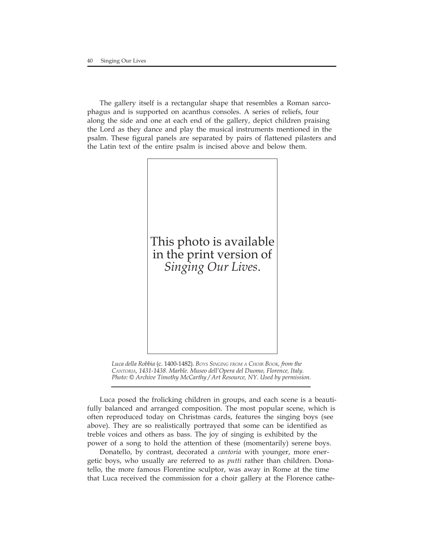The gallery itself is a rectangular shape that resembles a Roman sarcophagus and is supported on acanthus consoles. A series of reliefs, four along the side and one at each end of the gallery, depict children praising the Lord as they dance and play the musical instruments mentioned in the psalm. These figural panels are separated by pairs of flattened pilasters and the Latin text of the entire psalm is incised above and below them.



*Luca della Robbia* (c. 1400-1482). *BOYS SINGING FROM A CHOIR BOOK, from the CANTORIA, 1431-1438. Marble. Museo dell'Opera del Duomo, Florence, Italy. Photo: © Archive Timothy McCarthy / Art Resource, NY. Used by permission.*

Luca posed the frolicking children in groups, and each scene is a beautifully balanced and arranged composition. The most popular scene, which is often reproduced today on Christmas cards, features the singing boys (see above). They are so realistically portrayed that some can be identified as treble voices and others as bass. The joy of singing is exhibited by the power of a song to hold the attention of these (momentarily) serene boys.

Donatello, by contrast, decorated a *cantoria* with younger, more energetic boys, who usually are referred to as *putti* rather than children. Donatello, the more famous Florentine sculptor, was away in Rome at the time that Luca received the commission for a choir gallery at the Florence cathe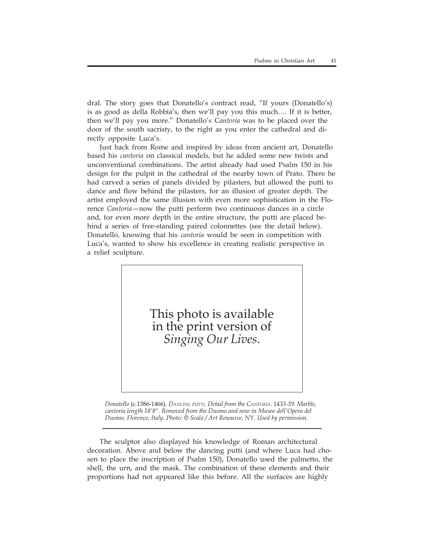dral. The story goes that Donatello's contract read, "If yours (Donatello's) is as good as della Robbia's, then we'll pay you this much…. If it is better, then we'll pay you more." Donatello's C*antoria* was to be placed over the door of the south sacristy, to the right as you enter the cathedral and directly opposite Luca's.

Just back from Rome and inspired by ideas from ancient art, Donatello based his *cantoria* on classical models, but he added some new twists and unconventional combinations. The artist already had used Psalm 150 in his design for the pulpit in the cathedral of the nearby town of Prato. There he had carved a series of panels divided by pilasters, but allowed the putti to dance and flow behind the pilasters, for an illusion of greater depth. The artist employed the same illusion with even more sophistication in the Florence *Cantoria*—now the putti perform two continuous dances in a circle and, for even more depth in the entire structure, the putti are placed behind a series of free-standing paired colonnettes (see the detail below). Donatello, knowing that his *cantoria* would be seen in competition with Luca's, wanted to show his excellence in creating realistic perspective in a relief sculpture.



*Donatello* (c.1386-1466). *DANCING PUTTI. Detail from the CANTORIA. 1433-39. Marble, cantoria length 18'8". Removed from the Duomo and now in Museo dell'Opera del Duomo, Florence, Italy. Photo: © Scala / Art Resource, NY. Used by permission.*

The sculptor also displayed his knowledge of Roman architectural decoration. Above and below the dancing putti (and where Luca had chosen to place the inscription of Psalm 150), Donatello used the palmetto, the shell, the urn, and the mask. The combination of these elements and their proportions had not appeared like this before. All the surfaces are highly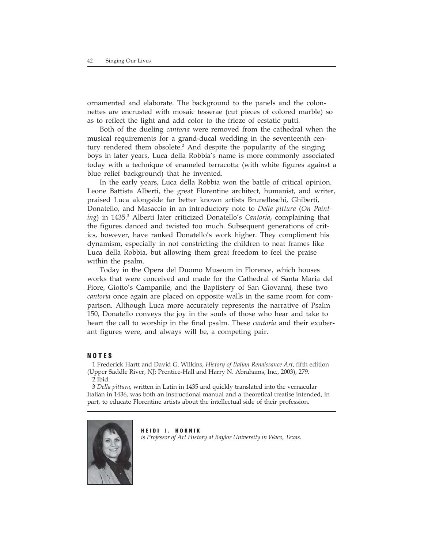ornamented and elaborate. The background to the panels and the colonnettes are encrusted with mosaic tesserae (cut pieces of colored marble) so as to reflect the light and add color to the frieze of ecstatic putti.

Both of the dueling *cantoria* were removed from the cathedral when the musical requirements for a grand-ducal wedding in the seventeenth century rendered them obsolete.<sup>2</sup> And despite the popularity of the singing boys in later years, Luca della Robbia's name is more commonly associated today with a technique of enameled terracotta (with white figures against a blue relief background) that he invented.

In the early years, Luca della Robbia won the battle of critical opinion. Leone Battista Alberti, the great Florentine architect, humanist, and writer, praised Luca alongside far better known artists Brunelleschi, Ghiberti, Donatello, and Masaccio in an introductory note to *Della pittura* (*On Painting*) in 1435*.* <sup>3</sup> Alberti later criticized Donatello's *Cantoria*, complaining that the figures danced and twisted too much. Subsequent generations of critics, however, have ranked Donatello's work higher. They compliment his dynamism, especially in not constricting the children to neat frames like Luca della Robbia, but allowing them great freedom to feel the praise within the psalm.

Today in the Opera del Duomo Museum in Florence, which houses works that were conceived and made for the Cathedral of Santa Maria del Fiore, Giotto's Campanile, and the Baptistery of San Giovanni, these two *cantoria* once again are placed on opposite walls in the same room for comparison. Although Luca more accurately represents the narrative of Psalm 150, Donatello conveys the joy in the souls of those who hear and take to heart the call to worship in the final psalm. These *cantoria* and their exuberant figures were, and always will be, a competing pair.

#### **NOTES**

1 Frederick Hartt and David G. Wilkins, *History of Italian Renaissance Art*, fifth edition (Upper Saddle River, NJ: Prentice-Hall and Harry N. Abrahams, Inc., 2003), 279. 2 Ibid.

3 *Della pittura*, written in Latin in 1435 and quickly translated into the vernacular Italian in 1436, was both an instructional manual and a theoretical treatise intended, in part, to educate Florentine artists about the intellectual side of their profession.



**HEIDI J. HORNIK** *is Professor of Art History at Baylor University in Waco, Texas.*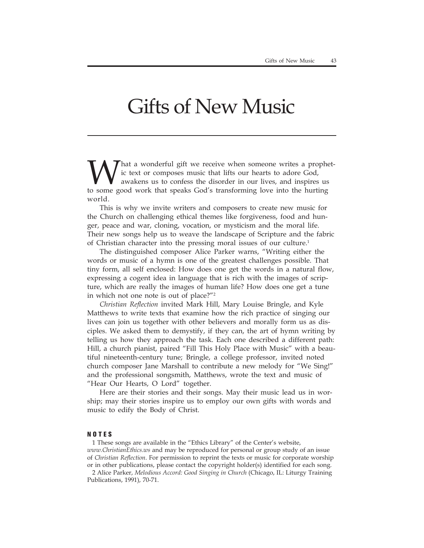### Gifts of New Music

hat a wonderful gift we receive when someone writes a prophetic text or composes music that lifts our hearts to adore God, awakens us to confess the disorder in our lives, and inspires us to some good work that speaks God's transforming love into the hurting world.

This is why we invite writers and composers to create new music for the Church on challenging ethical themes like forgiveness, food and hunger, peace and war, cloning, vocation, or mysticism and the moral life. Their new songs help us to weave the landscape of Scripture and the fabric of Christian character into the pressing moral issues of our culture.<sup>1</sup>

The distinguished composer Alice Parker warns, "Writing either the words or music of a hymn is one of the greatest challenges possible. That tiny form, all self enclosed: How does one get the words in a natural flow, expressing a cogent idea in language that is rich with the images of scripture, which are really the images of human life? How does one get a tune in which not one note is out of place?"2

*Christian Reflection* invited Mark Hill, Mary Louise Bringle, and Kyle Matthews to write texts that examine how the rich practice of singing our lives can join us together with other believers and morally form us as disciples. We asked them to demystify, if they can, the art of hymn writing by telling us how they approach the task. Each one described a different path: Hill, a church pianist, paired "Fill This Holy Place with Music" with a beautiful nineteenth-century tune; Bringle, a college professor, invited noted church composer Jane Marshall to contribute a new melody for "We Sing!" and the professional songsmith, Matthews, wrote the text and music of "Hear Our Hearts, O Lord" together.

Here are their stories and their songs. May their music lead us in worship; may their stories inspire us to employ our own gifts with words and music to edify the Body of Christ.

#### **NOTES**

1 These songs are available in the "Ethics Library" of the Center's website, *www.ChristianEthics.ws* and may be reproduced for personal or group study of an issue of *Christian Reflection*. For permission to reprint the texts or music for corporate worship or in other publications, please contact the copyright holder(s) identified for each song.

2 Alice Parker, *Melodious Accord: Good Singing in Church* (Chicago, IL: Liturgy Training Publications, 1991), 70-71.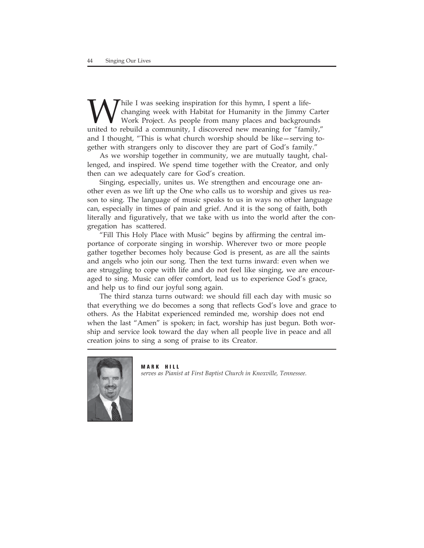While I was seeking inspiration for this hymn, I spent a life-<br>Changing week with Habitat for Humanity in the Jimmy (Work Project. As people from many places and backgrour<br>united to rebuild a community I discovered new mea changing week with Habitat for Humanity in the Jimmy Carter Work Project. As people from many places and backgrounds united to rebuild a community, I discovered new meaning for "family," and I thought, "This is what church worship should be like—serving together with strangers only to discover they are part of God's family."

As we worship together in community, we are mutually taught, challenged, and inspired. We spend time together with the Creator, and only then can we adequately care for God's creation.

Singing, especially, unites us. We strengthen and encourage one another even as we lift up the One who calls us to worship and gives us reason to sing. The language of music speaks to us in ways no other language can, especially in times of pain and grief. And it is the song of faith, both literally and figuratively, that we take with us into the world after the congregation has scattered.

"Fill This Holy Place with Music" begins by affirming the central importance of corporate singing in worship. Wherever two or more people gather together becomes holy because God is present, as are all the saints and angels who join our song. Then the text turns inward: even when we are struggling to cope with life and do not feel like singing, we are encouraged to sing. Music can offer comfort, lead us to experience God's grace, and help us to find our joyful song again.

The third stanza turns outward: we should fill each day with music so that everything we do becomes a song that reflects God's love and grace to others. As the Habitat experienced reminded me, worship does not end when the last "Amen" is spoken; in fact, worship has just begun. Both worship and service look toward the day when all people live in peace and all creation joins to sing a song of praise to its Creator.



**MARK HILL** *serves as Pianist at First Baptist Church in Knoxville, Tennessee.*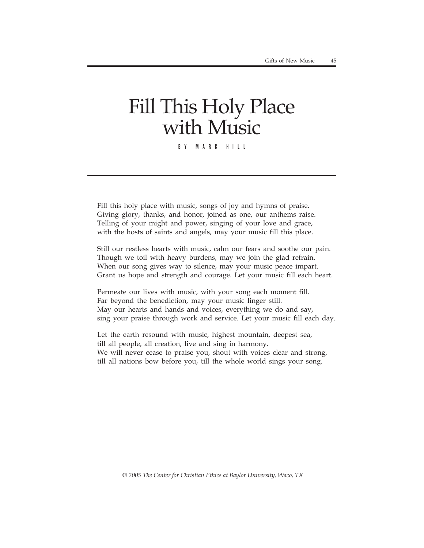## Fill This Holy Place with Music

#### BY MARK HILL

Fill this holy place with music, songs of joy and hymns of praise. Giving glory, thanks, and honor, joined as one, our anthems raise. Telling of your might and power, singing of your love and grace, with the hosts of saints and angels, may your music fill this place.

Still our restless hearts with music, calm our fears and soothe our pain. Though we toil with heavy burdens, may we join the glad refrain. When our song gives way to silence, may your music peace impart. Grant us hope and strength and courage. Let your music fill each heart.

Permeate our lives with music, with your song each moment fill. Far beyond the benediction, may your music linger still. May our hearts and hands and voices, everything we do and say, sing your praise through work and service. Let your music fill each day.

Let the earth resound with music, highest mountain, deepest sea, till all people, all creation, live and sing in harmony. We will never cease to praise you, shout with voices clear and strong, till all nations bow before you, till the whole world sings your song.

*© 2005 The Center for Christian Ethics at Baylor University, Waco, TX*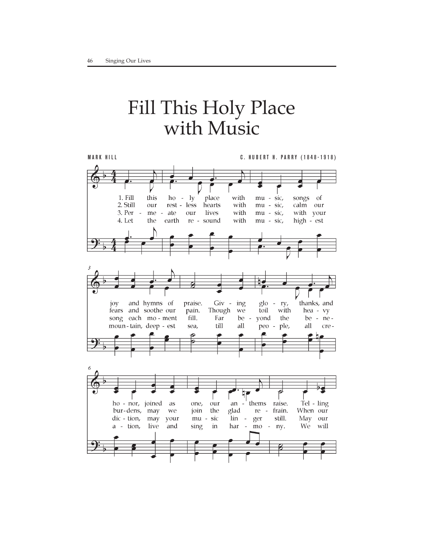### Fill This Holy Place with Music

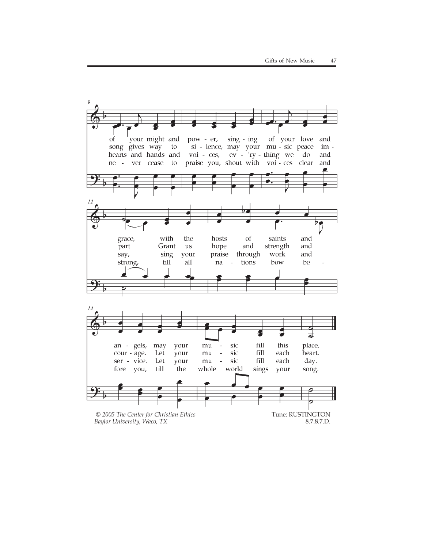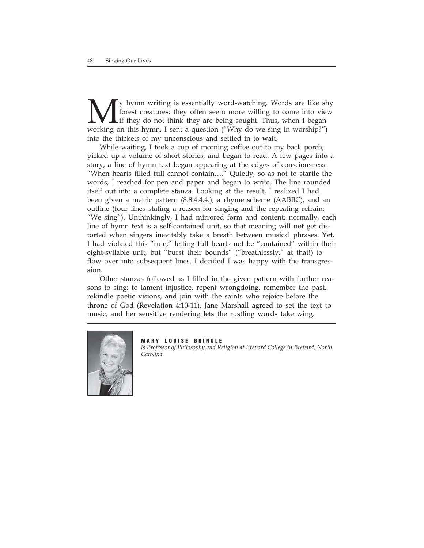**My** hymn writing is essentially word-watching. Words are like shy forest creatures: they often seem more willing to come into view  $\mathbf{F}$  if they do not think they are being sought. Thus, when I began working on this hy forest creatures: they often seem more willing to come into view if they do not think they are being sought. Thus, when I began working on this hymn, I sent a question ("Why do we sing in worship?") into the thickets of my unconscious and settled in to wait.

While waiting, I took a cup of morning coffee out to my back porch, picked up a volume of short stories, and began to read. A few pages into a story, a line of hymn text began appearing at the edges of consciousness: "When hearts filled full cannot contain…." Quietly, so as not to startle the words, I reached for pen and paper and began to write. The line rounded itself out into a complete stanza. Looking at the result, I realized I had been given a metric pattern (8.8.4.4.4.), a rhyme scheme (AABBC), and an outline (four lines stating a reason for singing and the repeating refrain: "We sing"). Unthinkingly, I had mirrored form and content; normally, each line of hymn text is a self-contained unit, so that meaning will not get distorted when singers inevitably take a breath between musical phrases. Yet, I had violated this "rule," letting full hearts not be "contained" within their eight-syllable unit, but "burst their bounds" ("breathlessly," at that!) to flow over into subsequent lines. I decided I was happy with the transgression.

Other stanzas followed as I filled in the given pattern with further reasons to sing: to lament injustice, repent wrongdoing, remember the past, rekindle poetic visions, and join with the saints who rejoice before the throne of God (Revelation 4:10-11). Jane Marshall agreed to set the text to music, and her sensitive rendering lets the rustling words take wing.



**MARY LOUISE BRINGLE** *is Professor of Philosophy and Religion at Brevard College in Brevard, North Carolina.*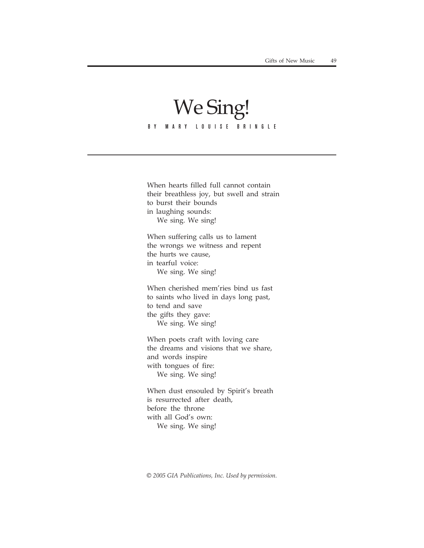### We Sing! BY MARY LOUISE BRINGLE

When hearts filled full cannot contain their breathless joy, but swell and strain to burst their bounds in laughing sounds: We sing. We sing!

When suffering calls us to lament the wrongs we witness and repent the hurts we cause, in tearful voice: We sing. We sing!

When cherished mem'ries bind us fast to saints who lived in days long past, to tend and save the gifts they gave: We sing. We sing!

When poets craft with loving care the dreams and visions that we share, and words inspire with tongues of fire: We sing. We sing!

When dust ensouled by Spirit's breath is resurrected after death, before the throne with all God's own: We sing. We sing!

*© 2005 GIA Publications, Inc. Used by permission.*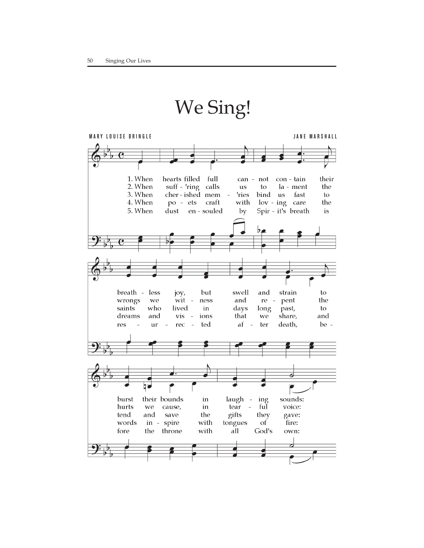## We Sing!

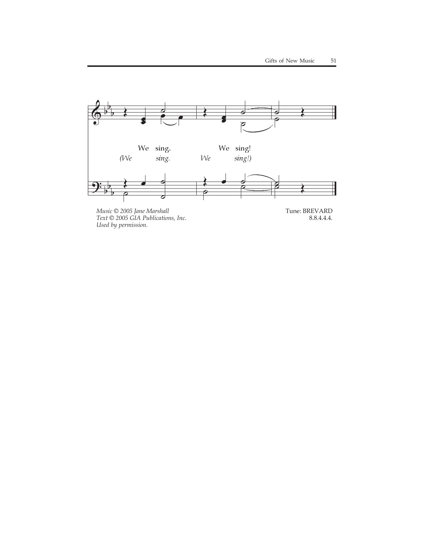

*Text © 2005 GIA Publications, Inc. Used by permission.*

8.8.4.4.4.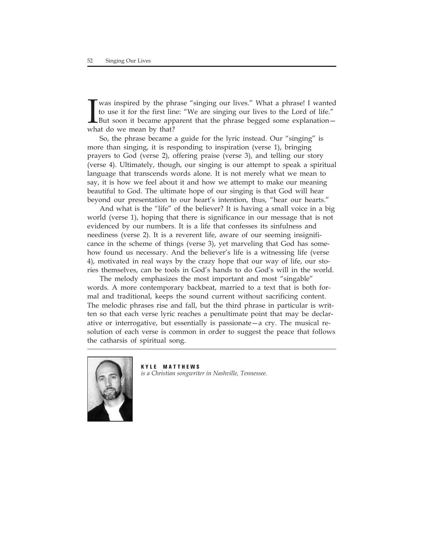$\prod_{\text{wha}}$ was inspired by the phrase "singing our lives." What a phrase! I wanted to use it for the first line: "We are singing our lives to the Lord of life." But soon it became apparent that the phrase begged some explanation what do we mean by that?

So, the phrase became a guide for the lyric instead. Our "singing" is more than singing, it is responding to inspiration (verse 1), bringing prayers to God (verse 2), offering praise (verse 3), and telling our story (verse 4). Ultimately, though, our singing is our attempt to speak a spiritual language that transcends words alone. It is not merely what we mean to say, it is how we feel about it and how we attempt to make our meaning beautiful to God. The ultimate hope of our singing is that God will hear beyond our presentation to our heart's intention, thus, "hear our hearts."

And what is the "life" of the believer? It is having a small voice in a big world (verse 1), hoping that there is significance in our message that is not evidenced by our numbers. It is a life that confesses its sinfulness and neediness (verse 2). It is a reverent life, aware of our seeming insignificance in the scheme of things (verse 3), yet marveling that God has somehow found us necessary. And the believer's life is a witnessing life (verse 4), motivated in real ways by the crazy hope that our way of life, our stories themselves, can be tools in God's hands to do God's will in the world.

The melody emphasizes the most important and most "singable" words. A more contemporary backbeat, married to a text that is both formal and traditional, keeps the sound current without sacrificing content. The melodic phrases rise and fall, but the third phrase in particular is written so that each verse lyric reaches a penultimate point that may be declarative or interrogative, but essentially is passionate—a cry. The musical resolution of each verse is common in order to suggest the peace that follows the catharsis of spiritual song.



**KYLE MATTHEWS** *is a Christian songwriter in Nashville, Tennessee.*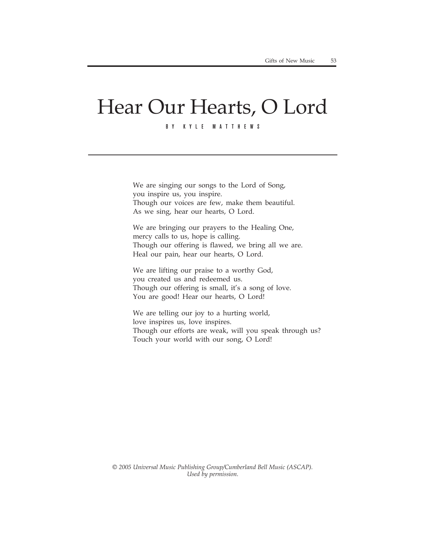## Hear Our Hearts, O Lord

BY KYLE MATTHEWS

We are singing our songs to the Lord of Song, you inspire us, you inspire. Though our voices are few, make them beautiful. As we sing, hear our hearts, O Lord.

We are bringing our prayers to the Healing One, mercy calls to us, hope is calling. Though our offering is flawed, we bring all we are. Heal our pain, hear our hearts, O Lord.

We are lifting our praise to a worthy God, you created us and redeemed us. Though our offering is small, it's a song of love. You are good! Hear our hearts, O Lord!

We are telling our joy to a hurting world, love inspires us, love inspires. Though our efforts are weak, will you speak through us? Touch your world with our song, O Lord!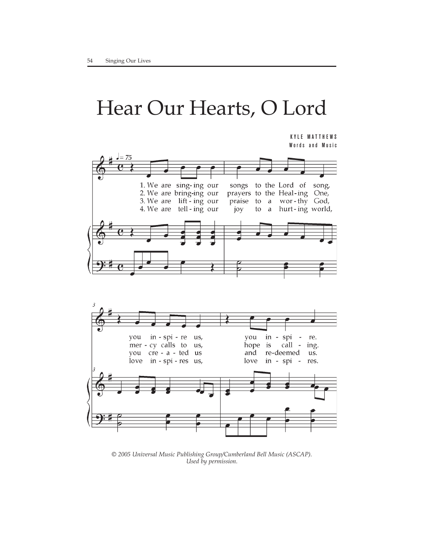## Hear Our Hearts, O Lord

KYLE MATTHEWS Words and Music





*© 2005 Universal Music Publishing Group/Cumberland Bell Music (ASCAP). Used by permission.*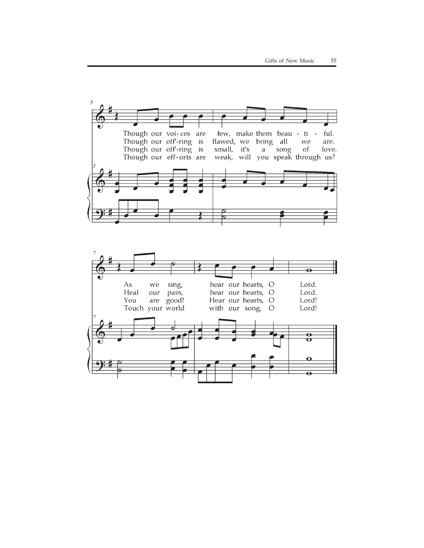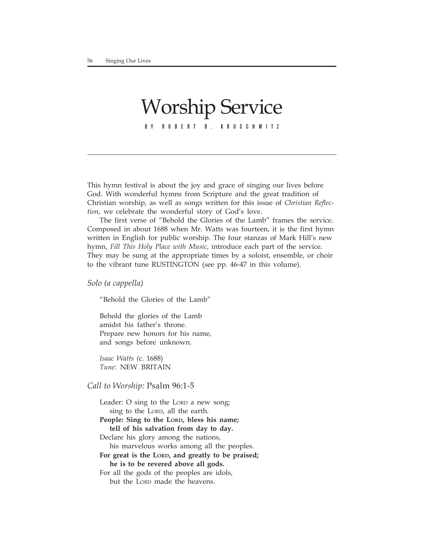### Worship Service BY ROBERT B. KRUSCHWITZ

This hymn festival is about the joy and grace of singing our lives before God. With wonderful hymns from Scripture and the great tradition of Christian worship, as well as songs written for this issue of *Christian Reflection*, we celebrate the wonderful story of God's love.

The first verse of "Behold the Glories of the Lamb" frames the service. Composed in about 1688 when Mr. Watts was fourteen, it is the first hymn written in English for public worship. The four stanzas of Mark Hill's new hymn, *Fill This Holy Place with Music*, introduce each part of the service. They may be sung at the appropriate times by a soloist, ensemble, or choir to the vibrant tune RUSTINGTON (see pp. 46-47 in this volume).

*Solo (a cappella)*

"Behold the Glories of the Lamb"

Behold the glories of the Lamb amidst his father's throne. Prepare new honors for his name, and songs before unknown.

*Isaac Watts (*c. 1688) *Tune:* NEW BRITAIN

*Call to Worship:* Psalm 96:1-5

Leader: O sing to the LORD a new song; sing to the LORD, all the earth. **People: Sing to the LORD, bless his name; tell of his salvation from day to day.** Declare his glory among the nations, his marvelous works among all the peoples. **For great is the LORD, and greatly to be praised; he is to be revered above all gods.** For all the gods of the peoples are idols, but the LORD made the heavens.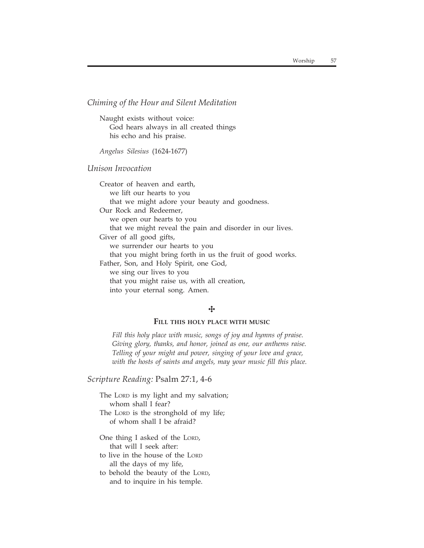#### *Chiming of the Hour and Silent Meditation*

Naught exists without voice: God hears always in all created things his echo and his praise.

*Angelus Silesius* (1624-1677)

#### *Unison Invocation*

Creator of heaven and earth, we lift our hearts to you that we might adore your beauty and goodness. Our Rock and Redeemer, we open our hearts to you that we might reveal the pain and disorder in our lives. Giver of all good gifts, we surrender our hearts to you that you might bring forth in us the fruit of good works. Father, Son, and Holy Spirit, one God, we sing our lives to you that you might raise us, with all creation, into your eternal song. Amen.

#### -

#### **FILL THIS HOLY PLACE WITH MUSIC**

*Fill this holy place with music, songs of joy and hymns of praise. Giving glory, thanks, and honor, joined as one, our anthems raise. Telling of your might and power, singing of your love and grace, with the hosts of saints and angels, may your music fill this place.*

#### *Scripture Reading:* Psalm 27:1, 4-6

The LORD is my light and my salvation; whom shall I fear? The LORD is the stronghold of my life;

of whom shall I be afraid?

- One thing I asked of the LORD, that will I seek after:
- to live in the house of the LORD all the days of my life,
- to behold the beauty of the LORD, and to inquire in his temple.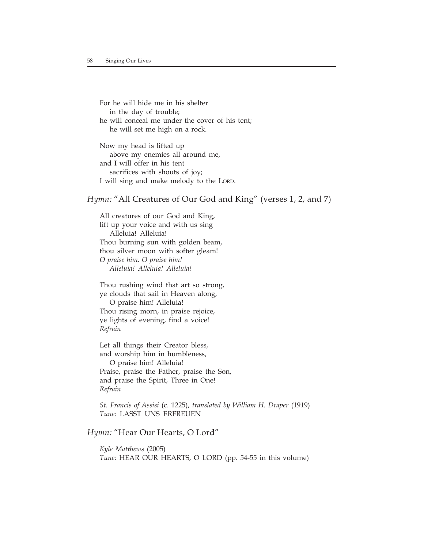For he will hide me in his shelter in the day of trouble; he will conceal me under the cover of his tent; he will set me high on a rock.

Now my head is lifted up above my enemies all around me, and I will offer in his tent sacrifices with shouts of joy; I will sing and make melody to the LORD.

Hymn: "All Creatures of Our God and King" (verses 1, 2, and 7)

All creatures of our God and King, lift up your voice and with us sing Alleluia! Alleluia! Thou burning sun with golden beam, thou silver moon with softer gleam! *O praise him, O praise him! Alleluia! Alleluia! Alleluia!*

Thou rushing wind that art so strong, ye clouds that sail in Heaven along, O praise him! Alleluia! Thou rising morn, in praise rejoice, ye lights of evening, find a voice! *Refrain*

Let all things their Creator bless, and worship him in humbleness, O praise him! Alleluia! Praise, praise the Father, praise the Son, and praise the Spirit, Three in One! *Refrain*

*St. Francis of Assisi* (c. 1225), *translated by William H. Draper* (1919) *Tune:* LASST UNS ERFREUEN

#### *Hymn:* "Hear Our Hearts, O Lord"

*Kyle Matthews* (2005) *Tune*: HEAR OUR HEARTS, O LORD (pp. 54-55 in this volume)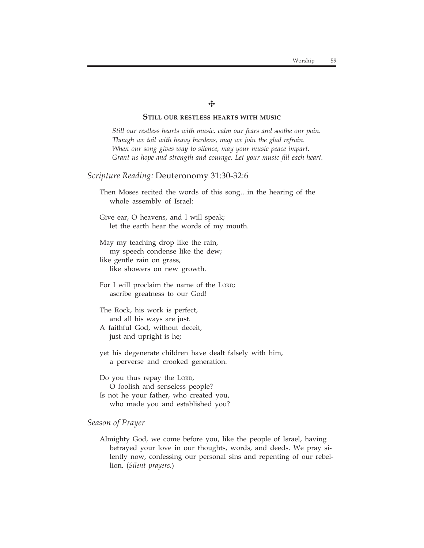#### $\cdot \cdot$

#### **STILL OUR RESTLESS HEARTS WITH MUSIC**

*Still our restless hearts with music, calm our fears and soothe our pain. Though we toil with heavy burdens, may we join the glad refrain. When our song gives way to silence, may your music peace impart. Grant us hope and strength and courage. Let your music fill each heart.*

#### *Scripture Reading:* Deuteronomy 31:30-32:6

Then Moses recited the words of this song…in the hearing of the whole assembly of Israel:

- Give ear, O heavens, and I will speak; let the earth hear the words of my mouth.
- May my teaching drop like the rain, my speech condense like the dew; like gentle rain on grass, like showers on new growth.
- For I will proclaim the name of the LORD; ascribe greatness to our God!
- The Rock, his work is perfect, and all his ways are just.
- A faithful God, without deceit, just and upright is he;
- yet his degenerate children have dealt falsely with him, a perverse and crooked generation.

Do you thus repay the LORD, O foolish and senseless people? Is not he your father, who created you,

who made you and established you?

#### *Season of Prayer*

Almighty God, we come before you, like the people of Israel, having betrayed your love in our thoughts, words, and deeds. We pray silently now, confessing our personal sins and repenting of our rebellion. (*Silent prayers.*)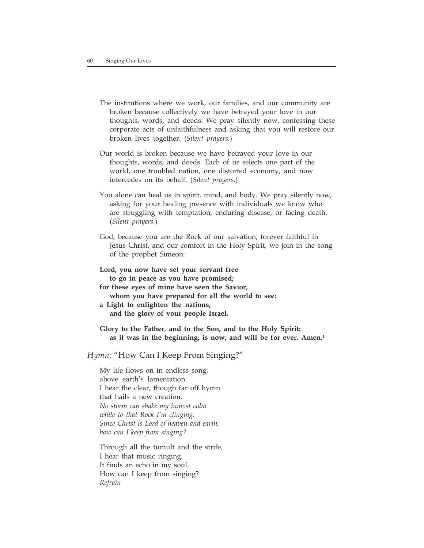- The institutions where we work, our families, and our community are broken because collectively we have betrayed your love in our thoughts, words, and deeds. We pray silently now, confessing these corporate acts of unfaithfulness and asking that you will restore our broken lives together. (*Silent prayers.*)
- Our world is broken because we have betrayed your love in our thoughts, words, and deeds. Each of us selects one part of the world, one troubled nation, one distorted economy, and now intercedes on its behalf. (*Silent prayers.*)
- You alone can heal us in spirit, mind, and body. We pray silently now, asking for your healing presence with individuals we know who are struggling with temptation, enduring disease, or facing death. (*Silent prayers.*)
- God, because you are the Rock of our salvation, forever faithful in Jesus Christ, and our comfort in the Holy Spirit, we join in the song of the prophet Simeon:
- **Lord, you now have set your servant free to go in peace as you have promised; for these eyes of mine have seen the Savior, whom you have prepared for all the world to see: a Light to enlighten the nations,**
	- **and the glory of your people Israel.**
- **Glory to the Father, and to the Son, and to the Holy Spirit: as it was in the beginning, is now, and will be for ever. Amen.1**

#### *Hymn:* "How Can I Keep From Singing?"

My life flows on in endless song, above earth's lamentation. I hear the clear, though far off hymn that hails a new creation. *No storm can shake my inmost calm while to that Rock I'm clinging. Since Christ is Lord of heaven and earth, how can I keep from singing?*

Through all the tumult and the strife, I hear that music ringing. It finds an echo in my soul. How can I keep from singing? *Refrain*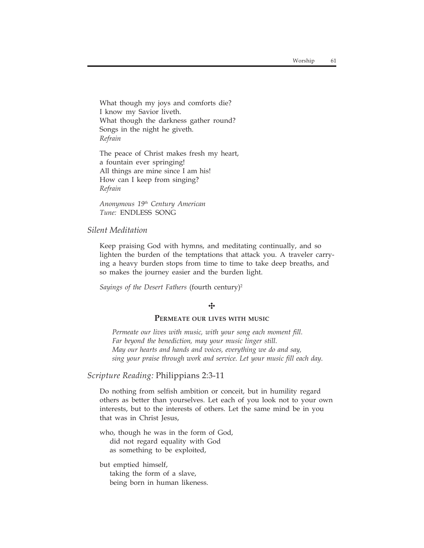What though my joys and comforts die? I know my Savior liveth. What though the darkness gather round? Songs in the night he giveth. *Refrain*

The peace of Christ makes fresh my heart, a fountain ever springing! All things are mine since I am his! How can I keep from singing? *Refrain*

*Anonymous 19th Century American Tune:* ENDLESS SONG

#### *Silent Meditation*

Keep praising God with hymns, and meditating continually, and so lighten the burden of the temptations that attack you. A traveler carrying a heavy burden stops from time to time to take deep breaths, and so makes the journey easier and the burden light.

*Sayings of the Desert Fathers* (fourth century)2

#### $\cdot \cdot$

#### **PERMEATE OUR LIVES WITH MUSIC**

*Permeate our lives with music, with your song each moment fill. Far beyond the benediction, may your music linger still. May our hearts and hands and voices, everything we do and say, sing your praise through work and service. Let your music fill each day.*

#### *Scripture Reading:* Philippians 2:3-11

Do nothing from selfish ambition or conceit, but in humility regard others as better than yourselves. Let each of you look not to your own interests, but to the interests of others. Let the same mind be in you that was in Christ Jesus,

who, though he was in the form of God, did not regard equality with God as something to be exploited,

but emptied himself, taking the form of a slave, being born in human likeness.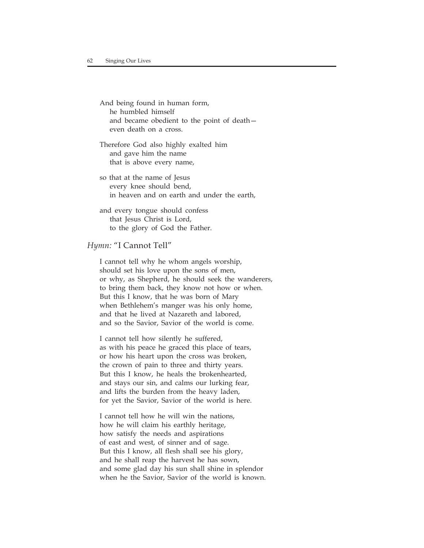And being found in human form, he humbled himself and became obedient to the point of death even death on a cross.

Therefore God also highly exalted him and gave him the name that is above every name,

so that at the name of Jesus every knee should bend, in heaven and on earth and under the earth,

and every tongue should confess that Jesus Christ is Lord, to the glory of God the Father.

#### *Hymn:* "I Cannot Tell"

I cannot tell why he whom angels worship, should set his love upon the sons of men, or why, as Shepherd, he should seek the wanderers, to bring them back, they know not how or when. But this I know, that he was born of Mary when Bethlehem's manger was his only home, and that he lived at Nazareth and labored, and so the Savior, Savior of the world is come.

I cannot tell how silently he suffered, as with his peace he graced this place of tears, or how his heart upon the cross was broken, the crown of pain to three and thirty years. But this I know, he heals the brokenhearted, and stays our sin, and calms our lurking fear, and lifts the burden from the heavy laden, for yet the Savior, Savior of the world is here.

I cannot tell how he will win the nations, how he will claim his earthly heritage, how satisfy the needs and aspirations of east and west, of sinner and of sage. But this I know, all flesh shall see his glory, and he shall reap the harvest he has sown, and some glad day his sun shall shine in splendor when he the Savior, Savior of the world is known.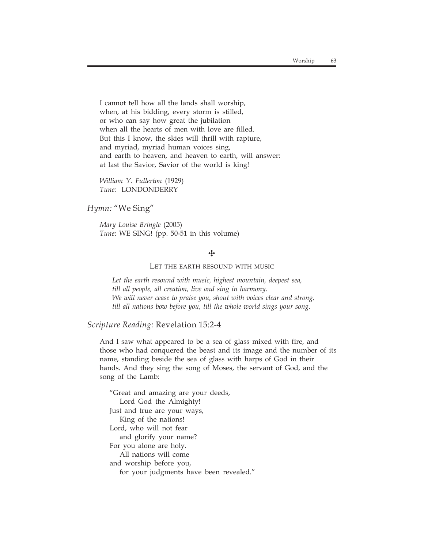I cannot tell how all the lands shall worship, when, at his bidding, every storm is stilled, or who can say how great the jubilation when all the hearts of men with love are filled. But this I know, the skies will thrill with rapture, and myriad, myriad human voices sing, and earth to heaven, and heaven to earth, will answer: at last the Savior, Savior of the world is king!

*William Y. Fullerton* (1929) *Tune:* LONDONDERRY

#### *Hymn:* "We Sing"

*Mary Louise Bringle* (2005) *Tune*: WE SING! (pp. 50-51 in this volume)

#### $\cdot \cdot$

#### LET THE EARTH RESOUND WITH MUSIC

*Let the earth resound with music, highest mountain, deepest sea, till all people, all creation, live and sing in harmony. We will never cease to praise you, shout with voices clear and strong, till all nations bow before you, till the whole world sings your song.*

#### *Scripture Reading:* Revelation 15:2-4

And I saw what appeared to be a sea of glass mixed with fire, and those who had conquered the beast and its image and the number of its name, standing beside the sea of glass with harps of God in their hands. And they sing the song of Moses, the servant of God, and the song of the Lamb:

"Great and amazing are your deeds, Lord God the Almighty! Just and true are your ways, King of the nations! Lord, who will not fear and glorify your name? For you alone are holy. All nations will come and worship before you, for your judgments have been revealed."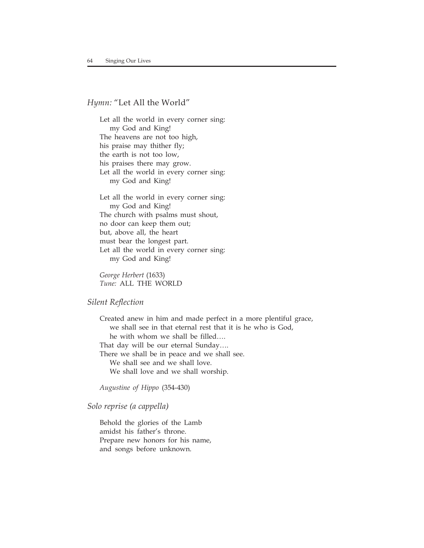*Hymn:* "Let All the World"

Let all the world in every corner sing: my God and King! The heavens are not too high, his praise may thither fly; the earth is not too low, his praises there may grow. Let all the world in every corner sing: my God and King!

Let all the world in every corner sing: my God and King! The church with psalms must shout, no door can keep them out; but, above all, the heart must bear the longest part. Let all the world in every corner sing: my God and King!

*George Herbert* (1633) *Tune:* ALL THE WORLD

#### *Silent Reflection*

Created anew in him and made perfect in a more plentiful grace, we shall see in that eternal rest that it is he who is God, he with whom we shall be filled…. That day will be our eternal Sunday…. There we shall be in peace and we shall see. We shall see and we shall love. We shall love and we shall worship.

*Augustine of Hippo* (354-430)

#### *Solo reprise (a cappella)*

Behold the glories of the Lamb amidst his father's throne. Prepare new honors for his name, and songs before unknown.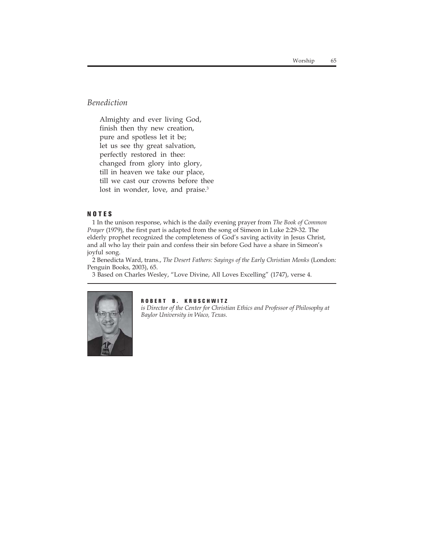#### *Benediction*

Almighty and ever living God, finish then thy new creation, pure and spotless let it be; let us see thy great salvation, perfectly restored in thee: changed from glory into glory, till in heaven we take our place, till we cast our crowns before thee lost in wonder, love, and praise.<sup>3</sup>

#### **NOTES**

1 In the unison response, which is the daily evening prayer from *The Book of Common Prayer* (1979), the first part is adapted from the song of Simeon in Luke 2:29-32. The elderly prophet recognized the completeness of God's saving activity in Jesus Christ, and all who lay their pain and confess their sin before God have a share in Simeon's joyful song.

2 Benedicta Ward, trans., *The Desert Fathers: Sayings of the Early Christian Monks* (London: Penguin Books, 2003), 65.

3 Based on Charles Wesley, "Love Divine, All Loves Excelling" (1747), verse 4.



#### **ROBERT B. KRUSCHWITZ**

*is Director of the Center for Christian Ethics and Professor of Philosophy at Baylor University in Waco, Texas.*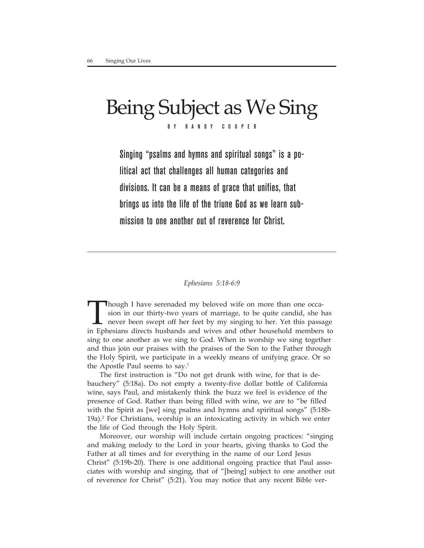# Being Subject as We Sing

BY RANDY COOPER

Singing "psalms and hymns and spiritual songs" is a political act that challenges all human categories and divisions. It can be a means of grace that unifies, that brings us into the life of the triune God as we learn submission to one another out of reverence for Christ.

#### *Ephesians 5:18-6:9*

Though I have serenaded my beloved wife on more than one occasion in our thirty-two years of marriage, to be quite candid, she has never been swept off her feet by my singing to her. Yet this passage in Ephesians directs husbands and wives and other household members to sing to one another as we sing to God. When in worship we sing together and thus join our praises with the praises of the Son to the Father through the Holy Spirit, we participate in a weekly means of unifying grace. Or so the Apostle Paul seems to say.<sup>1</sup>

The first instruction is "Do not get drunk with wine, for that is debauchery" (5:18a). Do not empty a twenty-five dollar bottle of California wine, says Paul, and mistakenly think the buzz we feel is evidence of the presence of God. Rather than being filled with wine, we are to "be filled with the Spirit as [we] sing psalms and hymns and spiritual songs" (5:18b-19a).<sup>2</sup> For Christians, worship is an intoxicating activity in which we enter the life of God through the Holy Spirit.

Moreover, our worship will include certain ongoing practices: "singing and making melody to the Lord in your hearts, giving thanks to God the Father at all times and for everything in the name of our Lord Jesus Christ" (5:19b-20). There is one additional ongoing practice that Paul associates with worship and singing, that of "[being] subject to one another out of reverence for Christ" (5:21). You may notice that any recent Bible ver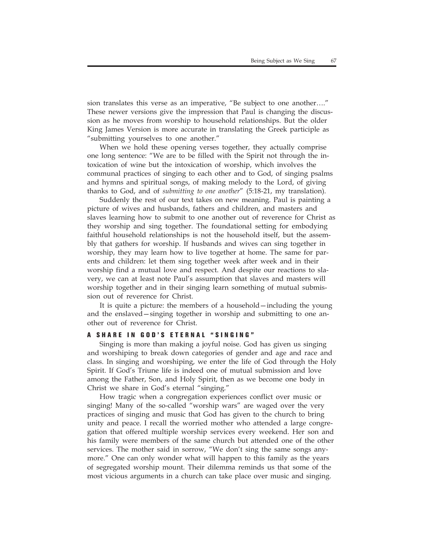sion translates this verse as an imperative, "Be subject to one another…." These newer versions give the impression that Paul is changing the discussion as he moves from worship to household relationships. But the older King James Version is more accurate in translating the Greek participle as "submitting yourselves to one another."

When we hold these opening verses together, they actually comprise one long sentence: "We are to be filled with the Spirit not through the intoxication of wine but the intoxication of worship, which involves the communal practices of singing to each other and to God, of singing psalms and hymns and spiritual songs, of making melody to the Lord, of giving thanks to God, and of *submitting to one another*" (5:18-21, my translation).

Suddenly the rest of our text takes on new meaning. Paul is painting a picture of wives and husbands, fathers and children, and masters and slaves learning how to submit to one another out of reverence for Christ as they worship and sing together. The foundational setting for embodying faithful household relationships is not the household itself, but the assembly that gathers for worship. If husbands and wives can sing together in worship, they may learn how to live together at home. The same for parents and children: let them sing together week after week and in their worship find a mutual love and respect. And despite our reactions to slavery, we can at least note Paul's assumption that slaves and masters will worship together and in their singing learn something of mutual submission out of reverence for Christ.

It is quite a picture: the members of a household—including the young and the enslaved—singing together in worship and submitting to one another out of reverence for Christ.

#### **A SHARE IN GOD'S ETERNAL "SINGING"**

Singing is more than making a joyful noise. God has given us singing and worshiping to break down categories of gender and age and race and class. In singing and worshiping, we enter the life of God through the Holy Spirit. If God's Triune life is indeed one of mutual submission and love among the Father, Son, and Holy Spirit, then as we become one body in Christ we share in God's eternal "singing."

How tragic when a congregation experiences conflict over music or singing! Many of the so-called "worship wars" are waged over the very practices of singing and music that God has given to the church to bring unity and peace. I recall the worried mother who attended a large congregation that offered multiple worship services every weekend. Her son and his family were members of the same church but attended one of the other services. The mother said in sorrow, "We don't sing the same songs anymore." One can only wonder what will happen to this family as the years of segregated worship mount. Their dilemma reminds us that some of the most vicious arguments in a church can take place over music and singing.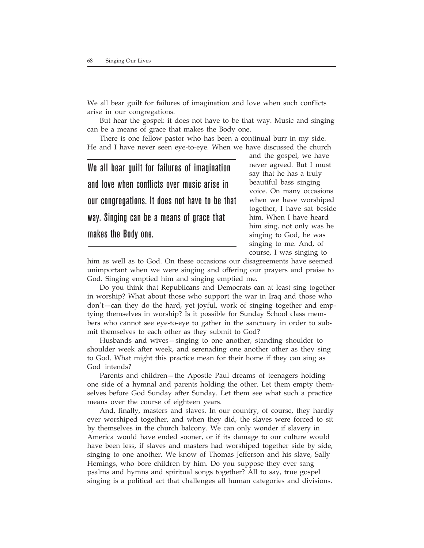We all bear guilt for failures of imagination and love when such conflicts arise in our congregations.

But hear the gospel: it does not have to be that way. Music and singing can be a means of grace that makes the Body one.

There is one fellow pastor who has been a continual burr in my side. He and I have never seen eye-to-eye. When we have discussed the church

We all bear guilt for failures of imagination and love when conflicts over music arise in our congregations. It does not have to be that way. Singing can be a means of grace that makes the Body one.

and the gospel, we have never agreed. But I must say that he has a truly beautiful bass singing voice. On many occasions when we have worshiped together, I have sat beside him. When I have heard him sing, not only was he singing to God, he was singing to me. And, of course, I was singing to

him as well as to God. On these occasions our disagreements have seemed unimportant when we were singing and offering our prayers and praise to God. Singing emptied him and singing emptied me.

Do you think that Republicans and Democrats can at least sing together in worship? What about those who support the war in Iraq and those who don't—can they do the hard, yet joyful, work of singing together and emptying themselves in worship? Is it possible for Sunday School class members who cannot see eye-to-eye to gather in the sanctuary in order to submit themselves to each other as they submit to God?

Husbands and wives—singing to one another, standing shoulder to shoulder week after week, and serenading one another other as they sing to God. What might this practice mean for their home if they can sing as God intends?

Parents and children—the Apostle Paul dreams of teenagers holding one side of a hymnal and parents holding the other. Let them empty themselves before God Sunday after Sunday. Let them see what such a practice means over the course of eighteen years.

And, finally, masters and slaves. In our country, of course, they hardly ever worshiped together, and when they did, the slaves were forced to sit by themselves in the church balcony. We can only wonder if slavery in America would have ended sooner, or if its damage to our culture would have been less, if slaves and masters had worshiped together side by side, singing to one another. We know of Thomas Jefferson and his slave, Sally Hemings, who bore children by him. Do you suppose they ever sang psalms and hymns and spiritual songs together? All to say, true gospel singing is a political act that challenges all human categories and divisions.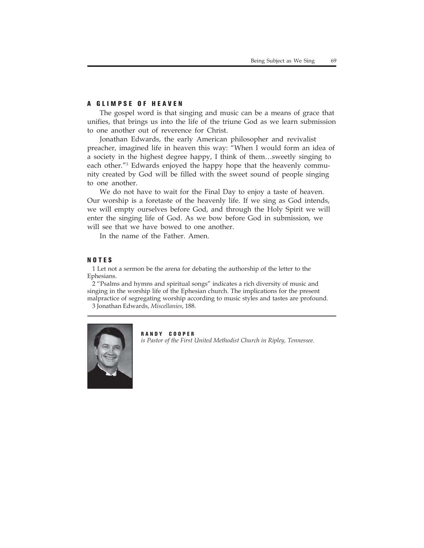#### **A GLIMPSE OF HEAVEN**

The gospel word is that singing and music can be a means of grace that unifies, that brings us into the life of the triune God as we learn submission to one another out of reverence for Christ.

Jonathan Edwards, the early American philosopher and revivalist preacher, imagined life in heaven this way: "When I would form an idea of a society in the highest degree happy, I think of them…sweetly singing to each other."3 Edwards enjoyed the happy hope that the heavenly community created by God will be filled with the sweet sound of people singing to one another.

We do not have to wait for the Final Day to enjoy a taste of heaven. Our worship is a foretaste of the heavenly life. If we sing as God intends, we will empty ourselves before God, and through the Holy Spirit we will enter the singing life of God. As we bow before God in submission, we will see that we have bowed to one another.

In the name of the Father. Amen.

#### **NOTES**

1 Let not a sermon be the arena for debating the authorship of the letter to the Ephesians.

2 "Psalms and hymns and spiritual songs" indicates a rich diversity of music and singing in the worship life of the Ephesian church. The implications for the present malpractice of segregating worship according to music styles and tastes are profound.

3 Jonathan Edwards, *Miscellanies*, 188.



**RANDY COOPER** *is Pastor of the First United Methodist Church in Ripley, Tennessee.*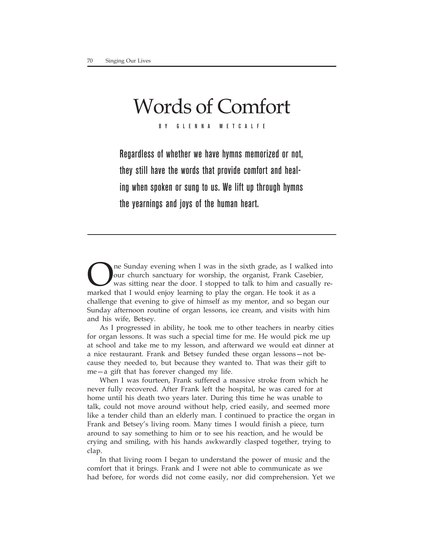## Words of Comfort

BY GLENNA METCALFE

Regardless of whether we have hymns memorized or not, they still have the words that provide comfort and healing when spoken or sung to us. We lift up through hymns the yearnings and joys of the human heart.

ne Sunday evening when I was in the sixth grade, as I walked into our church sanctuary for worship, the organist, Frank Casebier, was sitting near the door. I stopped to talk to him and casually remarked that I would enjoy learning to play the organ. He took it as a challenge that evening to give of himself as my mentor, and so began our Sunday afternoon routine of organ lessons, ice cream, and visits with him and his wife, Betsey.

As I progressed in ability, he took me to other teachers in nearby cities for organ lessons. It was such a special time for me. He would pick me up at school and take me to my lesson, and afterward we would eat dinner at a nice restaurant. Frank and Betsey funded these organ lessons—not because they needed to, but because they wanted to. That was their gift to me—a gift that has forever changed my life.

When I was fourteen, Frank suffered a massive stroke from which he never fully recovered. After Frank left the hospital, he was cared for at home until his death two years later. During this time he was unable to talk, could not move around without help, cried easily, and seemed more like a tender child than an elderly man. I continued to practice the organ in Frank and Betsey's living room. Many times I would finish a piece, turn around to say something to him or to see his reaction, and he would be crying and smiling, with his hands awkwardly clasped together, trying to clap.

In that living room I began to understand the power of music and the comfort that it brings. Frank and I were not able to communicate as we had before, for words did not come easily, nor did comprehension. Yet we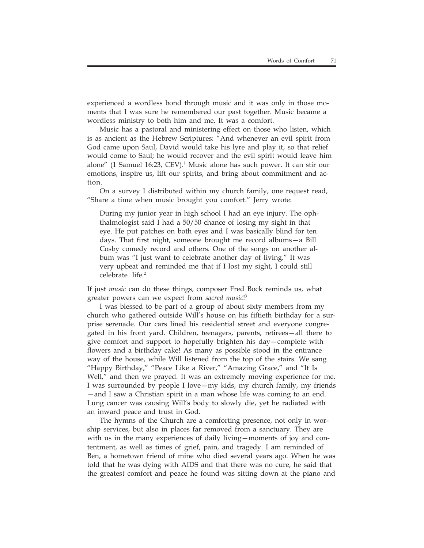experienced a wordless bond through music and it was only in those moments that I was sure he remembered our past together. Music became a wordless ministry to both him and me. It was a comfort.

Music has a pastoral and ministering effect on those who listen, which is as ancient as the Hebrew Scriptures: "And whenever an evil spirit from God came upon Saul, David would take his lyre and play it, so that relief would come to Saul; he would recover and the evil spirit would leave him alone" (1 Samuel 16:23, CEV).<sup>1</sup> Music alone has such power. It can stir our emotions, inspire us, lift our spirits, and bring about commitment and action.

On a survey I distributed within my church family, one request read, "Share a time when music brought you comfort." Jerry wrote:

During my junior year in high school I had an eye injury. The ophthalmologist said I had a 50/50 chance of losing my sight in that eye. He put patches on both eyes and I was basically blind for ten days. That first night, someone brought me record albums—a Bill Cosby comedy record and others. One of the songs on another album was "I just want to celebrate another day of living." It was very upbeat and reminded me that if I lost my sight, I could still celebrate life.<sup>2</sup>

If just *music* can do these things, composer Fred Bock reminds us, what greater powers can we expect from *sacred music*! 3

I was blessed to be part of a group of about sixty members from my church who gathered outside Will's house on his fiftieth birthday for a surprise serenade. Our cars lined his residential street and everyone congregated in his front yard. Children, teenagers, parents, retirees—all there to give comfort and support to hopefully brighten his day—complete with flowers and a birthday cake! As many as possible stood in the entrance way of the house, while Will listened from the top of the stairs. We sang "Happy Birthday," "Peace Like a River," "Amazing Grace," and "It Is Well," and then we prayed. It was an extremely moving experience for me. I was surrounded by people I love—my kids, my church family, my friends —and I saw a Christian spirit in a man whose life was coming to an end. Lung cancer was causing Will's body to slowly die, yet he radiated with an inward peace and trust in God.

The hymns of the Church are a comforting presence, not only in worship services, but also in places far removed from a sanctuary. They are with us in the many experiences of daily living—moments of joy and contentment, as well as times of grief, pain, and tragedy. I am reminded of Ben, a hometown friend of mine who died several years ago. When he was told that he was dying with AIDS and that there was no cure, he said that the greatest comfort and peace he found was sitting down at the piano and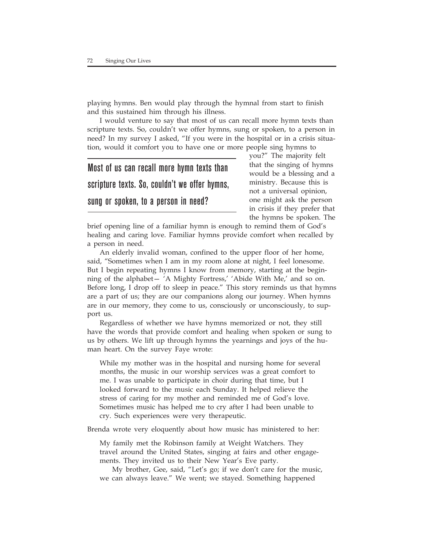playing hymns. Ben would play through the hymnal from start to finish and this sustained him through his illness.

I would venture to say that most of us can recall more hymn texts than scripture texts. So, couldn't we offer hymns, sung or spoken, to a person in need? In my survey I asked, "If you were in the hospital or in a crisis situation, would it comfort you to have one or more people sing hymns to

Most of us can recall more hymn texts than scripture texts. So, couldn't we offer hymns, sung or spoken, to a person in need?

you?" The majority felt that the singing of hymns would be a blessing and a ministry. Because this is not a universal opinion, one might ask the person in crisis if they prefer that the hymns be spoken. The

brief opening line of a familiar hymn is enough to remind them of God's healing and caring love. Familiar hymns provide comfort when recalled by a person in need.

An elderly invalid woman, confined to the upper floor of her home, said, "Sometimes when I am in my room alone at night, I feel lonesome. But I begin repeating hymns I know from memory, starting at the beginning of the alphabet— 'A Mighty Fortress,' 'Abide With Me,' and so on. Before long, I drop off to sleep in peace." This story reminds us that hymns are a part of us; they are our companions along our journey. When hymns are in our memory, they come to us, consciously or unconsciously, to support us.

Regardless of whether we have hymns memorized or not, they still have the words that provide comfort and healing when spoken or sung to us by others. We lift up through hymns the yearnings and joys of the human heart. On the survey Faye wrote:

While my mother was in the hospital and nursing home for several months, the music in our worship services was a great comfort to me. I was unable to participate in choir during that time, but I looked forward to the music each Sunday. It helped relieve the stress of caring for my mother and reminded me of God's love. Sometimes music has helped me to cry after I had been unable to cry. Such experiences were very therapeutic.

Brenda wrote very eloquently about how music has ministered to her:

My family met the Robinson family at Weight Watchers. They travel around the United States, singing at fairs and other engagements. They invited us to their New Year's Eve party.

My brother, Gee, said, "Let's go; if we don't care for the music, we can always leave." We went; we stayed. Something happened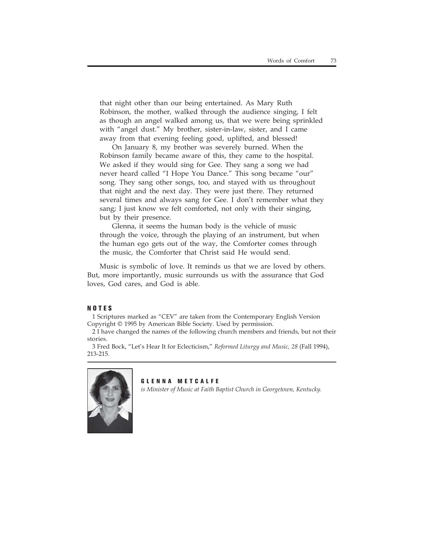that night other than our being entertained. As Mary Ruth Robinson, the mother, walked through the audience singing, I felt as though an angel walked among us, that we were being sprinkled with "angel dust." My brother, sister-in-law, sister, and I came away from that evening feeling good, uplifted, and blessed!

On January 8, my brother was severely burned. When the Robinson family became aware of this, they came to the hospital. We asked if they would sing for Gee. They sang a song we had never heard called "I Hope You Dance." This song became "our" song. They sang other songs, too, and stayed with us throughout that night and the next day. They were just there. They returned several times and always sang for Gee. I don't remember what they sang; I just know we felt comforted, not only with their singing, but by their presence.

Glenna, it seems the human body is the vehicle of music through the voice, through the playing of an instrument, but when the human ego gets out of the way, the Comforter comes through the music, the Comforter that Christ said He would send.

Music is symbolic of love. It reminds us that we are loved by others. But, more importantly, music surrounds us with the assurance that God loves, God cares, and God is able.

# **NOTES**

1 Scriptures marked as "CEV" are taken from the Contemporary English Version Copyright © 1995 by American Bible Society. Used by permission.

2 I have changed the names of the following church members and friends, but not their stories.

3 Fred Bock, "Let's Hear It for Eclecticism," *Reformed Liturgy and Music, 28* (Fall 1994), 213-215.



#### **GLENNA METCALFE**

*is Minister of Music at Faith Baptist Church in Georgetown, Kentucky.*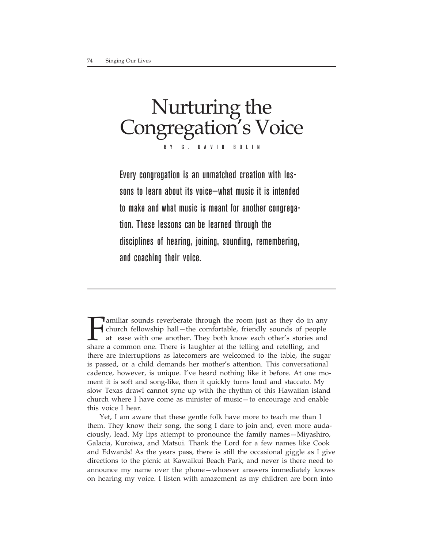# Nurturing the Congregation's Voice BY C. DAVID BOLIN

Every congregation is an unmatched creation with lessons to learn about its voice—what music it is intended to make and what music is meant for another congregation. These lessons can be learned through the disciplines of hearing, joining, sounding, remembering, and coaching their voice.

Familiar sounds reverberate through the room just as they do in any<br>church fellowship hall—the comfortable, friendly sounds of people<br>at ease with one another. They both know each other's stories and<br>share a common one. Th church fellowship hall—the comfortable, friendly sounds of people at ease with one another. They both know each other's stories and share a common one. There is laughter at the telling and retelling, and there are interruptions as latecomers are welcomed to the table, the sugar is passed, or a child demands her mother's attention. This conversational cadence, however, is unique. I've heard nothing like it before. At one moment it is soft and song-like, then it quickly turns loud and staccato. My slow Texas drawl cannot sync up with the rhythm of this Hawaiian island church where I have come as minister of music—to encourage and enable this voice I hear.

Yet, I am aware that these gentle folk have more to teach me than I them. They know their song, the song I dare to join and, even more audaciously, lead. My lips attempt to pronounce the family names—Miyashiro, Galacia, Kuroiwa, and Matsui. Thank the Lord for a few names like Cook and Edwards! As the years pass, there is still the occasional giggle as I give directions to the picnic at Kawaikui Beach Park, and never is there need to announce my name over the phone—whoever answers immediately knows on hearing my voice. I listen with amazement as my children are born into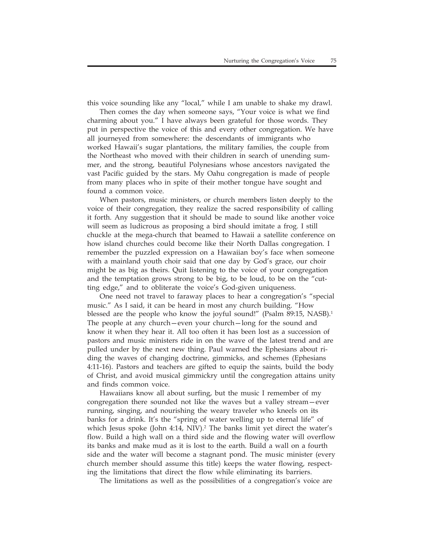this voice sounding like any "local," while I am unable to shake my drawl.

Then comes the day when someone says, "Your voice is what we find charming about you." I have always been grateful for those words. They put in perspective the voice of this and every other congregation. We have all journeyed from somewhere: the descendants of immigrants who worked Hawaii's sugar plantations, the military families, the couple from the Northeast who moved with their children in search of unending summer, and the strong, beautiful Polynesians whose ancestors navigated the vast Pacific guided by the stars. My Oahu congregation is made of people from many places who in spite of their mother tongue have sought and found a common voice.

When pastors, music ministers, or church members listen deeply to the voice of their congregation, they realize the sacred responsibility of calling it forth. Any suggestion that it should be made to sound like another voice will seem as ludicrous as proposing a bird should imitate a frog. I still chuckle at the mega-church that beamed to Hawaii a satellite conference on how island churches could become like their North Dallas congregation. I remember the puzzled expression on a Hawaiian boy's face when someone with a mainland youth choir said that one day by God's grace, our choir might be as big as theirs. Quit listening to the voice of your congregation and the temptation grows strong to be big, to be loud, to be on the "cutting edge," and to obliterate the voice's God-given uniqueness.

One need not travel to faraway places to hear a congregation's "special music." As I said, it can be heard in most any church building. "How blessed are the people who know the joyful sound!" (Psalm 89:15, NASB).<sup>1</sup> The people at any church—even your church—long for the sound and know it when they hear it. All too often it has been lost as a succession of pastors and music ministers ride in on the wave of the latest trend and are pulled under by the next new thing. Paul warned the Ephesians about riding the waves of changing doctrine, gimmicks, and schemes (Ephesians 4:11-16). Pastors and teachers are gifted to equip the saints, build the body of Christ, and avoid musical gimmickry until the congregation attains unity and finds common voice.

Hawaiians know all about surfing, but the music I remember of my congregation there sounded not like the waves but a valley stream—ever running, singing, and nourishing the weary traveler who kneels on its banks for a drink. It's the "spring of water welling up to eternal life" of which Jesus spoke (John 4:14, NIV).<sup>2</sup> The banks limit yet direct the water's flow. Build a high wall on a third side and the flowing water will overflow its banks and make mud as it is lost to the earth. Build a wall on a fourth side and the water will become a stagnant pond. The music minister (every church member should assume this title) keeps the water flowing, respecting the limitations that direct the flow while eliminating its barriers.

The limitations as well as the possibilities of a congregation's voice are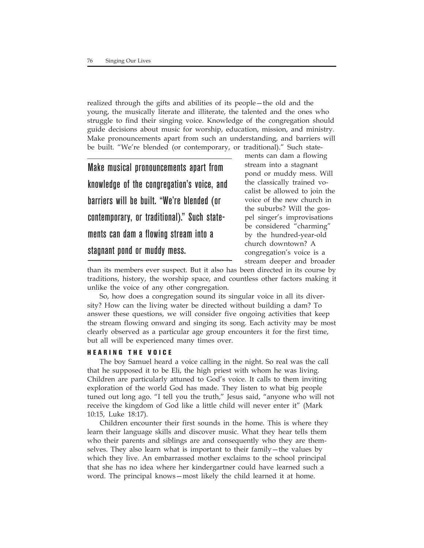realized through the gifts and abilities of its people—the old and the young, the musically literate and illiterate, the talented and the ones who struggle to find their singing voice. Knowledge of the congregation should guide decisions about music for worship, education, mission, and ministry. Make pronouncements apart from such an understanding, and barriers will be built. "We're blended (or contemporary, or traditional)." Such state-

Make musical pronouncements apart from knowledge of the congregation's voice, and barriers will be built. "We're blended (or contemporary, or traditional)." Such statements can dam a flowing stream into a stagnant pond or muddy mess.

ments can dam a flowing stream into a stagnant pond or muddy mess. Will the classically trained vocalist be allowed to join the voice of the new church in the suburbs? Will the gospel singer's improvisations be considered "charming" by the hundred-year-old church downtown? A congregation's voice is a stream deeper and broader

than its members ever suspect. But it also has been directed in its course by traditions, history, the worship space, and countless other factors making it unlike the voice of any other congregation.

So, how does a congregation sound its singular voice in all its diversity? How can the living water be directed without building a dam? To answer these questions, we will consider five ongoing activities that keep the stream flowing onward and singing its song. Each activity may be most clearly observed as a particular age group encounters it for the first time, but all will be experienced many times over.

#### **HEARING THE VOICE**

The boy Samuel heard a voice calling in the night. So real was the call that he supposed it to be Eli, the high priest with whom he was living. Children are particularly attuned to God's voice. It calls to them inviting exploration of the world God has made. They listen to what big people tuned out long ago. "I tell you the truth," Jesus said, "anyone who will not receive the kingdom of God like a little child will never enter it" (Mark 10:15, Luke 18:17).

Children encounter their first sounds in the home. This is where they learn their language skills and discover music. What they hear tells them who their parents and siblings are and consequently who they are themselves. They also learn what is important to their family—the values by which they live. An embarrassed mother exclaims to the school principal that she has no idea where her kindergartner could have learned such a word. The principal knows—most likely the child learned it at home.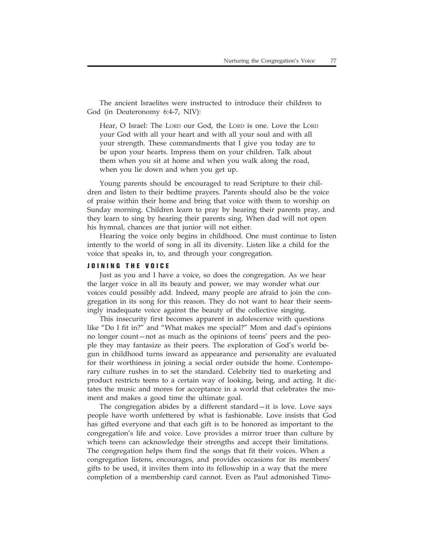The ancient Israelites were instructed to introduce their children to God (in Deuteronomy 6:4-7, NIV):

Hear, O Israel: The LORD our God, the LORD is one. Love the LORD your God with all your heart and with all your soul and with all your strength. These commandments that I give you today are to be upon your hearts. Impress them on your children. Talk about them when you sit at home and when you walk along the road, when you lie down and when you get up.

Young parents should be encouraged to read Scripture to their children and listen to their bedtime prayers. Parents should also be the voice of praise within their home and bring that voice with them to worship on Sunday morning. Children learn to pray by hearing their parents pray, and they learn to sing by hearing their parents sing. When dad will not open his hymnal, chances are that junior will not either.

Hearing the voice only begins in childhood. One must continue to listen intently to the world of song in all its diversity. Listen like a child for the voice that speaks in, to, and through your congregation.

#### **JOINING THE VOICE**

Just as you and I have a voice, so does the congregation. As we hear the larger voice in all its beauty and power, we may wonder what our voices could possibly add. Indeed, many people are afraid to join the congregation in its song for this reason. They do not want to hear their seemingly inadequate voice against the beauty of the collective singing.

This insecurity first becomes apparent in adolescence with questions like "Do I fit in?" and "What makes me special?" Mom and dad's opinions no longer count—not as much as the opinions of teens' peers and the people they may fantasize as their peers. The exploration of God's world begun in childhood turns inward as appearance and personality are evaluated for their worthiness in joining a social order outside the home. Contemporary culture rushes in to set the standard. Celebrity tied to marketing and product restricts teens to a certain way of looking, being, and acting. It dictates the music and mores for acceptance in a world that celebrates the moment and makes a good time the ultimate goal.

The congregation abides by a different standard—it is love. Love says people have worth unfettered by what is fashionable. Love insists that God has gifted everyone and that each gift is to be honored as important to the congregation's life and voice. Love provides a mirror truer than culture by which teens can acknowledge their strengths and accept their limitations. The congregation helps them find the songs that fit their voices. When a congregation listens, encourages, and provides occasions for its members' gifts to be used, it invites them into its fellowship in a way that the mere completion of a membership card cannot. Even as Paul admonished Timo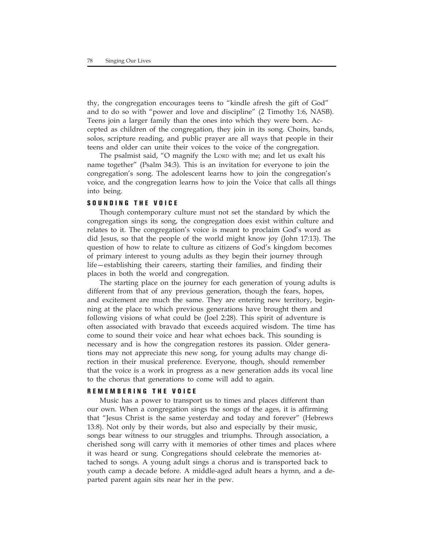thy, the congregation encourages teens to "kindle afresh the gift of God" and to do so with "power and love and discipline" (2 Timothy 1:6, NASB). Teens join a larger family than the ones into which they were born. Accepted as children of the congregation, they join in its song. Choirs, bands, solos, scripture reading, and public prayer are all ways that people in their teens and older can unite their voices to the voice of the congregation.

The psalmist said, "O magnify the LORD with me; and let us exalt his name together" (Psalm 34:3). This is an invitation for everyone to join the congregation's song. The adolescent learns how to join the congregation's voice, and the congregation learns how to join the Voice that calls all things into being.

#### **SOUNDING THE VOICE**

Though contemporary culture must not set the standard by which the congregation sings its song, the congregation does exist within culture and relates to it. The congregation's voice is meant to proclaim God's word as did Jesus, so that the people of the world might know joy (John 17:13). The question of how to relate to culture as citizens of God's kingdom becomes of primary interest to young adults as they begin their journey through life—establishing their careers, starting their families, and finding their places in both the world and congregation.

The starting place on the journey for each generation of young adults is different from that of any previous generation, though the fears, hopes, and excitement are much the same. They are entering new territory, beginning at the place to which previous generations have brought them and following visions of what could be (Joel 2:28). This spirit of adventure is often associated with bravado that exceeds acquired wisdom. The time has come to sound their voice and hear what echoes back. This sounding is necessary and is how the congregation restores its passion. Older generations may not appreciate this new song, for young adults may change direction in their musical preference. Everyone, though, should remember that the voice is a work in progress as a new generation adds its vocal line to the chorus that generations to come will add to again.

# **REMEMBERING THE VOICE**

Music has a power to transport us to times and places different than our own. When a congregation sings the songs of the ages, it is affirming that "Jesus Christ is the same yesterday and today and forever" (Hebrews 13:8). Not only by their words, but also and especially by their music, songs bear witness to our struggles and triumphs. Through association, a cherished song will carry with it memories of other times and places where it was heard or sung. Congregations should celebrate the memories attached to songs. A young adult sings a chorus and is transported back to youth camp a decade before. A middle-aged adult hears a hymn, and a departed parent again sits near her in the pew.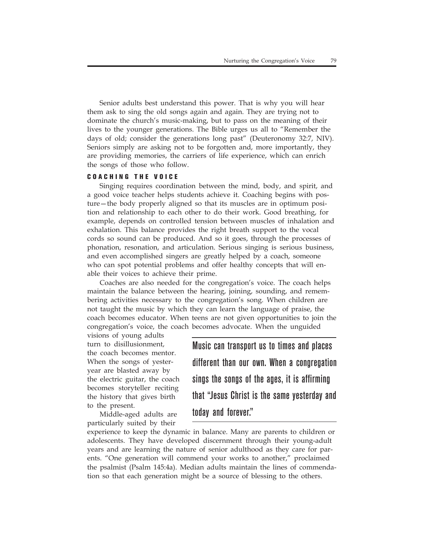Senior adults best understand this power. That is why you will hear them ask to sing the old songs again and again. They are trying not to dominate the church's music-making, but to pass on the meaning of their lives to the younger generations. The Bible urges us all to "Remember the days of old; consider the generations long past" (Deuteronomy 32:7, NIV). Seniors simply are asking not to be forgotten and, more importantly, they are providing memories, the carriers of life experience, which can enrich the songs of those who follow.

#### **COACHING THE VOICE**

Singing requires coordination between the mind, body, and spirit, and a good voice teacher helps students achieve it. Coaching begins with posture—the body properly aligned so that its muscles are in optimum position and relationship to each other to do their work. Good breathing, for example, depends on controlled tension between muscles of inhalation and exhalation. This balance provides the right breath support to the vocal cords so sound can be produced. And so it goes, through the processes of phonation, resonation, and articulation. Serious singing is serious business, and even accomplished singers are greatly helped by a coach, someone who can spot potential problems and offer healthy concepts that will enable their voices to achieve their prime.

Coaches are also needed for the congregation's voice. The coach helps maintain the balance between the hearing, joining, sounding, and remembering activities necessary to the congregation's song. When children are not taught the music by which they can learn the language of praise, the coach becomes educator. When teens are not given opportunities to join the congregation's voice, the coach becomes advocate. When the unguided

visions of young adults turn to disillusionment, the coach becomes mentor. When the songs of yesteryear are blasted away by the electric guitar, the coach becomes storyteller reciting the history that gives birth to the present.

Middle-aged adults are particularly suited by their

Music can transport us to times and places different than our own. When a congregation sings the songs of the ages, it is affirming that "Jesus Christ is the same yesterday and today and forever."

experience to keep the dynamic in balance. Many are parents to children or adolescents. They have developed discernment through their young-adult years and are learning the nature of senior adulthood as they care for parents. "One generation will commend your works to another," proclaimed the psalmist (Psalm 145:4a). Median adults maintain the lines of commendation so that each generation might be a source of blessing to the others.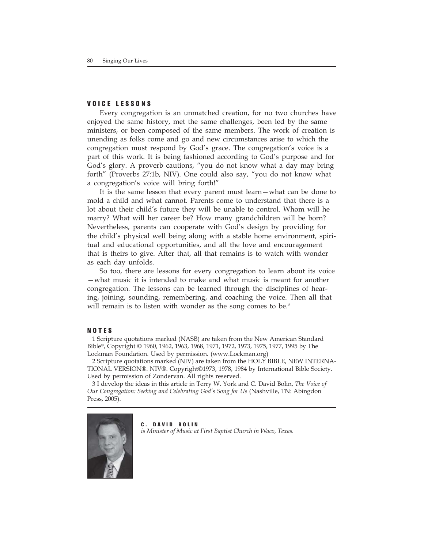## **VOICE LESSONS**

Every congregation is an unmatched creation, for no two churches have enjoyed the same history, met the same challenges, been led by the same ministers, or been composed of the same members. The work of creation is unending as folks come and go and new circumstances arise to which the congregation must respond by God's grace. The congregation's voice is a part of this work. It is being fashioned according to God's purpose and for God's glory. A proverb cautions, "you do not know what a day may bring forth" (Proverbs 27:1b, NIV). One could also say, "you do not know what a congregation's voice will bring forth!"

It is the same lesson that every parent must learn—what can be done to mold a child and what cannot. Parents come to understand that there is a lot about their child's future they will be unable to control. Whom will he marry? What will her career be? How many grandchildren will be born? Nevertheless, parents can cooperate with God's design by providing for the child's physical well being along with a stable home environment, spiritual and educational opportunities, and all the love and encouragement that is theirs to give. After that, all that remains is to watch with wonder as each day unfolds.

So too, there are lessons for every congregation to learn about its voice —what music it is intended to make and what music is meant for another congregation. The lessons can be learned through the disciplines of hearing, joining, sounding, remembering, and coaching the voice. Then all that will remain is to listen with wonder as the song comes to be.<sup>3</sup>

#### **NOTES**

1 Scripture quotations marked (NASB) are taken from the New American Standard Bible®, Copyright © 1960, 1962, 1963, 1968, 1971, 1972, 1973, 1975, 1977, 1995 by The Lockman Foundation. Used by permission. (www.Lockman.org)

2 Scripture quotations marked (NIV) are taken from the HOLY BIBLE, NEW INTERNA-TIONAL VERSION®. NIV®. Copyright©1973, 1978, 1984 by International Bible Society. Used by permission of Zondervan. All rights reserved.

3 I develop the ideas in this article in Terry W. York and C. David Bolin, *The Voice of Our Congregation: Seeking and Celebrating God's Song for Us* (Nashville, TN: Abingdon Press, 2005).



**C. DAVID BOLIN** *is Minister of Music at First Baptist Church in Waco, Texas.*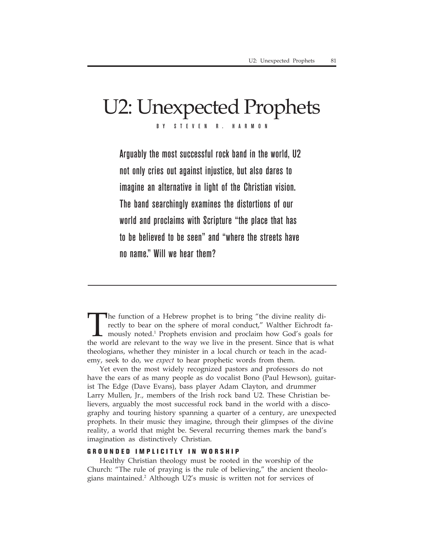# U2: Unexpected Prophets

BY STEVEN R. HARMON

Arguably the most successful rock band in the world, U2 not only cries out against injustice, but also dares to imagine an alternative in light of the Christian vision. The band searchingly examines the distortions of our world and proclaims with Scripture "the place that has to be believed to be seen" and "where the streets have no name." Will we hear them?

The function of a Hebrew prophet is to bring "the divine reality directly to bear on the sphere of moral conduct," Walther Eichrodt famously noted.1 Prophets envision and proclaim how God's goals for the world are relevant to the way we live in the present. Since that is what theologians, whether they minister in a local church or teach in the academy, seek to do, we *expect* to hear prophetic words from them.

Yet even the most widely recognized pastors and professors do not have the ears of as many people as do vocalist Bono (Paul Hewson), guitarist The Edge (Dave Evans), bass player Adam Clayton, and drummer Larry Mullen, Jr., members of the Irish rock band U2. These Christian believers, arguably the most successful rock band in the world with a discography and touring history spanning a quarter of a century, are unexpected prophets. In their music they imagine, through their glimpses of the divine reality, a world that might be. Several recurring themes mark the band's imagination as distinctively Christian.

# **GROUNDED IMPLICITLY IN WORSHIP**

Healthy Christian theology must be rooted in the worship of the Church: "The rule of praying is the rule of believing," the ancient theologians maintained.<sup>2</sup> Although U2's music is written not for services of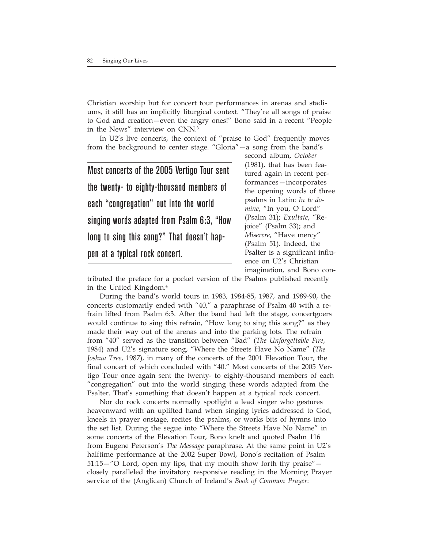Christian worship but for concert tour performances in arenas and stadiums, it still has an implicitly liturgical context. "They're all songs of praise to God and creation—even the angry ones!" Bono said in a recent "People in the News" interview on CNN.<sup>3</sup>

In U2's live concerts, the context of "praise to God" frequently moves from the background to center stage. "Gloria"—a song from the band's

Most concerts of the 2005 Vertigo Tour sent the twenty- to eighty-thousand members of each "congregation" out into the world singing words adapted from Psalm 6:3, "How long to sing this song?" That doesn't happen at a typical rock concert.

second album, *October* (1981), that has been featured again in recent performances—incorporates the opening words of three psalms in Latin: *In te domine*, "In you, O Lord" (Psalm 31); *Exultate*, "Rejoice" (Psalm 33); and *Miserere*, "Have mercy" (Psalm 51). Indeed, the Psalter is a significant influence on U2's Christian imagination, and Bono con-

tributed the preface for a pocket version of the Psalms published recently in the United Kingdom.4

During the band's world tours in 1983, 1984-85, 1987, and 1989-90, the concerts customarily ended with "40," a paraphrase of Psalm 40 with a refrain lifted from Psalm 6:3. After the band had left the stage, concertgoers would continue to sing this refrain, "How long to sing this song?" as they made their way out of the arenas and into the parking lots. The refrain from "40" served as the transition between "Bad" (*The Unforgettable Fire*, 1984) and U2's signature song, "Where the Streets Have No Name" (*The Joshua Tree*, 1987), in many of the concerts of the 2001 Elevation Tour, the final concert of which concluded with "40." Most concerts of the 2005 Vertigo Tour once again sent the twenty- to eighty-thousand members of each "congregation" out into the world singing these words adapted from the Psalter. That's something that doesn't happen at a typical rock concert.

Nor do rock concerts normally spotlight a lead singer who gestures heavenward with an uplifted hand when singing lyrics addressed to God, kneels in prayer onstage, recites the psalms, or works bits of hymns into the set list. During the segue into "Where the Streets Have No Name" in some concerts of the Elevation Tour, Bono knelt and quoted Psalm 116 from Eugene Peterson's *The Message* paraphrase. At the same point in U2's halftime performance at the 2002 Super Bowl, Bono's recitation of Psalm 51:15—"O Lord, open my lips, that my mouth show forth thy praise" closely paralleled the invitatory responsive reading in the Morning Prayer service of the (Anglican) Church of Ireland's *Book of Common Prayer*: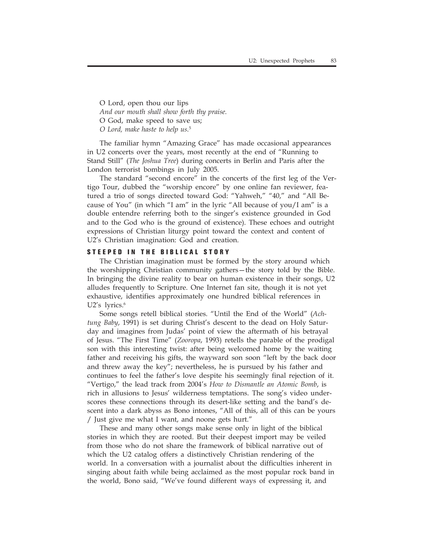O Lord, open thou our lips *And our mouth shall show forth thy praise.* O God, make speed to save us; *O Lord, make haste to help us.*<sup>5</sup>

The familiar hymn "Amazing Grace" has made occasional appearances in U2 concerts over the years, most recently at the end of "Running to Stand Still" (*The Joshua Tree*) during concerts in Berlin and Paris after the London terrorist bombings in July 2005.

The standard "second encore" in the concerts of the first leg of the Vertigo Tour, dubbed the "worship encore" by one online fan reviewer, featured a trio of songs directed toward God: "Yahweh," "40," and "All Because of You" (in which "I am" in the lyric "All because of you/I am" is a double entendre referring both to the singer's existence grounded in God and to the God who is the ground of existence). These echoes and outright expressions of Christian liturgy point toward the context and content of U2's Christian imagination: God and creation.

### **STEEPED IN THE BIBLICAL STORY**

The Christian imagination must be formed by the story around which the worshipping Christian community gathers—the story told by the Bible. In bringing the divine reality to bear on human existence in their songs, U2 alludes frequently to Scripture. One Internet fan site, though it is not yet exhaustive, identifies approximately one hundred biblical references in U2's lyrics. $6$ 

Some songs retell biblical stories. "Until the End of the World" (*Achtung Baby*, 1991) is set during Christ's descent to the dead on Holy Saturday and imagines from Judas' point of view the aftermath of his betrayal of Jesus. "The First Time" (*Zooropa*, 1993) retells the parable of the prodigal son with this interesting twist: after being welcomed home by the waiting father and receiving his gifts, the wayward son soon "left by the back door and threw away the key"; nevertheless, he is pursued by his father and continues to feel the father's love despite his seemingly final rejection of it. "Vertigo," the lead track from 2004's *How to Dismantle an Atomic Bomb*, is rich in allusions to Jesus' wilderness temptations. The song's video underscores these connections through its desert-like setting and the band's descent into a dark abyss as Bono intones, "All of this, all of this can be yours / Just give me what I want, and noone gets hurt."

These and many other songs make sense only in light of the biblical stories in which they are rooted. But their deepest import may be veiled from those who do not share the framework of biblical narrative out of which the U2 catalog offers a distinctively Christian rendering of the world. In a conversation with a journalist about the difficulties inherent in singing about faith while being acclaimed as the most popular rock band in the world, Bono said, "We've found different ways of expressing it, and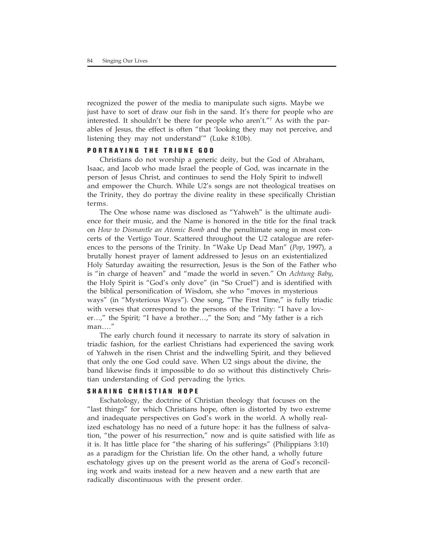recognized the power of the media to manipulate such signs. Maybe we just have to sort of draw our fish in the sand. It's there for people who are interested. It shouldn't be there for people who aren't."7 As with the parables of Jesus, the effect is often "that 'looking they may not perceive, and listening they may not understand'" (Luke 8:10b).

#### **PORTRAYING THE TRIUNE GOD**

Christians do not worship a generic deity, but the God of Abraham, Isaac, and Jacob who made Israel the people of God, was incarnate in the person of Jesus Christ, and continues to send the Holy Spirit to indwell and empower the Church. While U2's songs are not theological treatises on the Trinity, they do portray the divine reality in these specifically Christian terms.

The One whose name was disclosed as "Yahweh" is the ultimate audience for their music, and the Name is honored in the title for the final track on *How to Dismantle an Atomic Bomb* and the penultimate song in most concerts of the Vertigo Tour. Scattered throughout the U2 catalogue are references to the persons of the Trinity. In "Wake Up Dead Man" (*Pop*, 1997), a brutally honest prayer of lament addressed to Jesus on an existentialized Holy Saturday awaiting the resurrection, Jesus is the Son of the Father who is "in charge of heaven" and "made the world in seven." On *Achtung Baby*, the Holy Spirit is "God's only dove" (in "So Cruel") and is identified with the biblical personification of Wisdom, she who "moves in mysterious ways" (in "Mysterious Ways"). One song, "The First Time," is fully triadic with verses that correspond to the persons of the Trinity: "I have a lover…," the Spirit; "I have a brother…," the Son; and "My father is a rich man…."

The early church found it necessary to narrate its story of salvation in triadic fashion, for the earliest Christians had experienced the saving work of Yahweh in the risen Christ and the indwelling Spirit, and they believed that only the one God could save. When U2 sings about the divine, the band likewise finds it impossible to do so without this distinctively Christian understanding of God pervading the lyrics.

# **SHARING CHRISTIAN HOPE**

Eschatology, the doctrine of Christian theology that focuses on the "last things" for which Christians hope, often is distorted by two extreme and inadequate perspectives on God's work in the world. A wholly realized eschatology has no need of a future hope: it has the fullness of salvation, "the power of his resurrection," now and is quite satisfied with life as it is. It has little place for "the sharing of his sufferings" (Philippians 3:10) as a paradigm for the Christian life. On the other hand, a wholly future eschatology gives up on the present world as the arena of God's reconciling work and waits instead for a new heaven and a new earth that are radically discontinuous with the present order.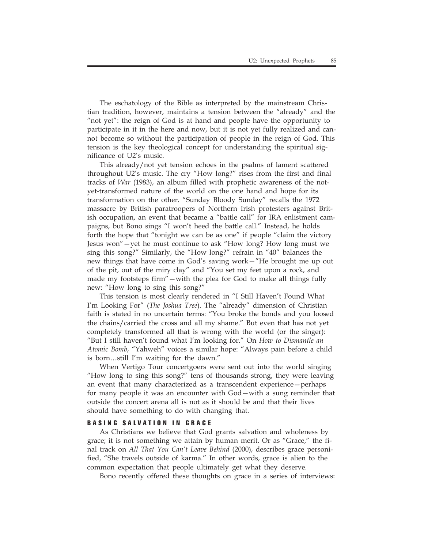The eschatology of the Bible as interpreted by the mainstream Christian tradition, however, maintains a tension between the "already" and the "not yet": the reign of God is at hand and people have the opportunity to participate in it in the here and now, but it is not yet fully realized and cannot become so without the participation of people in the reign of God. This tension is the key theological concept for understanding the spiritual significance of U2's music.

This already/not yet tension echoes in the psalms of lament scattered throughout U2's music. The cry "How long?" rises from the first and final tracks of *War* (1983), an album filled with prophetic awareness of the notyet-transformed nature of the world on the one hand and hope for its transformation on the other. "Sunday Bloody Sunday" recalls the 1972 massacre by British paratroopers of Northern Irish protesters against British occupation, an event that became a "battle call" for IRA enlistment campaigns, but Bono sings "I won't heed the battle call." Instead, he holds forth the hope that "tonight we can be as one" if people "claim the victory Jesus won"—yet he must continue to ask "How long? How long must we sing this song?" Similarly, the "How long?" refrain in "40" balances the new things that have come in God's saving work—"He brought me up out of the pit, out of the miry clay" and "You set my feet upon a rock, and made my footsteps firm"—with the plea for God to make all things fully new: "How long to sing this song?"

This tension is most clearly rendered in "I Still Haven't Found What I'm Looking For" (*The Joshua Tree*). The "already" dimension of Christian faith is stated in no uncertain terms: "You broke the bonds and you loosed the chains/carried the cross and all my shame." But even that has not yet completely transformed all that is wrong with the world (or the singer): "But I still haven't found what I'm looking for." On *How to Dismantle an Atomic Bomb*, "Yahweh" voices a similar hope: "Always pain before a child is born…still I'm waiting for the dawn."

When Vertigo Tour concertgoers were sent out into the world singing "How long to sing this song?" tens of thousands strong, they were leaving an event that many characterized as a transcendent experience—perhaps for many people it was an encounter with God—with a sung reminder that outside the concert arena all is not as it should be and that their lives should have something to do with changing that.

#### **BASING SALVATION IN GRACE**

As Christians we believe that God grants salvation and wholeness by grace; it is not something we attain by human merit. Or as "Grace," the final track on *All That You Can't Leave Behind* (2000), describes grace personified, "She travels outside of karma." In other words, grace is alien to the common expectation that people ultimately get what they deserve.

Bono recently offered these thoughts on grace in a series of interviews: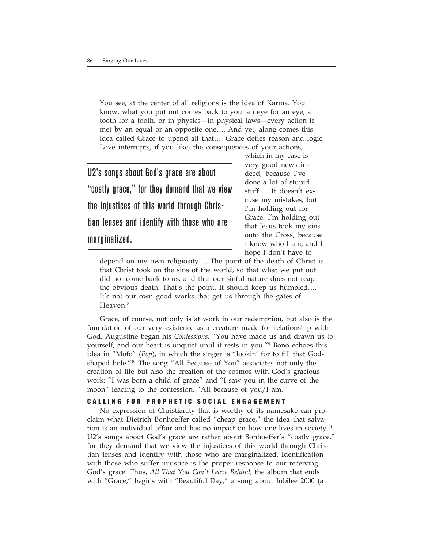You see, at the center of all religions is the idea of Karma. You know, what you put out comes back to you: an eye for an eye, a tooth for a tooth, or in physics—in physical laws—every action is met by an equal or an opposite one…. And yet, along comes this idea called Grace to upend all that…. Grace defies reason and logic. Love interrupts, if you like, the consequences of your actions,

U2's songs about God's grace are about "costly grace," for they demand that we view the injustices of this world through Christian lenses and identify with those who are marginalized.

which in my case is very good news indeed, because I've done a lot of stupid stuff…. It doesn't excuse my mistakes, but I'm holding out for Grace. I'm holding out that Jesus took my sins onto the Cross, because I know who I am, and I hope I don't have to

depend on my own religiosity…. The point of the death of Christ is that Christ took on the sins of the world, so that what we put out did not come back to us, and that our sinful nature does not reap the obvious death. That's the point. It should keep us humbled…. It's not our own good works that get us through the gates of Heaven.<sup>8</sup>

Grace, of course, not only is at work in our redemption, but also is the foundation of our very existence as a creature made for relationship with God. Augustine began his *Confessions*, "You have made us and drawn us to yourself, and our heart is unquiet until it rests in you."9 Bono echoes this idea in "Mofo" (*Pop*), in which the singer is "lookin' for to fill that Godshaped hole."10 The song "All Because of You" associates not only the creation of life but also the creation of the cosmos with God's gracious work: "I was born a child of grace" and "I saw you in the curve of the moon" leading to the confession, "All because of you/I am."

#### **CALLING FOR PROPHETIC SOCIAL ENGAGEMENT**

No expression of Christianity that is worthy of its namesake can proclaim what Dietrich Bonhoeffer called "cheap grace," the idea that salvation is an individual affair and has no impact on how one lives in society.<sup>11</sup> U2's songs about God's grace are rather about Bonhoeffer's "costly grace," for they demand that we view the injustices of this world through Christian lenses and identify with those who are marginalized. Identification with those who suffer injustice is the proper response to our receiving God's grace. Thus, *All That You Can't Leave Behind*, the album that ends with "Grace," begins with "Beautiful Day," a song about Jubilee 2000 (a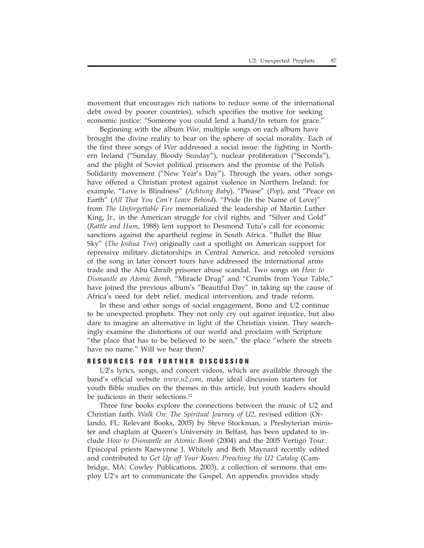movement that encourages rich nations to reduce some of the international debt owed by poorer countries), which specifies the motive for seeking economic justice: "Someone you could lend a hand/In return for grace."

Beginning with the album *War*, multiple songs on each album have brought the divine reality to bear on the sphere of social morality. Each of the first three songs of *War* addressed a social issue: the fighting in Northern Ireland ("Sunday Bloody Sunday"), nuclear proliferation ("Seconds"), and the plight of Soviet political prisoners and the promise of the Polish Solidarity movement ("New Year's Day"). Through the years, other songs have offered a Christian protest against violence in Northern Ireland: for example, "Love is Blindness" (*Achtung Baby*), "Please" (*Pop*), and "Peace on Earth" (*All That You Can't Leave Behind*). "Pride (In the Name of Love)" from *The Unforgettable Fire* memorialized the leadership of Martin Luther King, Jr., in the American struggle for civil rights, and "Silver and Gold" (*Rattle and Hum*, 1988) lent support to Desmond Tutu's call for economic sanctions against the apartheid regime in South Africa. "Bullet the Blue Sky" (*The Joshua Tree*) originally cast a spotlight on American support for repressive military dictatorships in Central America, and retooled versions of the song in later concert tours have addressed the international arms trade and the Abu Ghraib prisoner abuse scandal. Two songs on *How to Dismantle an Atomic Bomb*, "Miracle Drug" and "Crumbs from Your Table," have joined the previous album's "Beautiful Day" in taking up the cause of Africa's need for debt relief, medical intervention, and trade reform.

In these and other songs of social engagement, Bono and U2 continue to be unexpected prophets. They not only cry out against injustice, but also dare to imagine an alternative in light of the Christian vision. They searchingly examine the distortions of our world and proclaim with Scripture "the place that has to be believed to be seen," the place "where the streets have no name." Will we hear them?

# **RESOURCES FOR FURTHER DISCUSSION**

U2's lyrics, songs, and concert videos, which are available through the band's official website *www.u2.com*, make ideal discussion starters for youth Bible studies on the themes in this article, but youth leaders should be judicious in their selections.<sup>12</sup>

Three fine books explore the connections between the music of U2 and Christian faith. *Walk On: The Spiritual Journey of U2*, revised edition (Orlando, FL: Relevant Books, 2005) by Steve Stockman, a Presbyterian minister and chaplain at Queen's University in Belfast, has been updated to include *How to Dismantle an Atomic Bomb* (2004) and the 2005 Vertigo Tour. Episcopal priests Raewynne J. Whitely and Beth Maynard recently edited and contributed to *Get Up off Your Knees: Preaching the U2 Catalog* (Cambridge, MA: Cowley Publications, 2003), a collection of sermons that employ U2's art to communicate the Gospel. An appendix provides study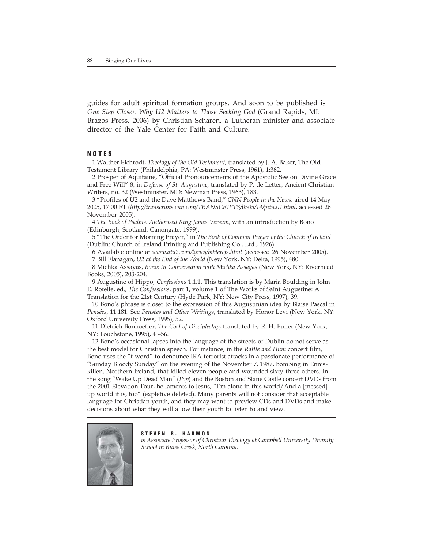guides for adult spiritual formation groups. And soon to be published is *One Step Closer: Why U2 Matters to Those Seeking God* (Grand Rapids, MI: Brazos Press, 2006) by Christian Scharen, a Lutheran minister and associate director of the Yale Center for Faith and Culture.

#### **NOTES**

1 Walther Eichrodt, *Theology of the Old Testament*, translated by J. A. Baker, The Old Testament Library (Philadelphia, PA: Westminster Press, 1961), 1:362.

2 Prosper of Aquitaine, "Official Pronouncements of the Apostolic See on Divine Grace and Free Will" 8, in *Defense of St. Augustine*, translated by P. de Letter, Ancient Christian Writers, no. 32 (Westminster, MD: Newman Press, 1963), 183.

3 "Profiles of U2 and the Dave Matthews Band," *CNN People in the News,* aired 14 May 2005, 17:00 ET (*http://transcripts.cnn.com/TRANSCRIPTS/0505/14/pitn.01.html*, accessed 26 November 2005).

4 *The Book of Psalms: Authorised King James Version*, with an introduction by Bono (Edinburgh, Scotland: Canongate, 1999).

5 "The Order for Morning Prayer," in *The Book of Common Prayer of the Church of Ireland* (Dublin: Church of Ireland Printing and Publishing Co., Ltd., 1926).

6 Available online at *www.atu2.com/lyrics/biblerefs.html* (accessed 26 November 2005).

7 Bill Flanagan, *U2 at the End of the World* (New York, NY: Delta, 1995), 480.

8 Michka Assayas, *Bono: In Conversation with Michka Assayas* (New York, NY: Riverhead Books, 2005), 203-204.

9 Augustine of Hippo, *Confessions* 1.1.1. This translation is by Maria Boulding in John E. Rotelle, ed., *The Confessions*, part 1, volume 1 of The Works of Saint Augustine: A Translation for the 21st Century (Hyde Park, NY: New City Press, 1997), 39.

10 Bono's phrase is closer to the expression of this Augustinian idea by Blaise Pascal in *Pensées*, 11.181. See *Pensées and Other Writings*, translated by Honor Levi (New York, NY: Oxford University Press, 1995), 52.

11 Dietrich Bonhoeffer, *The Cost of Discipleship*, translated by R. H. Fuller (New York, NY: Touchstone, 1995), 43-56.

12 Bono's occasional lapses into the language of the streets of Dublin do not serve as the best model for Christian speech. For instance, in the *Rattle and Hum* concert film, Bono uses the "f-word" to denounce IRA terrorist attacks in a passionate performance of "Sunday Bloody Sunday" on the evening of the November 7, 1987, bombing in Enniskillen, Northern Ireland, that killed eleven people and wounded sixty-three others. In the song "Wake Up Dead Man" (*Pop*) and the Boston and Slane Castle concert DVDs from the 2001 Elevation Tour, he laments to Jesus, "I'm alone in this world/And a [messed] up world it is, too" (expletive deleted). Many parents will not consider that acceptable language for Christian youth, and they may want to preview CDs and DVDs and make decisions about what they will allow their youth to listen to and view.



#### **STEVEN R. HARMON**

*is Associate Professor of Christian Theology at Campbell University Divinity School in Buies Creek, North Carolina.*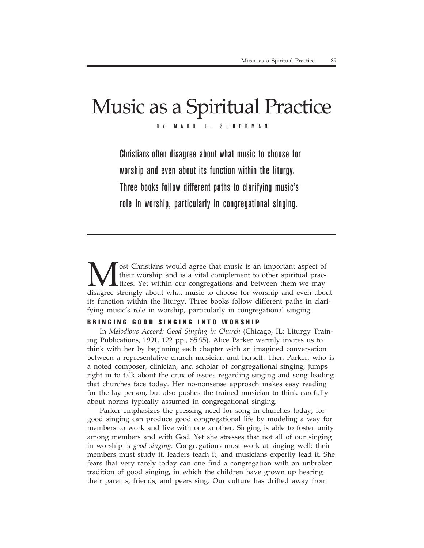# Music as a Spiritual Practice BY MARK J. SUDERMAN

Christians often disagree about what music to choose for worship and even about its function within the liturgy. Three books follow different paths to clarifying music's role in worship, particularly in congregational singing.

**M** ost Christians would agree that music is an important aspect of their worship and is a vital complement to other spiritual practices. Yet within our congregations and between them we may disagree strongly about what mu their worship and is a vital complement to other spiritual practices. Yet within our congregations and between them we may disagree strongly about what music to choose for worship and even about its function within the liturgy. Three books follow different paths in clarifying music's role in worship, particularly in congregational singing.

#### **BRINGING GOOD SINGING INTO WORSHIP**

In *Melodious Accord: Good Singing in Church* (Chicago, IL: Liturgy Training Publications, 1991, 122 pp., \$5.95), Alice Parker warmly invites us to think with her by beginning each chapter with an imagined conversation between a representative church musician and herself. Then Parker, who is a noted composer, clinician, and scholar of congregational singing, jumps right in to talk about the crux of issues regarding singing and song leading that churches face today. Her no-nonsense approach makes easy reading for the lay person, but also pushes the trained musician to think carefully about norms typically assumed in congregational singing.

Parker emphasizes the pressing need for song in churches today, for good singing can produce good congregational life by modeling a way for members to work and live with one another. Singing is able to foster unity among members and with God. Yet she stresses that not all of our singing in worship is *good singing*. Congregations must work at singing well: their members must study it, leaders teach it, and musicians expertly lead it. She fears that very rarely today can one find a congregation with an unbroken tradition of good singing, in which the children have grown up hearing their parents, friends, and peers sing. Our culture has drifted away from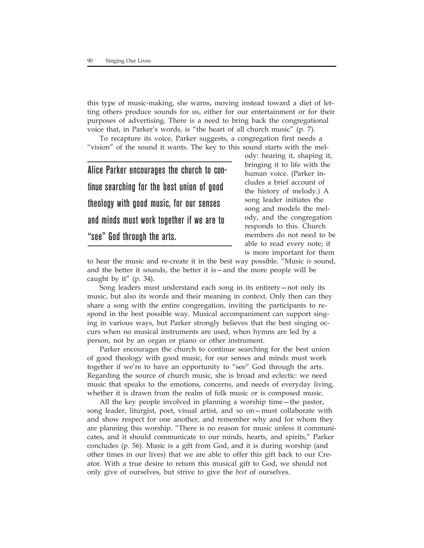this type of music-making, she warns, moving instead toward a diet of letting others produce sounds for us, either for our entertainment or for their purposes of advertising. There is a need to bring back the congregational voice that, in Parker's words, is "the heart of all church music" (p. 7).

To recapture its voice, Parker suggests, a congregation first needs a "vision" of the sound it wants. The key to this sound starts with the mel-

Alice Parker encourages the church to continue searching for the best union of good theology with good music, for our senses and minds must work together if we are to "see" God through the arts.

ody: hearing it, shaping it, bringing it to life with the human voice. (Parker includes a brief account of the history of melody.) A song leader initiates the song and models the melody, and the congregation responds to this. Church members do not need to be able to read every note; it is more important for them

to hear the music and re-create it in the best way possible. "Music *is* sound, and the better it sounds, the better it is—and the more people will be caught by it" (p. 34).

Song leaders must understand each song in its entirety—not only its music, but also its words and their meaning in context. Only then can they share a song with the entire congregation, inviting the participants to respond in the best possible way. Musical accompaniment can support singing in various ways, but Parker strongly believes that the best singing occurs when no musical instruments are used, when hymns are led by a person, not by an organ or piano or other instrument.

Parker encourages the church to continue searching for the best union of good theology with good music, for our senses and minds must work together if we're to have an opportunity to "see" God through the arts. Regarding the source of church music, she is broad and eclectic: we need music that speaks to the emotions, concerns, and needs of everyday living, whether it is drawn from the realm of folk music or is composed music.

All the key people involved in planning a worship time—the pastor, song leader, liturgist, poet, visual artist, and so on—must collaborate with and show respect for one another, and remember why and for whom they are planning this worship. "There is no reason for music unless it communicates, and it should communicate to our minds, hearts, and spirits," Parker concludes (p. 56). Music is a gift from God, and it is during worship (and other times in our lives) that we are able to offer this gift back to our Creator. With a true desire to return this musical gift to God, we should not only give of ourselves, but strive to give the *best* of ourselves.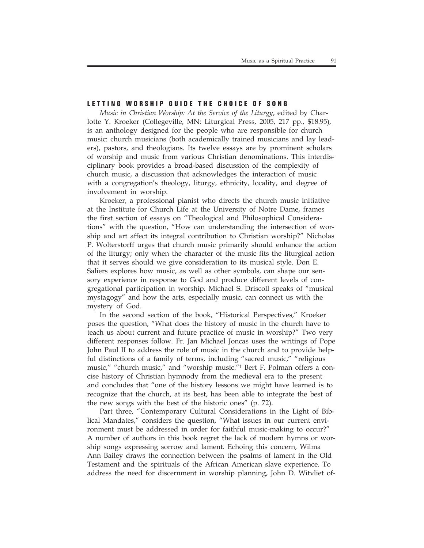# **LETTING WORSHIP GUIDE THE CHOICE OF SONG**

*Music in Christian Worship: At the Service of the Liturgy*, edited by Charlotte Y. Kroeker (Collegeville, MN: Liturgical Press, 2005, 217 pp., \$18.95), is an anthology designed for the people who are responsible for church music: church musicians (both academically trained musicians and lay leaders), pastors, and theologians. Its twelve essays are by prominent scholars of worship and music from various Christian denominations. This interdisciplinary book provides a broad-based discussion of the complexity of church music, a discussion that acknowledges the interaction of music with a congregation's theology, liturgy, ethnicity, locality, and degree of involvement in worship.

Kroeker, a professional pianist who directs the church music initiative at the Institute for Church Life at the University of Notre Dame, frames the first section of essays on "Theological and Philosophical Considerations" with the question, "How can understanding the intersection of worship and art affect its integral contribution to Christian worship?" Nicholas P. Wolterstorff urges that church music primarily should enhance the action of the liturgy; only when the character of the music fits the liturgical action that it serves should we give consideration to its musical style. Don E. Saliers explores how music, as well as other symbols, can shape our sensory experience in response to God and produce different levels of congregational participation in worship. Michael S. Driscoll speaks of "musical mystagogy" and how the arts, especially music, can connect us with the mystery of God.

In the second section of the book, "Historical Perspectives," Kroeker poses the question, "What does the history of music in the church have to teach us about current and future practice of music in worship?" Two very different responses follow. Fr. Jan Michael Joncas uses the writings of Pope John Paul II to address the role of music in the church and to provide helpful distinctions of a family of terms, including "sacred music," "religious music," "church music," and "worship music."† Bert F. Polman offers a concise history of Christian hymnody from the medieval era to the present and concludes that "one of the history lessons we might have learned is to recognize that the church, at its best, has been able to integrate the best of the new songs with the best of the historic ones" (p. 72).

Part three, "Contemporary Cultural Considerations in the Light of Biblical Mandates," considers the question, "What issues in our current environment must be addressed in order for faithful music-making to occur?" A number of authors in this book regret the lack of modern hymns or worship songs expressing sorrow and lament. Echoing this concern, Wilma Ann Bailey draws the connection between the psalms of lament in the Old Testament and the spirituals of the African American slave experience. To address the need for discernment in worship planning, John D. Witvliet of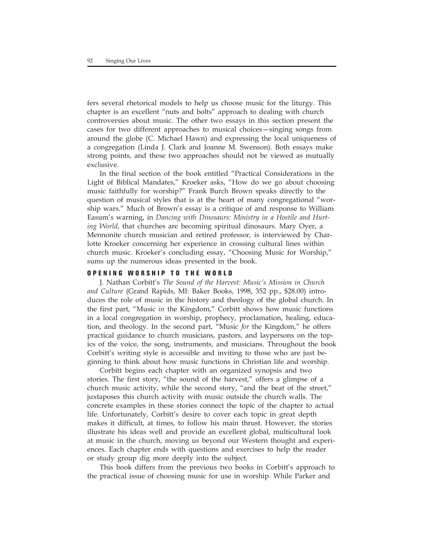fers several rhetorical models to help us choose music for the liturgy. This chapter is an excellent "nuts and bolts" approach to dealing with church controversies about music. The other two essays in this section present the cases for two different approaches to musical choices—singing songs from around the globe (C. Michael Hawn) and expressing the local uniqueness of a congregation (Linda J. Clark and Joanne M. Swenson). Both essays make strong points, and these two approaches should not be viewed as mutually exclusive.

In the final section of the book entitled "Practical Considerations in the Light of Biblical Mandates," Kroeker asks, "How do we go about choosing music faithfully for worship?" Frank Burch Brown speaks directly to the question of musical styles that is at the heart of many congregational "worship wars." Much of Brown's essay is a critique of and response to William Easum's warning, in *Dancing with Dinosaurs: Ministry in a Hostile and Hurting World*, that churches are becoming spiritual dinosaurs. Mary Oyer, a Mennonite church musician and retired professor, is interviewed by Charlotte Kroeker concerning her experience in crossing cultural lines within church music. Kroeker's concluding essay, "Choosing Music for Worship," sums up the numerous ideas presented in the book.

#### **OPENING WORSHIP TO THE WORLD**

J. Nathan Corbitt's *The Sound of the Harvest: Music's Mission in Church and Culture* (Grand Rapids, MI: Baker Books, 1998, 352 pp., \$28.00) introduces the role of music in the history and theology of the global church. In the first part, "Music *in* the Kingdom," Corbitt shows how music functions in a local congregation in worship, prophecy, proclamation, healing, education, and theology. In the second part, "Music *for* the Kingdom," he offers practical guidance to church musicians, pastors, and laypersons on the topics of the voice, the song, instruments, and musicians. Throughout the book Corbitt's writing style is accessible and inviting to those who are just beginning to think about how music functions in Christian life and worship.

Corbitt begins each chapter with an organized synopsis and two stories. The first story, "the sound of the harvest," offers a glimpse of a church music activity, while the second story, "and the beat of the street," juxtaposes this church activity with music outside the church walls. The concrete examples in these stories connect the topic of the chapter to actual life. Unfortunately, Corbitt's desire to cover each topic in great depth makes it difficult, at times, to follow his main thrust. However, the stories illustrate his ideas well and provide an excellent global, multicultural look at music in the church, moving us beyond our Western thought and experiences. Each chapter ends with questions and exercises to help the reader or study group dig more deeply into the subject.

This book differs from the previous two books in Corbitt's approach to the practical issue of choosing music for use in worship. While Parker and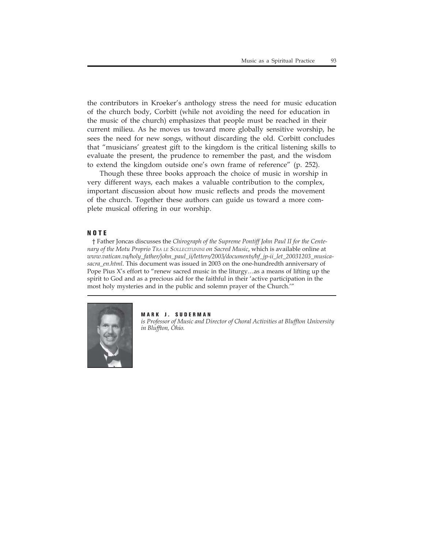the contributors in Kroeker's anthology stress the need for music education of the church body, Corbitt (while not avoiding the need for education in the music of the church) emphasizes that people must be reached in their current milieu. As he moves us toward more globally sensitive worship, he sees the need for new songs, without discarding the old. Corbitt concludes that "musicians' greatest gift to the kingdom is the critical listening skills to evaluate the present, the prudence to remember the past, and the wisdom to extend the kingdom outside one's own frame of reference" (p. 252).

Though these three books approach the choice of music in worship in very different ways, each makes a valuable contribution to the complex, important discussion about how music reflects and prods the movement of the church. Together these authors can guide us toward a more complete musical offering in our worship.

# **NOTE**

† Father Joncas discusses the *Chirograph of the Supreme Pontiff John Paul II for the Centenary of the Motu Proprio TRA LE SOLLECITUNINI on Sacred Music*, which is available online at *www.vatican.va/holy\_father/john\_paul\_ii/letters/2003/documents/hf\_jp-ii\_let\_20031203\_musicasacra\_en.html*. This document was issued in 2003 on the one-hundredth anniversary of Pope Pius X's effort to "renew sacred music in the liturgy…as a means of lifting up the spirit to God and as a precious aid for the faithful in their 'active participation in the most holy mysteries and in the public and solemn prayer of the Church.'"



#### **MARK J. SUDERMAN**

*is Professor of Music and Director of Choral Activities at Bluffton University in Bluffton, Ohio.*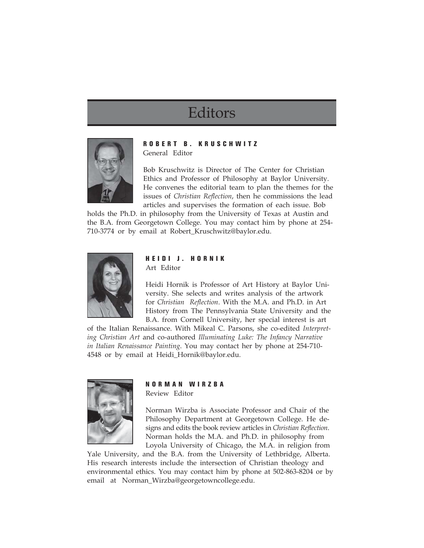# Editors



# **ROBERT B. KRUSCHWITZ** General Editor

Bob Kruschwitz is Director of The Center for Christian Ethics and Professor of Philosophy at Baylor University. He convenes the editorial team to plan the themes for the issues of *Christian Reflection*, then he commissions the lead articles and supervises the formation of each issue. Bob

holds the Ph.D. in philosophy from the University of Texas at Austin and the B.A. from Georgetown College. You may contact him by phone at 254- 710-3774 or by email at Robert\_Kruschwitz@baylor.edu.



**HEIDI J. HORNIK** Art Editor

Heidi Hornik is Professor of Art History at Baylor University. She selects and writes analysis of the artwork for *Christian Reflection*. With the M.A. and Ph.D. in Art History from The Pennsylvania State University and the B.A. from Cornell University, her special interest is art

of the Italian Renaissance. With Mikeal C. Parsons, she co-edited *Interpreting Christian Art* and co-authored *Illuminating Luke: The Infancy Narrative in Italian Renaissance Painting*. You may contact her by phone at 254-710- 4548 or by email at Heidi\_Hornik@baylor.edu.



# **NORMAN WIRZBA**

Review Editor

Norman Wirzba is Associate Professor and Chair of the Philosophy Department at Georgetown College. He designs and edits the book review articles in *Christian Reflection*. Norman holds the M.A. and Ph.D. in philosophy from Loyola University of Chicago, the M.A. in religion from

Yale University, and the B.A. from the University of Lethbridge, Alberta. His research interests include the intersection of Christian theology and environmental ethics. You may contact him by phone at 502-863-8204 or by email at Norman\_Wirzba@georgetowncollege.edu.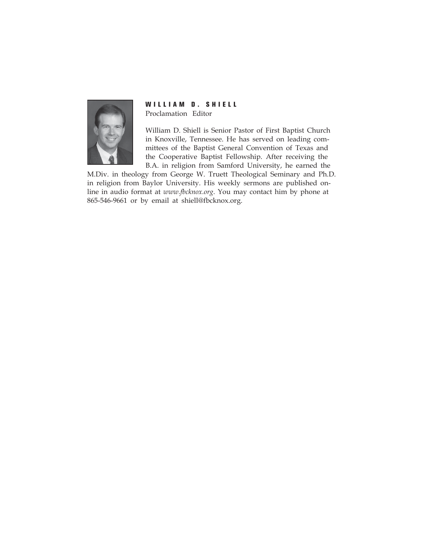

# **WILLIAM D. SHIELL** Proclamation Editor

William D. Shiell is Senior Pastor of First Baptist Church in Knoxville, Tennessee. He has served on leading committees of the Baptist General Convention of Texas and the Cooperative Baptist Fellowship. After receiving the B.A. in religion from Samford University, he earned the

M.Div. in theology from George W. Truett Theological Seminary and Ph.D. in religion from Baylor University. His weekly sermons are published online in audio format at *www.fbcknox.org*. You may contact him by phone at 865-546-9661 or by email at shiell@fbcknox.org.